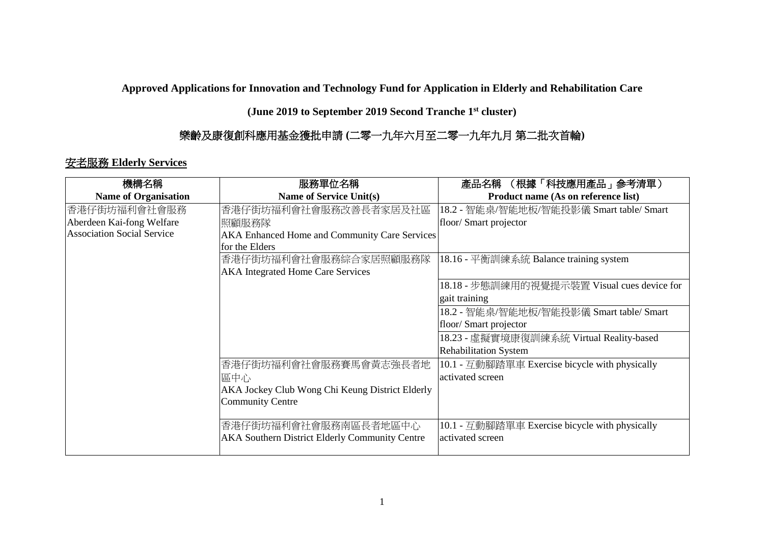**Approved Applications for Innovation and Technology Fund for Application in Elderly and Rehabilitation Care** 

**(June 2019 to September 2019 Second Tranche 1st cluster)**

## 樂齡及康復創科應用基金獲批申請 **(**二零一九年六月至二零一九年九月 第二批次首輪**)**

## 安老服務 **Elderly Services**

| 機構名稱                              | 服務單位名稱                                                | (根據「科技應用產品」参考清單)<br>產品名稱                       |
|-----------------------------------|-------------------------------------------------------|------------------------------------------------|
| <b>Name of Organisation</b>       | Name of Service Unit(s)                               | Product name (As on reference list)            |
| 香港仔街坊福利會社會服務                      | 香港仔街坊福利會社會服務改善長者家居及社區                                 | 18.2 - 智能桌/智能地板/智能投影儀 Smart table/ Smart       |
| Aberdeen Kai-fong Welfare         | 照顧服務隊                                                 | floor/ Smart projector                         |
| <b>Association Social Service</b> | AKA Enhanced Home and Community Care Services         |                                                |
|                                   | for the Elders                                        |                                                |
|                                   | 香港仔街坊福利會社會服務綜合家居照顧服務隊                                 | 18.16 - 平衡訓練系統 Balance training system         |
|                                   | <b>AKA Integrated Home Care Services</b>              |                                                |
|                                   |                                                       | 18.18 - 步態訓練用的視覺提示裝置 Visual cues device for    |
|                                   |                                                       | gait training                                  |
|                                   |                                                       | 18.2 - 智能桌/智能地板/智能投影儀 Smart table/ Smart       |
|                                   |                                                       | floor/Smart projector                          |
|                                   |                                                       | 18.23 - 虛擬實境康復訓練系統 Virtual Reality-based       |
|                                   |                                                       | <b>Rehabilitation System</b>                   |
|                                   | 香港仔街坊福利會社會服務賽馬會黃志強長者地                                 | 10.1 - 互動腳踏單車 Exercise bicycle with physically |
|                                   | 區中心                                                   | activated screen                               |
|                                   | AKA Jockey Club Wong Chi Keung District Elderly       |                                                |
|                                   | <b>Community Centre</b>                               |                                                |
|                                   |                                                       |                                                |
|                                   | 香港仔街坊福利會社會服務南區長者地區中心                                  | 10.1 - 互動腳踏單車 Exercise bicycle with physically |
|                                   | <b>AKA Southern District Elderly Community Centre</b> | activated screen                               |
|                                   |                                                       |                                                |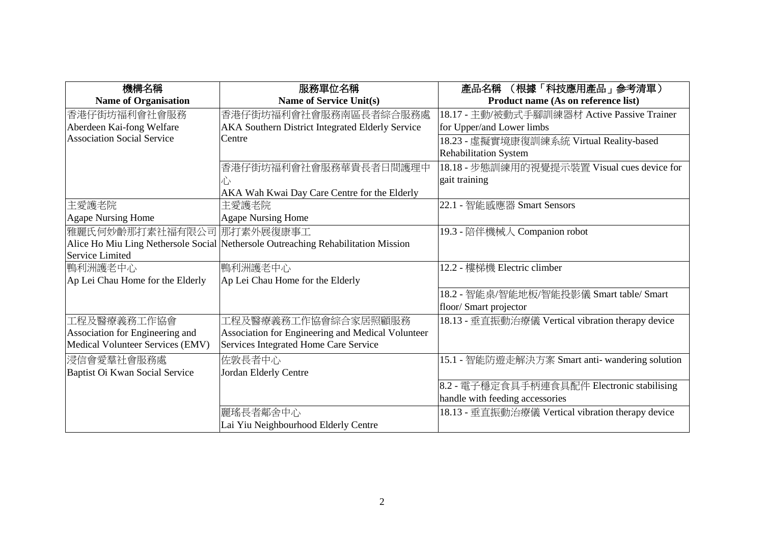| 機構名稱                              | 服務單位名稱                                                                            | (根據「科技應用產品」参考清單)<br>產品名稱                          |
|-----------------------------------|-----------------------------------------------------------------------------------|---------------------------------------------------|
| <b>Name of Organisation</b>       | <b>Name of Service Unit(s)</b>                                                    | Product name (As on reference list)               |
| 香港仔街坊福利會社會服務                      | 香港仔街坊福利會社會服務南區長者綜合服務處                                                             | 18.17 - 主動/被動式手腳訓練器材 Active Passive Trainer       |
| Aberdeen Kai-fong Welfare         | <b>AKA Southern District Integrated Elderly Service</b>                           | for Upper/and Lower limbs                         |
| <b>Association Social Service</b> | Centre                                                                            | 18.23 - 虛擬實境康復訓練系統 Virtual Reality-based          |
|                                   |                                                                                   | <b>Rehabilitation System</b>                      |
|                                   | 香港仔街坊福利會社會服務華貴長者日間護理中                                                             | 18.18 - 步態訓練用的視覺提示裝置 Visual cues device for       |
|                                   |                                                                                   | gait training                                     |
|                                   | AKA Wah Kwai Day Care Centre for the Elderly                                      |                                                   |
| 主愛護老院                             | 主愛護老院                                                                             | 22.1 - 智能感應器 Smart Sensors                        |
| <b>Agape Nursing Home</b>         | <b>Agape Nursing Home</b>                                                         |                                                   |
| 雅麗氏何妙齡那打素社福有限公司 那打素外展復康事工         |                                                                                   | 19.3 - 陪伴機械人 Companion robot                      |
|                                   | Alice Ho Miu Ling Nethersole Social Nethersole Outreaching Rehabilitation Mission |                                                   |
| Service Limited                   |                                                                                   |                                                   |
| 鴨利洲護老中心                           | 鴨利洲護老中心                                                                           | 12.2 - 樓梯機 Electric climber                       |
| Ap Lei Chau Home for the Elderly  | Ap Lei Chau Home for the Elderly                                                  |                                                   |
|                                   |                                                                                   | 18.2 - 智能桌/智能地板/智能投影儀 Smart table/ Smart          |
|                                   |                                                                                   | floor/ Smart projector                            |
| 工程及醫療義務工作協會                       | 工程及醫療義務工作協會綜合家居照顧服務                                                               | 18.13 - 垂直振動治療儀 Vertical vibration therapy device |
| Association for Engineering and   | Association for Engineering and Medical Volunteer                                 |                                                   |
| Medical Volunteer Services (EMV)  | Services Integrated Home Care Service                                             |                                                   |
| 浸信會愛羣社會服務處                        | 佐敦長者中心                                                                            | 15.1 - 智能防遊走解決方案 Smart anti- wandering solution   |
| Baptist Oi Kwan Social Service    | Jordan Elderly Centre                                                             |                                                   |
|                                   |                                                                                   | 8.2 - 電子穩定食具手柄連食具配件 Electronic stabilising        |
|                                   |                                                                                   | handle with feeding accessories                   |
|                                   | 麗瑤長者鄰舍中心                                                                          | 18.13 - 垂直振動治療儀 Vertical vibration therapy device |
|                                   | Lai Yiu Neighbourhood Elderly Centre                                              |                                                   |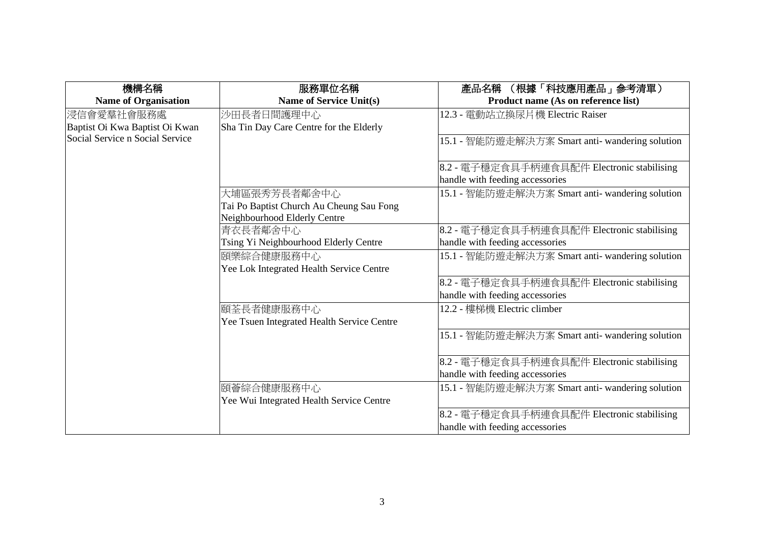| 機構名稱                            | 服務單位名稱                                     | (根據「科技應用產品」參考清單)<br>產品名稱                                                      |
|---------------------------------|--------------------------------------------|-------------------------------------------------------------------------------|
| <b>Name of Organisation</b>     | <b>Name of Service Unit(s)</b>             | Product name (As on reference list)                                           |
| 浸信會愛羣社會服務處                      | 沙田長者日間護理中心                                 | 12.3 - 電動站立換尿片機 Electric Raiser                                               |
| Baptist Oi Kwa Baptist Oi Kwan  | Sha Tin Day Care Centre for the Elderly    |                                                                               |
| Social Service n Social Service |                                            | 15.1 - 智能防遊走解決方案 Smart anti- wandering solution                               |
|                                 |                                            | 8.2 - 電子穩定食具手柄連食具配件 Electronic stabilising<br>handle with feeding accessories |
|                                 | 大埔區張秀芳長者鄰舍中心                               | 15.1 - 智能防遊走解決方案 Smart anti- wandering solution                               |
|                                 | Tai Po Baptist Church Au Cheung Sau Fong   |                                                                               |
|                                 | Neighbourhood Elderly Centre               |                                                                               |
|                                 | 青衣長者鄰舍中心                                   | 8.2 - 電子穩定食具手柄連食具配件 Electronic stabilising                                    |
|                                 | Tsing Yi Neighbourhood Elderly Centre      | handle with feeding accessories                                               |
|                                 | 頣樂綜合健康服務中心                                 | 15.1 - 智能防遊走解決方案 Smart anti- wandering solution                               |
|                                 | Yee Lok Integrated Health Service Centre   |                                                                               |
|                                 |                                            | 8.2 - 電子穩定食具手柄連食具配件 Electronic stabilising                                    |
|                                 |                                            | handle with feeding accessories                                               |
|                                 | 頤荃長者健康服務中心                                 | 12.2 - 樓梯機 Electric climber                                                   |
|                                 | Yee Tsuen Integrated Health Service Centre |                                                                               |
|                                 |                                            | 15.1 - 智能防遊走解決方案 Smart anti- wandering solution                               |
|                                 |                                            | 8.2 - 電子穩定食具手柄連食具配件 Electronic stabilising                                    |
|                                 |                                            | handle with feeding accessories                                               |
|                                 | 頣薈綜合健康服務中心                                 | 15.1 - 智能防遊走解決方案 Smart anti- wandering solution                               |
|                                 | Yee Wui Integrated Health Service Centre   |                                                                               |
|                                 |                                            | 8.2 - 電子穩定食具手柄連食具配件 Electronic stabilising                                    |
|                                 |                                            | handle with feeding accessories                                               |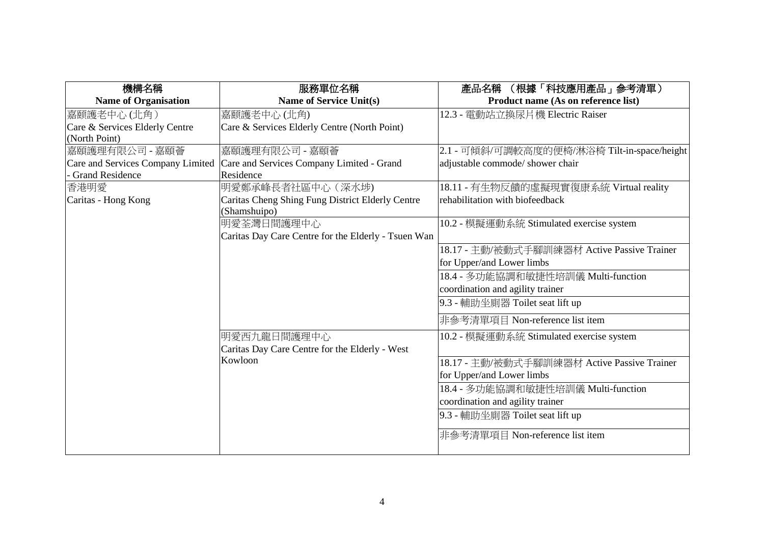| 機構名稱                              | 服務單位名稱                                                           | 產品名稱 (根據「科技應用產品」參考清單)                       |
|-----------------------------------|------------------------------------------------------------------|---------------------------------------------|
| <b>Name of Organisation</b>       | <b>Name of Service Unit(s)</b>                                   | Product name (As on reference list)         |
| 嘉颐護老中心(北角)                        | 嘉颐護老中心(北角)                                                       | 12.3 - 電動站立換尿片機 Electric Raiser             |
| Care & Services Elderly Centre    | Care & Services Elderly Centre (North Point)                     |                                             |
| (North Point)                     |                                                                  |                                             |
| 嘉頤護理有限公司 - 嘉頤薈                    | 嘉頤護理有限公司 - 嘉頤薈                                                   | 2.1 - 可傾斜/可調較高度的便椅/淋浴椅 Tilt-in-space/height |
| Care and Services Company Limited | Care and Services Company Limited - Grand                        | adjustable commode/ shower chair            |
| <b>Grand Residence</b>            | Residence                                                        |                                             |
| 香港明愛                              | 明愛鄭承峰長者社區中心 (深水埗)                                                | 18.11 - 有生物反饋的虛擬現實復康系統 Virtual reality      |
| Caritas - Hong Kong               | Caritas Cheng Shing Fung District Elderly Centre<br>(Shamshuipo) | rehabilitation with biofeedback             |
|                                   | 明愛荃灣日間護理中心                                                       | 10.2 - 模擬運動系統 Stimulated exercise system    |
|                                   | Caritas Day Care Centre for the Elderly - Tsuen Wan              |                                             |
|                                   |                                                                  | 18.17 - 主動/被動式手腳訓練器材 Active Passive Trainer |
|                                   |                                                                  | for Upper/and Lower limbs                   |
|                                   |                                                                  | 18.4 - 多功能協調和敏捷性培訓儀 Multi-function          |
|                                   |                                                                  | coordination and agility trainer            |
|                                   |                                                                  | 9.3 - 輔助坐廁器 Toilet seat lift up             |
|                                   |                                                                  | 非參考清單項目 Non-reference list item             |
|                                   | 明愛西九龍日間護理中心                                                      | 10.2 - 模擬運動系統 Stimulated exercise system    |
|                                   | Caritas Day Care Centre for the Elderly - West                   |                                             |
|                                   | Kowloon                                                          | 18.17 - 主動/被動式手腳訓練器材 Active Passive Trainer |
|                                   |                                                                  | for Upper/and Lower limbs                   |
|                                   |                                                                  | 18.4 - 多功能協調和敏捷性培訓儀 Multi-function          |
|                                   |                                                                  | coordination and agility trainer            |
|                                   |                                                                  | 9.3 - 輔助坐廁器 Toilet seat lift up             |
|                                   |                                                                  | 非參考清單項目 Non-reference list item             |
|                                   |                                                                  |                                             |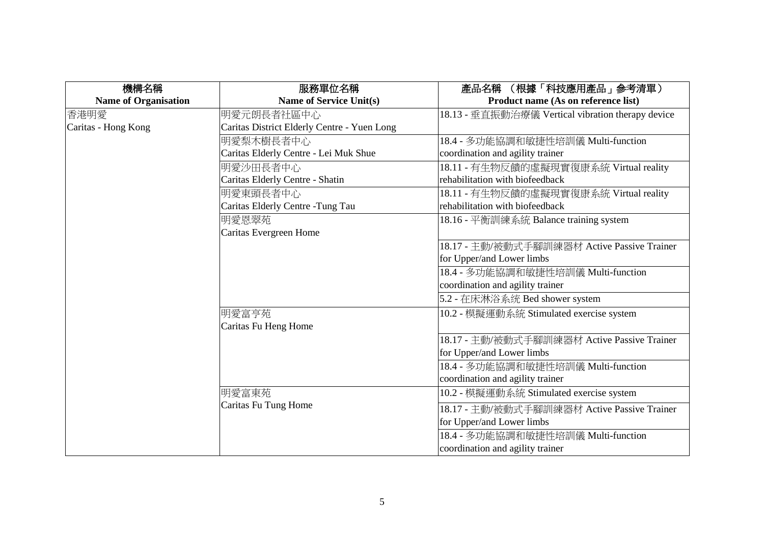| 機構名稱                        | 服務單位名稱                                      | 產品名稱 (根據「科技應用產品」參考清單)                             |
|-----------------------------|---------------------------------------------|---------------------------------------------------|
| <b>Name of Organisation</b> | <b>Name of Service Unit(s)</b>              | Product name (As on reference list)               |
| 香港明愛                        | 明愛元朗長者社區中心                                  | 18.13 - 垂直振動治療儀 Vertical vibration therapy device |
| Caritas - Hong Kong         | Caritas District Elderly Centre - Yuen Long |                                                   |
|                             | 明愛梨木樹長者中心                                   | 18.4 - 多功能協調和敏捷性培訓儀 Multi-function                |
|                             | Caritas Elderly Centre - Lei Muk Shue       | coordination and agility trainer                  |
|                             | 明愛沙田長者中心                                    | 18.11 - 有生物反饋的虛擬現實復康系統 Virtual reality            |
|                             | Caritas Elderly Centre - Shatin             | rehabilitation with biofeedback                   |
|                             | 明愛東頭長者中心                                    | 18.11 - 有生物反饋的虛擬現實復康系統 Virtual reality            |
|                             | Caritas Elderly Centre - Tung Tau           | rehabilitation with biofeedback                   |
|                             | 明愛恩翠苑                                       | 18.16 - 平衡訓練系統 Balance training system            |
|                             | Caritas Evergreen Home                      |                                                   |
|                             |                                             | 18.17 - 主動/被動式手腳訓練器材 Active Passive Trainer       |
|                             |                                             | for Upper/and Lower limbs                         |
|                             |                                             | 18.4 - 多功能協調和敏捷性培訓儀 Multi-function                |
|                             |                                             | coordination and agility trainer                  |
|                             |                                             | 5.2 - 在床淋浴系统 Bed shower system                    |
|                             | 明愛富亨苑                                       | 10.2 - 模擬運動系統 Stimulated exercise system          |
|                             | Caritas Fu Heng Home                        |                                                   |
|                             |                                             | 18.17 - 主動/被動式手腳訓練器材 Active Passive Trainer       |
|                             |                                             | for Upper/and Lower limbs                         |
|                             |                                             | 18.4 - 多功能協調和敏捷性培訓儀 Multi-function                |
|                             |                                             | coordination and agility trainer                  |
|                             | 明愛富東苑                                       | 10.2 - 模擬運動系統 Stimulated exercise system          |
|                             | Caritas Fu Tung Home                        | 18.17 - 主動/被動式手腳訓練器材 Active Passive Trainer       |
|                             |                                             | for Upper/and Lower limbs                         |
|                             |                                             | 18.4 - 多功能協調和敏捷性培訓儀 Multi-function                |
|                             |                                             | coordination and agility trainer                  |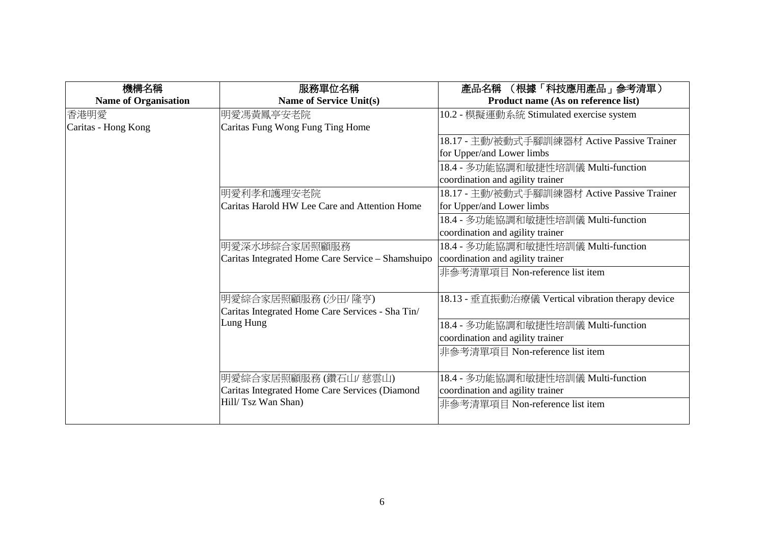| 機構名稱                        | 服務單位名稱                                                        | (根據「科技應用產品」參考清單)<br>產品名稱                          |
|-----------------------------|---------------------------------------------------------------|---------------------------------------------------|
| <b>Name of Organisation</b> | <b>Name of Service Unit(s)</b>                                | Product name (As on reference list)               |
| 香港明愛                        | 明愛馮黃鳳亭安老院                                                     | 10.2 - 模擬運動系統 Stimulated exercise system          |
| Caritas - Hong Kong         | Caritas Fung Wong Fung Ting Home                              |                                                   |
|                             |                                                               | 18.17 - 主動/被動式手腳訓練器材 Active Passive Trainer       |
|                             |                                                               | for Upper/and Lower limbs                         |
|                             |                                                               | 18.4 - 多功能協調和敏捷性培訓儀 Multi-function                |
|                             |                                                               | coordination and agility trainer                  |
|                             | 明愛利孝和護理安老院                                                    | 18.17 - 主動/被動式手腳訓練器材 Active Passive Trainer       |
|                             | Caritas Harold HW Lee Care and Attention Home                 | for Upper/and Lower limbs                         |
|                             |                                                               | 18.4 - 多功能協調和敏捷性培訓儀 Multi-function                |
|                             |                                                               | coordination and agility trainer                  |
|                             | 明愛深水埗綜合家居照顧服務                                                 | 18.4 - 多功能協調和敏捷性培訓儀 Multi-function                |
|                             | Caritas Integrated Home Care Service - Shamshuipo             | coordination and agility trainer                  |
|                             |                                                               | 非參考清單項目 Non-reference list item                   |
|                             |                                                               |                                                   |
|                             | 明愛綜合家居照顧服務(沙田/隆亨)                                             | 18.13 - 垂直振動治療儀 Vertical vibration therapy device |
|                             | Caritas Integrated Home Care Services - Sha Tin/<br>Lung Hung |                                                   |
|                             |                                                               | 18.4 - 多功能協調和敏捷性培訓儀 Multi-function                |
|                             |                                                               | coordination and agility trainer                  |
|                             |                                                               | 非參考清單項目 Non-reference list item                   |
|                             | 明愛綜合家居照顧服務(鑽石山/ 慈雲山)                                          | 18.4 - 多功能協調和敏捷性培訓儀 Multi-function                |
|                             | Caritas Integrated Home Care Services (Diamond                | coordination and agility trainer                  |
|                             | Hill/ Tsz Wan Shan)                                           | 非參考清單項目 Non-reference list item                   |
|                             |                                                               |                                                   |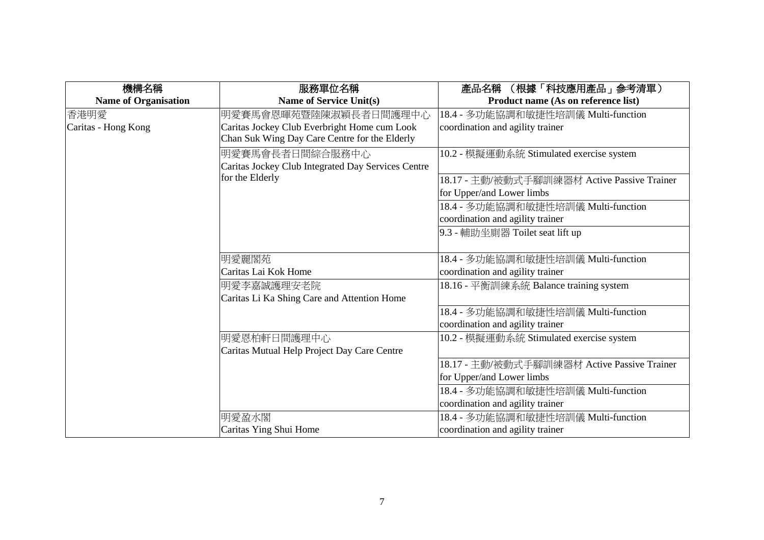| 機構名稱                        | 服務單位名稱                                             | (根據「科技應用產品」參考清單)<br>產品名稱                    |
|-----------------------------|----------------------------------------------------|---------------------------------------------|
| <b>Name of Organisation</b> | <b>Name of Service Unit(s)</b>                     | Product name (As on reference list)         |
| 香港明愛                        | 明愛賽馬會恩暉苑暨陸陳淑穎長者日間護理中心                              | 18.4 - 多功能協調和敏捷性培訓儀 Multi-function          |
| Caritas - Hong Kong         | Caritas Jockey Club Everbright Home cum Look       | coordination and agility trainer            |
|                             | Chan Suk Wing Day Care Centre for the Elderly      |                                             |
|                             | 明愛賽馬會長者日間綜合服務中心                                    | 10.2 - 模擬運動系統 Stimulated exercise system    |
|                             | Caritas Jockey Club Integrated Day Services Centre |                                             |
|                             | for the Elderly                                    | 18.17 - 主動/被動式手腳訓練器材 Active Passive Trainer |
|                             |                                                    | for Upper/and Lower limbs                   |
|                             |                                                    | 18.4 - 多功能協調和敏捷性培訓儀 Multi-function          |
|                             |                                                    | coordination and agility trainer            |
|                             |                                                    | 9.3 - 輔助坐廁器 Toilet seat lift up             |
|                             |                                                    |                                             |
|                             | 明愛麗閣苑                                              | 18.4 - 多功能協調和敏捷性培訓儀 Multi-function          |
|                             | Caritas Lai Kok Home                               | coordination and agility trainer            |
|                             | 明愛李嘉誠護理安老院                                         | 18.16 - 平衡訓練系統 Balance training system      |
|                             | Caritas Li Ka Shing Care and Attention Home        |                                             |
|                             |                                                    | 18.4 - 多功能協調和敏捷性培訓儀 Multi-function          |
|                             |                                                    | coordination and agility trainer            |
|                             | 明愛恩柏軒日間護理中心                                        | 10.2 - 模擬運動系統 Stimulated exercise system    |
|                             | Caritas Mutual Help Project Day Care Centre        |                                             |
|                             |                                                    | 18.17 - 主動/被動式手腳訓練器材 Active Passive Trainer |
|                             |                                                    | for Upper/and Lower limbs                   |
|                             |                                                    | 18.4 - 多功能協調和敏捷性培訓儀 Multi-function          |
|                             |                                                    | coordination and agility trainer            |
|                             | 明愛盈水閣                                              | 18.4 - 多功能協調和敏捷性培訓儀 Multi-function          |
|                             | Caritas Ying Shui Home                             | coordination and agility trainer            |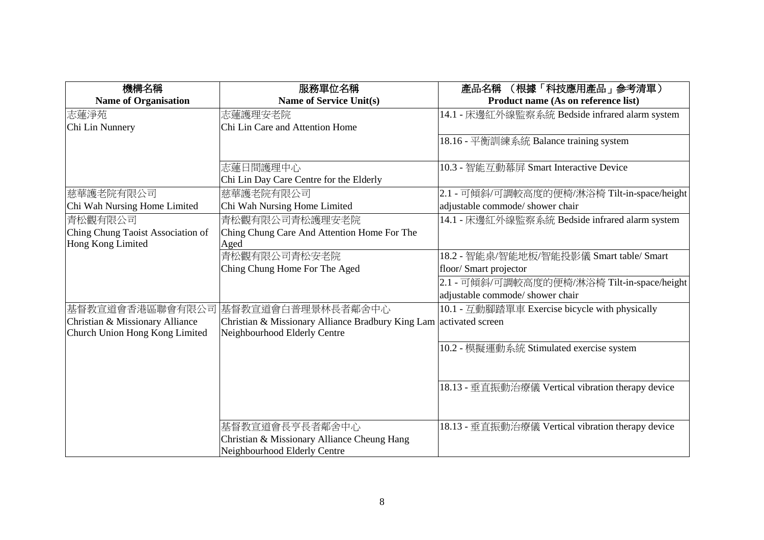| 機構名稱                              | 服務單位名稱                                            | (根據「科技應用產品」 参考清單)<br>產品名稱                         |
|-----------------------------------|---------------------------------------------------|---------------------------------------------------|
| <b>Name of Organisation</b>       | <b>Name of Service Unit(s)</b>                    | Product name (As on reference list)               |
| 志蓮淨苑                              | 志蓮護理安老院                                           | 14.1 - 床邊紅外線監察系統 Bedside infrared alarm system    |
| Chi Lin Nunnery                   | Chi Lin Care and Attention Home                   |                                                   |
|                                   |                                                   | 18.16 - 平衡訓練系統 Balance training system            |
|                                   |                                                   |                                                   |
|                                   | 志蓮日間護理中心                                          | 10.3 - 智能互動幕屏 Smart Interactive Device            |
|                                   | Chi Lin Day Care Centre for the Elderly           |                                                   |
| 慈華護老院有限公司                         | 慈華護老院有限公司                                         | 2.1 - 可傾斜/可調較高度的便椅/淋浴椅 Tilt-in-space/height       |
| Chi Wah Nursing Home Limited      | Chi Wah Nursing Home Limited                      | adjustable commode/ shower chair                  |
| 青松觀有限公司                           | 青松觀有限公司青松護理安老院                                    | 14.1 - 床邊紅外線監察系統 Bedside infrared alarm system    |
| Ching Chung Taoist Association of | Ching Chung Care And Attention Home For The       |                                                   |
| Hong Kong Limited                 | Aged                                              |                                                   |
|                                   | 青松觀有限公司青松安老院                                      | 18.2 - 智能桌/智能地板/智能投影儀 Smart table/ Smart          |
|                                   | Ching Chung Home For The Aged                     | floor/ Smart projector                            |
|                                   |                                                   | 2.1 - 可傾斜/可調較高度的便椅/淋浴椅 Tilt-in-space/height       |
|                                   |                                                   | adjustable commode/ shower chair                  |
|                                   | 基督教宣道會香港區聯會有限公司 基督教宣道會白普理景林長者鄰舍中心                 | 10.1 - 互動腳踏單車 Exercise bicycle with physically    |
| Christian & Missionary Alliance   | Christian & Missionary Alliance Bradbury King Lam | activated screen                                  |
| Church Union Hong Kong Limited    | Neighbourhood Elderly Centre                      |                                                   |
|                                   |                                                   | 10.2 - 模擬運動系統 Stimulated exercise system          |
|                                   |                                                   |                                                   |
|                                   |                                                   |                                                   |
|                                   |                                                   | 18.13 - 垂直振動治療儀 Vertical vibration therapy device |
|                                   |                                                   |                                                   |
|                                   |                                                   |                                                   |
|                                   | 基督教宣道會長亨長者鄰舍中心                                    | 18.13 - 垂直振動治療儀 Vertical vibration therapy device |
|                                   | Christian & Missionary Alliance Cheung Hang       |                                                   |
|                                   | Neighbourhood Elderly Centre                      |                                                   |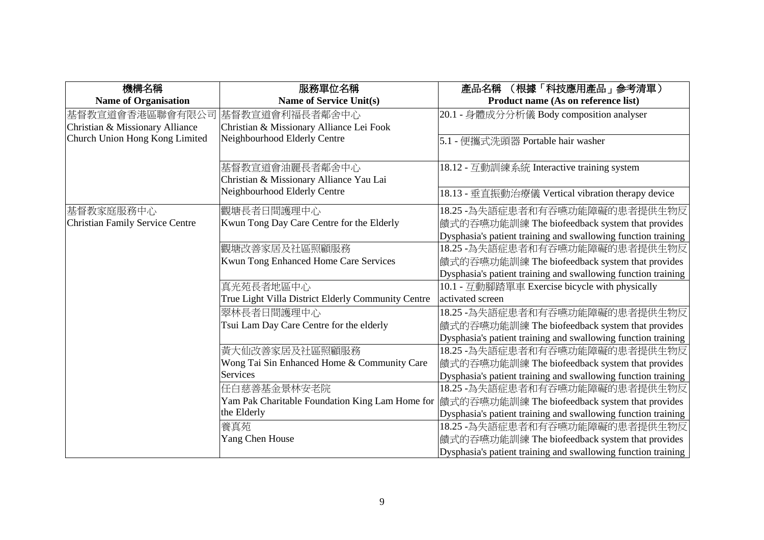| 機構名稱                            | 服務單位名稱                                             | (根據「科技應用產品」參考清單)<br>產品名稱                                      |
|---------------------------------|----------------------------------------------------|---------------------------------------------------------------|
| <b>Name of Organisation</b>     | <b>Name of Service Unit(s)</b>                     | Product name (As on reference list)                           |
| 基督教宣道會香港區聯會有限公司                 | 基督教宣道會利福長者鄰舍中心                                     | 20.1 - 身體成分分析儀 Body composition analyser                      |
| Christian & Missionary Alliance | Christian & Missionary Alliance Lei Fook           |                                                               |
| Church Union Hong Kong Limited  | Neighbourhood Elderly Centre                       | 5.1 - 便攜式洗頭器 Portable hair washer                             |
|                                 |                                                    |                                                               |
|                                 | 基督教宣道會油麗長者鄰舍中心                                     | 18.12 - 互動訓練系統 Interactive training system                    |
|                                 | Christian & Missionary Alliance Yau Lai            |                                                               |
|                                 | Neighbourhood Elderly Centre                       | 18.13 - 垂直振動治療儀 Vertical vibration therapy device             |
| 基督教家庭服務中心                       | 觀塘長者日間護理中心                                         | 18.25 -為失語症患者和有吞嚥功能障礙的患者提供生物反                                 |
| Christian Family Service Centre | Kwun Tong Day Care Centre for the Elderly          | 饋式的吞嚥功能訓練 The biofeedback system that provides                |
|                                 |                                                    | Dysphasia's patient training and swallowing function training |
|                                 | 觀塘改善家居及社區照顧服務                                      | 18.25 -為失語症患者和有吞嚥功能障礙的患者提供生物反                                 |
|                                 | Kwun Tong Enhanced Home Care Services              | 饋式的吞嚥功能訓練 The biofeedback system that provides                |
|                                 |                                                    | Dysphasia's patient training and swallowing function training |
|                                 | 真光苑長者地區中心                                          | 10.1 - 互動腳踏單車 Exercise bicycle with physically                |
|                                 | True Light Villa District Elderly Community Centre | activated screen                                              |
|                                 | 翠林長者日間護理中心                                         | 18.25 -為失語症患者和有吞嚥功能障礙的患者提供生物反                                 |
|                                 | Tsui Lam Day Care Centre for the elderly           | 饋式的吞嚥功能訓練 The biofeedback system that provides                |
|                                 |                                                    | Dysphasia's patient training and swallowing function training |
|                                 | 黃大仙改善家居及社區照顧服務                                     | 18.25 -為失語症患者和有吞嚥功能障礙的患者提供生物反                                 |
|                                 | Wong Tai Sin Enhanced Home & Community Care        | 饋式的吞嚥功能訓練 The biofeedback system that provides                |
|                                 | Services                                           | Dysphasia's patient training and swallowing function training |
|                                 | 任白慈善基金景林安老院                                        | 18.25 -為失語症患者和有吞嚥功能障礙的患者提供生物反                                 |
|                                 | Yam Pak Charitable Foundation King Lam Home for    | 饋式的吞嚥功能訓練 The biofeedback system that provides                |
|                                 | the Elderly                                        | Dysphasia's patient training and swallowing function training |
|                                 | 養真苑                                                | 18.25 -為失語症患者和有吞嚥功能障礙的患者提供生物反                                 |
|                                 | Yang Chen House                                    | 饋式的吞嚥功能訓練 The biofeedback system that provides                |
|                                 |                                                    | Dysphasia's patient training and swallowing function training |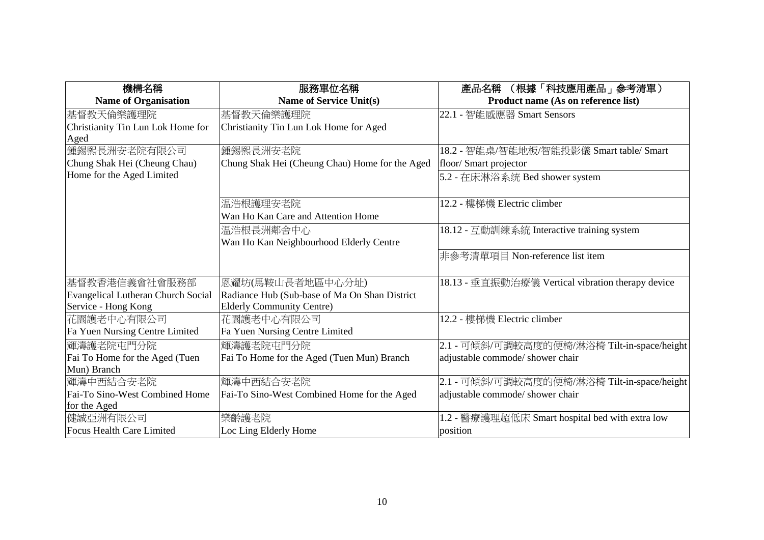| 機構名稱                               | 服務單位名稱                                         | (根據「科技應用產品」參考清單)<br>產品名稱                          |
|------------------------------------|------------------------------------------------|---------------------------------------------------|
| <b>Name of Organisation</b>        | <b>Name of Service Unit(s)</b>                 | Product name (As on reference list)               |
| 基督教天倫樂護理院                          | 基督教天倫樂護理院                                      | 22.1 - 智能感應器 Smart Sensors                        |
| Christianity Tin Lun Lok Home for  | Christianity Tin Lun Lok Home for Aged         |                                                   |
| Aged                               |                                                |                                                   |
| 鍾錫熙長洲安老院有限公司                       | 鍾錫熙長洲安老院                                       | 18.2 - 智能桌/智能地板/智能投影儀 Smart table/ Smart          |
| Chung Shak Hei (Cheung Chau)       | Chung Shak Hei (Cheung Chau) Home for the Aged | floor/ Smart projector                            |
| Home for the Aged Limited          |                                                | 5.2 - 在床淋浴系统 Bed shower system                    |
|                                    |                                                |                                                   |
|                                    | 温浩根護理安老院                                       | 12.2 - 樓梯機 Electric climber                       |
|                                    | Wan Ho Kan Care and Attention Home             |                                                   |
|                                    | 温浩根長洲鄰舍中心                                      | 18.12 - 互動訓練系統 Interactive training system        |
|                                    | Wan Ho Kan Neighbourhood Elderly Centre        |                                                   |
|                                    |                                                | 非參考清單項目 Non-reference list item                   |
|                                    |                                                |                                                   |
| 基督教香港信義會社會服務部                      | 恩耀坊(馬鞍山長者地區中心分址)                               | 18.13 - 垂直振動治療儀 Vertical vibration therapy device |
| Evangelical Lutheran Church Social | Radiance Hub (Sub-base of Ma On Shan District  |                                                   |
| Service - Hong Kong                | <b>Elderly Community Centre)</b>               |                                                   |
| 花園護老中心有限公司                         | 花園護老中心有限公司                                     | 12.2 - 樓梯機 Electric climber                       |
| Fa Yuen Nursing Centre Limited     | Fa Yuen Nursing Centre Limited                 |                                                   |
| 輝濤護老院屯門分院                          | 輝濤護老院屯門分院                                      | 2.1 - 可傾斜/可調較高度的便椅/淋浴椅 Tilt-in-space/height       |
| Fai To Home for the Aged (Tuen     | Fai To Home for the Aged (Tuen Mun) Branch     | adjustable commode/ shower chair                  |
| Mun) Branch                        |                                                |                                                   |
| 輝濤中西結合安老院                          | 輝濤中西結合安老院                                      | 2.1 - 可傾斜/可調較高度的便椅/淋浴椅 Tilt-in-space/height       |
| Fai-To Sino-West Combined Home     | Fai-To Sino-West Combined Home for the Aged    | adjustable commode/ shower chair                  |
| for the Aged                       |                                                |                                                   |
| 健誠亞洲有限公司                           | 樂齡護老院                                          | 1.2 - 醫療護理超低床 Smart hospital bed with extra low   |
| Focus Health Care Limited          | Loc Ling Elderly Home                          | position                                          |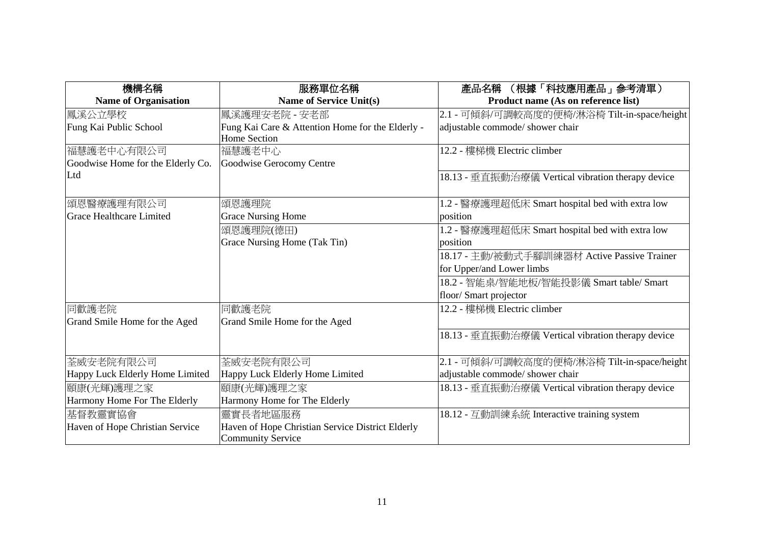| 機構名稱                              | 服務單位名稱                                           | (根據「科技應用產品」參考清單)<br>產品名稱                          |
|-----------------------------------|--------------------------------------------------|---------------------------------------------------|
| <b>Name of Organisation</b>       | Name of Service Unit(s)                          | Product name (As on reference list)               |
| 鳳溪公立學校                            | 鳳溪護理安老院 - 安老部                                    | 2.1 - 可傾斜/可調較高度的便椅/淋浴椅 Tilt-in-space/height       |
| Fung Kai Public School            | Fung Kai Care & Attention Home for the Elderly - | adjustable commode/ shower chair                  |
|                                   | <b>Home Section</b>                              |                                                   |
| 福慧護老中心有限公司                        | 福慧護老中心                                           | 12.2 - 樓梯機 Electric climber                       |
| Goodwise Home for the Elderly Co. | Goodwise Gerocomy Centre                         |                                                   |
| Ltd                               |                                                  | 18.13 - 垂直振動治療儀 Vertical vibration therapy device |
| 傾恩醫療護理有限公司                        | 頌恩護理院                                            | 1.2 - 醫療護理超低床 Smart hospital bed with extra low   |
| Grace Healthcare Limited          | <b>Grace Nursing Home</b>                        | position                                          |
|                                   | 頌恩護理院(德田)                                        | 1.2 - 醫療護理超低床 Smart hospital bed with extra low   |
|                                   | Grace Nursing Home (Tak Tin)                     | position                                          |
|                                   |                                                  | 18.17 - 主動/被動式手腳訓練器材 Active Passive Trainer       |
|                                   |                                                  | for Upper/and Lower limbs                         |
|                                   |                                                  | 18.2 - 智能桌/智能地板/智能投影儀 Smart table/ Smart          |
|                                   |                                                  | floor/ Smart projector                            |
| 同歡護老院                             | 同歡護老院                                            | 12.2 - 樓梯機 Electric climber                       |
| Grand Smile Home for the Aged     | Grand Smile Home for the Aged                    |                                                   |
|                                   |                                                  | 18.13 - 垂直振動治療儀 Vertical vibration therapy device |
| 荃威安老院有限公司                         | 荃威安老院有限公司                                        | 2.1 - 可傾斜/可調較高度的便椅/淋浴椅 Tilt-in-space/height       |
| Happy Luck Elderly Home Limited   | Happy Luck Elderly Home Limited                  | adjustable commode/ shower chair                  |
| 頤康(光輝)護理之家                        | 頤康(光輝)護理之家                                       | 18.13 - 垂直振動治療儀 Vertical vibration therapy device |
| Harmony Home For The Elderly      | Harmony Home for The Elderly                     |                                                   |
| 基督教靈實協會                           | 靈實長者地區服務                                         | 18.12 - 互動訓練系統 Interactive training system        |
| Haven of Hope Christian Service   | Haven of Hope Christian Service District Elderly |                                                   |
|                                   | <b>Community Service</b>                         |                                                   |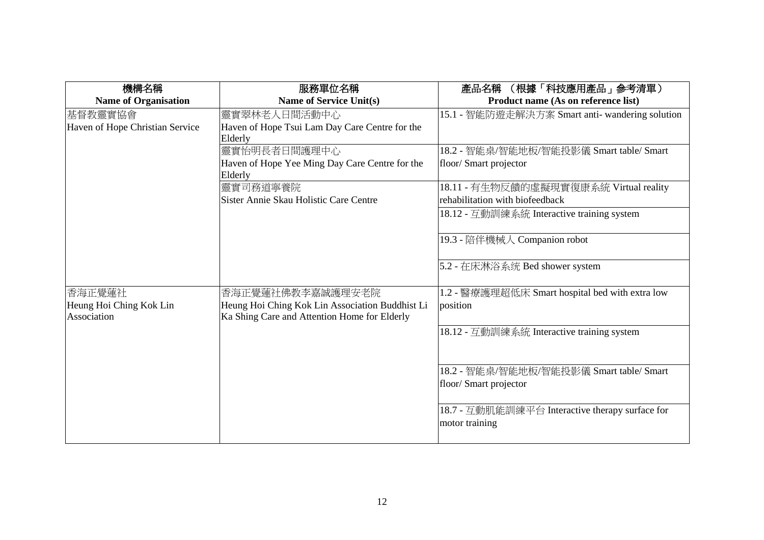| 機構名稱                            | 服務單位名稱                                          | (根據「科技應用產品」參考清單)<br>產品名稱                        |
|---------------------------------|-------------------------------------------------|-------------------------------------------------|
| <b>Name of Organisation</b>     | Name of Service Unit(s)                         | Product name (As on reference list)             |
| 基督教靈實協會                         | 靈實翠林老人日間活動中心                                    | 15.1 - 智能防遊走解決方案 Smart anti- wandering solution |
| Haven of Hope Christian Service | Haven of Hope Tsui Lam Day Care Centre for the  |                                                 |
|                                 | Elderly                                         |                                                 |
|                                 | 靈實怡明長者日間護理中心                                    | 18.2 - 智能桌/智能地板/智能投影儀 Smart table/ Smart        |
|                                 | Haven of Hope Yee Ming Day Care Centre for the  | floor/ Smart projector                          |
|                                 | Elderly                                         |                                                 |
|                                 | 靈實司務道寧養院                                        | 18.11 - 有生物反饋的虛擬現實復康系統 Virtual reality          |
|                                 | Sister Annie Skau Holistic Care Centre          | rehabilitation with biofeedback                 |
|                                 |                                                 | 18.12 - 互動訓練系統 Interactive training system      |
|                                 |                                                 |                                                 |
|                                 |                                                 | 19.3 - 陪伴機械人 Companion robot                    |
|                                 |                                                 |                                                 |
|                                 |                                                 | 5.2 - 在床淋浴系统 Bed shower system                  |
|                                 |                                                 |                                                 |
| 香海正覺蓮社                          | 香海正覺蓮社佛教李嘉誠護理安老院                                | 1.2 - 醫療護理超低床 Smart hospital bed with extra low |
| Heung Hoi Ching Kok Lin         | Heung Hoi Ching Kok Lin Association Buddhist Li | position                                        |
| Association                     | Ka Shing Care and Attention Home for Elderly    |                                                 |
|                                 |                                                 | 18.12 - 互動訓練系統 Interactive training system      |
|                                 |                                                 |                                                 |
|                                 |                                                 |                                                 |
|                                 |                                                 | 18.2 - 智能桌/智能地板/智能投影儀 Smart table/ Smart        |
|                                 |                                                 | floor/ Smart projector                          |
|                                 |                                                 |                                                 |
|                                 |                                                 | 18.7 - 互動肌能訓練平台 Interactive therapy surface for |
|                                 |                                                 | motor training                                  |
|                                 |                                                 |                                                 |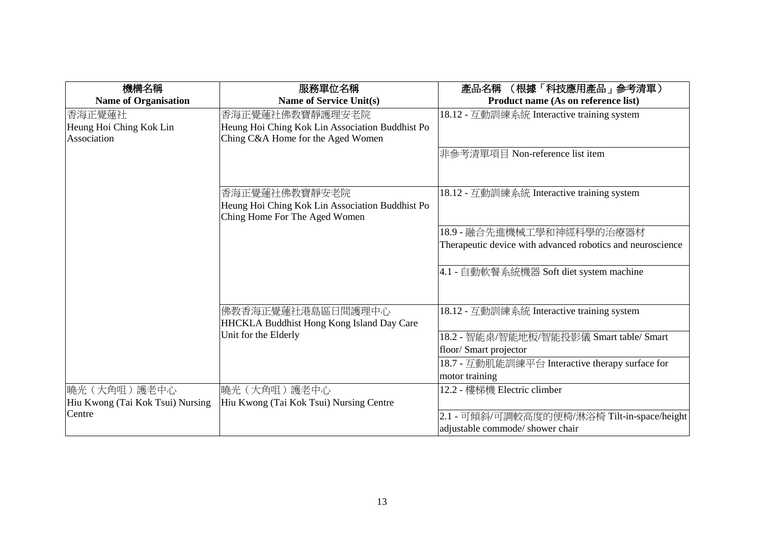| 機構名稱                             | 服務單位名稱                                                                           | (根據「科技應用產品」參考清單)<br>產品名稱                                   |
|----------------------------------|----------------------------------------------------------------------------------|------------------------------------------------------------|
| <b>Name of Organisation</b>      | <b>Name of Service Unit(s)</b>                                                   | Product name (As on reference list)                        |
| 香海正覺蓮社                           | 香海正覺蓮社佛教寶靜護理安老院                                                                  | 18.12 - 互動訓練系統 Interactive training system                 |
| Heung Hoi Ching Kok Lin          | Heung Hoi Ching Kok Lin Association Buddhist Po                                  |                                                            |
| Association                      | Ching C&A Home for the Aged Women                                                |                                                            |
|                                  |                                                                                  | 非參考清單項目 Non-reference list item                            |
|                                  | 香海正覺蓮社佛教寶靜安老院                                                                    | 18.12 - 互動訓練系統 Interactive training system                 |
|                                  | Heung Hoi Ching Kok Lin Association Buddhist Po<br>Ching Home For The Aged Women |                                                            |
|                                  |                                                                                  | 18.9 - 融合先進機械工學和神經科學的治療器材                                  |
|                                  |                                                                                  | Therapeutic device with advanced robotics and neuroscience |
|                                  |                                                                                  | 4.1 - 自動軟餐系統機器 Soft diet system machine                    |
|                                  | 佛教香海正覺蓮社港島區日間護理中心<br><b>HHCKLA Buddhist Hong Kong Island Day Care</b>            | 18.12 - 互動訓練系統 Interactive training system                 |
|                                  | Unit for the Elderly                                                             | 18.2 - 智能桌/智能地板/智能投影儀 Smart table/ Smart                   |
|                                  |                                                                                  | floor/ Smart projector                                     |
|                                  |                                                                                  | 18.7 - 互動肌能訓練平台 Interactive therapy surface for            |
|                                  |                                                                                  | motor training                                             |
| 曉光 (大角咀) 護老中心                    | 曉光 (大角咀) 護老中心                                                                    | 12.2 - 樓梯機 Electric climber                                |
| Hiu Kwong (Tai Kok Tsui) Nursing | Hiu Kwong (Tai Kok Tsui) Nursing Centre                                          |                                                            |
| Centre                           |                                                                                  | 2.1 - 可傾斜/可調較高度的便椅/淋浴椅 Tilt-in-space/height                |
|                                  |                                                                                  | adjustable commode/ shower chair                           |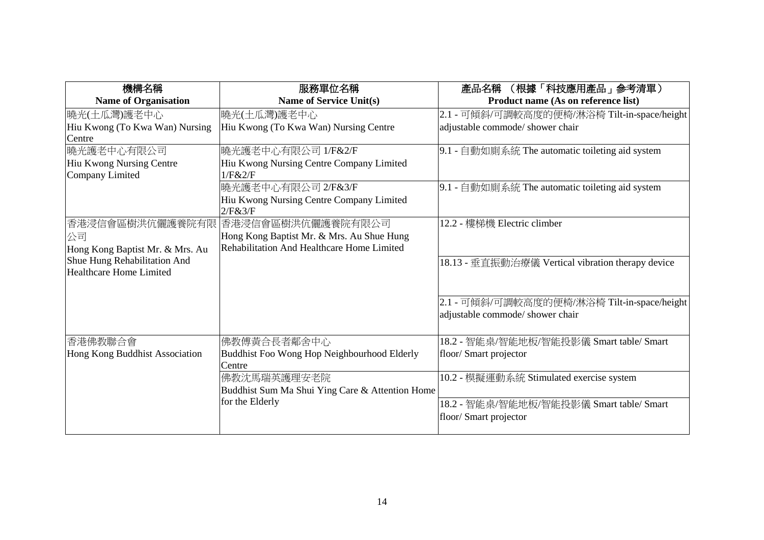| 機構名稱                            | 服務單位名稱                                          | (根據「科技應用產品」参考清單)<br>產品名稱                          |
|---------------------------------|-------------------------------------------------|---------------------------------------------------|
| <b>Name of Organisation</b>     | <b>Name of Service Unit(s)</b>                  | Product name (As on reference list)               |
| 曉光(土瓜灣)護老中心                     | 曉光(土瓜灣)護老中心                                     | 2.1 - 可傾斜/可調較高度的便椅/淋浴椅 Tilt-in-space/height       |
| Hiu Kwong (To Kwa Wan) Nursing  | Hiu Kwong (To Kwa Wan) Nursing Centre           | adjustable commode/ shower chair                  |
| Centre                          |                                                 |                                                   |
| 曉光護老中心有限公司                      | 曉光護老中心有限公司 1/F&2/F                              | 9.1 - 自動如廁系統 The automatic toileting aid system   |
| Hiu Kwong Nursing Centre        | Hiu Kwong Nursing Centre Company Limited        |                                                   |
| Company Limited                 | 1/F&2/F                                         |                                                   |
|                                 | 曉光護老中心有限公司 2/F&3/F                              | 9.1 - 自動如廁系統 The automatic toileting aid system   |
|                                 | Hiu Kwong Nursing Centre Company Limited        |                                                   |
|                                 | 2/F&3/F                                         |                                                   |
| 香港浸信會區樹洪伉儷護養院有限                 | 香港浸信會區樹洪伉儷護養院有限公司                               | 12.2 - 樓梯機 Electric climber                       |
| 公司                              | Hong Kong Baptist Mr. & Mrs. Au Shue Hung       |                                                   |
| Hong Kong Baptist Mr. & Mrs. Au | Rehabilitation And Healthcare Home Limited      |                                                   |
| Shue Hung Rehabilitation And    |                                                 | 18.13 - 垂直振動治療儀 Vertical vibration therapy device |
| Healthcare Home Limited         |                                                 |                                                   |
|                                 |                                                 |                                                   |
|                                 |                                                 | 2.1 - 可傾斜/可調較高度的便椅/淋浴椅 Tilt-in-space/height       |
|                                 |                                                 | adjustable commode/ shower chair                  |
|                                 |                                                 |                                                   |
| 香港佛教聯合會                         | 佛教傅黃合長者鄰舍中心                                     | 18.2 - 智能桌/智能地板/智能投影儀 Smart table/ Smart          |
| Hong Kong Buddhist Association  | Buddhist Foo Wong Hop Neighbourhood Elderly     | floor/ Smart projector                            |
|                                 | Centre                                          |                                                   |
|                                 | 佛教沈馬瑞英護理安老院                                     | 10.2 - 模擬運動系統 Stimulated exercise system          |
|                                 | Buddhist Sum Ma Shui Ying Care & Attention Home |                                                   |
|                                 | for the Elderly                                 | 18.2 - 智能桌/智能地板/智能投影儀 Smart table/ Smart          |
|                                 |                                                 | floor/ Smart projector                            |
|                                 |                                                 |                                                   |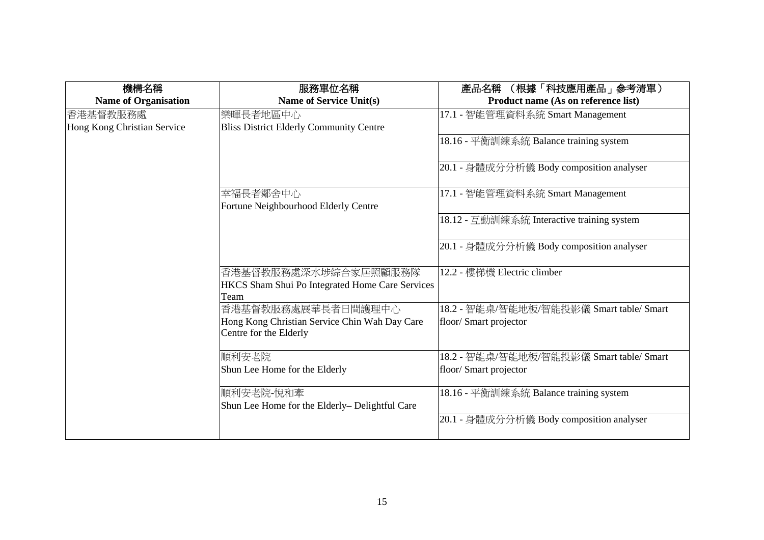| 機構名稱                        | 服務單位名稱                                                                  | (根據「科技應用產品」参考清單)<br>產品名稱                   |
|-----------------------------|-------------------------------------------------------------------------|--------------------------------------------|
| <b>Name of Organisation</b> | <b>Name of Service Unit(s)</b>                                          | Product name (As on reference list)        |
| 香港基督教服務處                    | 樂暉長者地區中心                                                                | 17.1 - 智能管理資料系統 Smart Management           |
| Hong Kong Christian Service | <b>Bliss District Elderly Community Centre</b>                          |                                            |
|                             |                                                                         | 18.16 - 平衡訓練系統 Balance training system     |
|                             |                                                                         | 20.1 - 身體成分分析儀 Body composition analyser   |
|                             | 幸福長者鄰舍中心<br>Fortune Neighbourhood Elderly Centre                        | 17.1 - 智能管理資料系統 Smart Management           |
|                             |                                                                         | 18.12 - 互動訓練系統 Interactive training system |
|                             |                                                                         | 20.1 - 身體成分分析儀 Body composition analyser   |
|                             | 香港基督教服務處深水埗綜合家居照顧服務隊                                                    | 12.2 - 樓梯機 Electric climber                |
|                             | HKCS Sham Shui Po Integrated Home Care Services                         |                                            |
|                             | Team                                                                    |                                            |
|                             | 香港基督教服務處展華長者日間護理中心                                                      | 18.2 - 智能桌/智能地板/智能投影儀 Smart table/ Smart   |
|                             | Hong Kong Christian Service Chin Wah Day Care<br>Centre for the Elderly | floor/ Smart projector                     |
|                             | 順利安老院                                                                   | 18.2 - 智能桌/智能地板/智能投影儀 Smart table/ Smart   |
|                             |                                                                         |                                            |
|                             | Shun Lee Home for the Elderly                                           | floor/ Smart projector                     |
|                             | 順利安老院-悅和牽                                                               | 18.16 - 平衡訓練系統 Balance training system     |
|                             | Shun Lee Home for the Elderly- Delightful Care                          |                                            |
|                             |                                                                         | 20.1 - 身體成分分析儀 Body composition analyser   |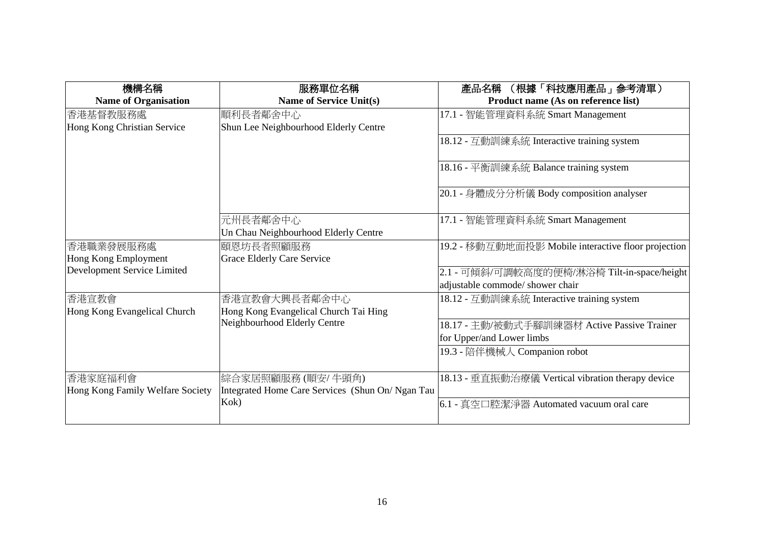| 機構名稱                             | 服務單位名稱                                           | (根據「科技應用產品」参考清單)<br>產品名稱                            |
|----------------------------------|--------------------------------------------------|-----------------------------------------------------|
| <b>Name of Organisation</b>      | <b>Name of Service Unit(s)</b>                   | Product name (As on reference list)                 |
| 香港基督教服務處                         | 順利長者鄰舍中心                                         | 17.1 - 智能管理資料系統 Smart Management                    |
| Hong Kong Christian Service      | Shun Lee Neighbourhood Elderly Centre            |                                                     |
|                                  |                                                  | 18.12 - 互動訓練系統 Interactive training system          |
|                                  |                                                  | 18.16 - 平衡訓練系統 Balance training system              |
|                                  |                                                  | 20.1 - 身體成分分析儀 Body composition analyser            |
|                                  | 元州長者鄰舍中心                                         | 17.1 - 智能管理資料系統 Smart Management                    |
|                                  | Un Chau Neighbourhood Elderly Centre             |                                                     |
| 香港職業發展服務處                        | 頤恩坊長者照顧服務                                        | 19.2 - 移動互動地面投影 Mobile interactive floor projection |
| Hong Kong Employment             | <b>Grace Elderly Care Service</b>                |                                                     |
| Development Service Limited      |                                                  | 2.1 - 可傾斜/可調較高度的便椅/淋浴椅 Tilt-in-space/height         |
|                                  |                                                  | adjustable commode/ shower chair                    |
| 香港宣教會                            | 香港宣教會大興長者鄰舍中心                                    | 18.12 - 互動訓練系統 Interactive training system          |
| Hong Kong Evangelical Church     | Hong Kong Evangelical Church Tai Hing            |                                                     |
|                                  | Neighbourhood Elderly Centre                     | 18.17 - 主動/被動式手腳訓練器材 Active Passive Trainer         |
|                                  |                                                  | for Upper/and Lower limbs                           |
|                                  |                                                  | 19.3 - 陪伴機械人 Companion robot                        |
|                                  |                                                  |                                                     |
| 香港家庭福利會                          | 綜合家居照顧服務(順安/牛頭角)                                 | 18.13 - 垂直振動治療儀 Vertical vibration therapy device   |
| Hong Kong Family Welfare Society | Integrated Home Care Services (Shun On/ Ngan Tau |                                                     |
|                                  | Kok)                                             | 6.1 - 真空口腔潔淨器 Automated vacuum oral care            |
|                                  |                                                  |                                                     |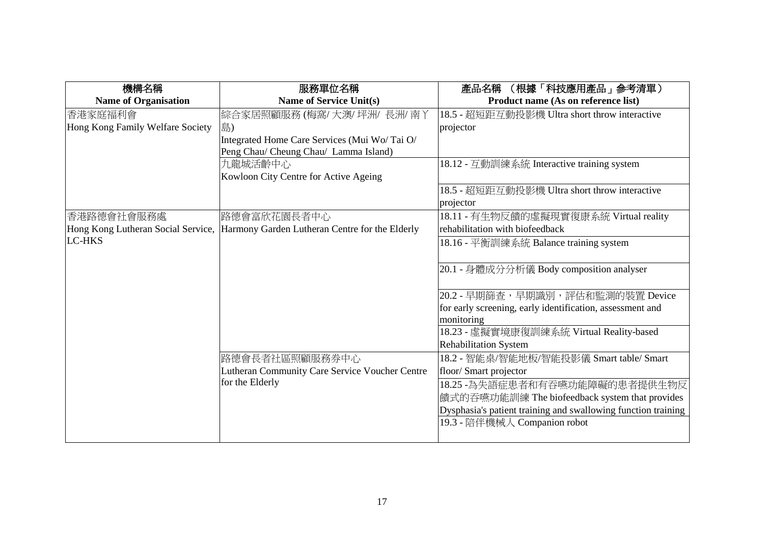| 機構名稱                             | 服務單位名稱                                                                                | (根據「科技應用產品」参考清單)<br>產品名稱                                                                      |
|----------------------------------|---------------------------------------------------------------------------------------|-----------------------------------------------------------------------------------------------|
| <b>Name of Organisation</b>      | <b>Name of Service Unit(s)</b>                                                        | Product name (As on reference list)                                                           |
| 香港家庭福利會                          | 綜合家居照顧服務 (梅窩/大澳/坪洲/長洲/南丫                                                              | 18.5 - 超短距互動投影機 Ultra short throw interactive                                                 |
| Hong Kong Family Welfare Society | 島)                                                                                    | projector                                                                                     |
|                                  | Integrated Home Care Services (Mui Wo/Tai O/<br>Peng Chau/ Cheung Chau/ Lamma Island) |                                                                                               |
|                                  | 九龍城活齡中心<br>Kowloon City Centre for Active Ageing                                      | 18.12 - 互動訓練系統 Interactive training system                                                    |
|                                  |                                                                                       | 18.5 - 超短距互動投影機 Ultra short throw interactive<br>projector                                    |
| 香港路德會社會服務處                       | 路德會富欣花園長者中心                                                                           | 18.11 - 有生物反饋的虛擬現實復康系統 Virtual reality                                                        |
|                                  | Hong Kong Lutheran Social Service, Harmony Garden Lutheran Centre for the Elderly     | rehabilitation with biofeedback                                                               |
| <b>LC-HKS</b>                    |                                                                                       | 18.16 - 平衡訓練系統 Balance training system                                                        |
|                                  |                                                                                       | 20.1 - 身體成分分析儀 Body composition analyser                                                      |
|                                  |                                                                                       | 20.2 - 早期篩查,早期識別,評估和監測的裝置 Device                                                              |
|                                  |                                                                                       | for early screening, early identification, assessment and                                     |
|                                  |                                                                                       | monitoring                                                                                    |
|                                  |                                                                                       | 18.23 - 虛擬實境康復訓練系統 Virtual Reality-based                                                      |
|                                  |                                                                                       | <b>Rehabilitation System</b>                                                                  |
|                                  | 路德會長者社區照顧服務券中心                                                                        | 18.2 - 智能桌/智能地板/智能投影儀 Smart table/ Smart                                                      |
|                                  | <b>Lutheran Community Care Service Voucher Centre</b>                                 | floor/ Smart projector                                                                        |
|                                  | for the Elderly                                                                       | 18.25 -為失語症患者和有吞嚥功能障礙的患者提供生物反                                                                 |
|                                  |                                                                                       | 饋式的吞嚥功能訓練 The biofeedback system that provides                                                |
|                                  |                                                                                       | Dysphasia's patient training and swallowing function training<br>19.3 - 陪伴機械人 Companion robot |
|                                  |                                                                                       |                                                                                               |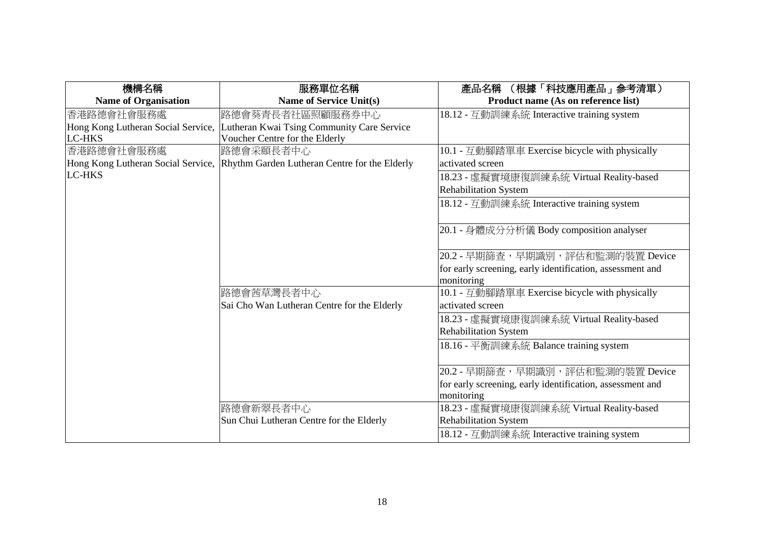| 機構名稱                               | 服務單位名稱                                                                           | 產品名稱 (根據「科技應用產品」參考清單)                                     |
|------------------------------------|----------------------------------------------------------------------------------|-----------------------------------------------------------|
| <b>Name of Organisation</b>        | <b>Name of Service Unit(s)</b>                                                   | Product name (As on reference list)                       |
| 香港路德會社會服務處                         | 路德會葵青長者社區照顧服務券中心                                                                 | 18.12 - 互動訓練系統 Interactive training system                |
| Hong Kong Lutheran Social Service, | Lutheran Kwai Tsing Community Care Service                                       |                                                           |
| <b>LC-HKS</b>                      | Voucher Centre for the Elderly                                                   |                                                           |
| 香港路德會社會服務處                         | 路德會采頤長者中心                                                                        | 10.1 - 互動腳踏單車 Exercise bicycle with physically            |
|                                    | Hong Kong Lutheran Social Service, Rhythm Garden Lutheran Centre for the Elderly | activated screen                                          |
| <b>LC-HKS</b>                      |                                                                                  | 18.23 - 虛擬實境康復訓練系統 Virtual Reality-based                  |
|                                    |                                                                                  | <b>Rehabilitation System</b>                              |
|                                    |                                                                                  | 18.12 - 互動訓練系統 Interactive training system                |
|                                    |                                                                                  |                                                           |
|                                    |                                                                                  | 20.1 - 身體成分分析儀 Body composition analyser                  |
|                                    |                                                                                  |                                                           |
|                                    |                                                                                  | 20.2 - 早期篩查,早期識別,評估和監測的裝置 Device                          |
|                                    |                                                                                  | for early screening, early identification, assessment and |
|                                    |                                                                                  | monitoring                                                |
|                                    | 路德會茜草灣長者中心                                                                       | 10.1 - 互動腳踏單車 Exercise bicycle with physically            |
|                                    | Sai Cho Wan Lutheran Centre for the Elderly                                      | activated screen                                          |
|                                    |                                                                                  | 18.23 - 虛擬實境康復訓練系統 Virtual Reality-based                  |
|                                    |                                                                                  | <b>Rehabilitation System</b>                              |
|                                    |                                                                                  | 18.16 - 平衡訓練系統 Balance training system                    |
|                                    |                                                                                  |                                                           |
|                                    |                                                                                  | 20.2 - 早期篩查,早期識別,評估和監測的裝置 Device                          |
|                                    |                                                                                  | for early screening, early identification, assessment and |
|                                    |                                                                                  | monitoring                                                |
|                                    | 路德會新翠長者中心                                                                        | 18.23 - 虛擬實境康復訓練系統 Virtual Reality-based                  |
|                                    | Sun Chui Lutheran Centre for the Elderly                                         | Rehabilitation System                                     |
|                                    |                                                                                  | 18.12 - 互動訓練系統 Interactive training system                |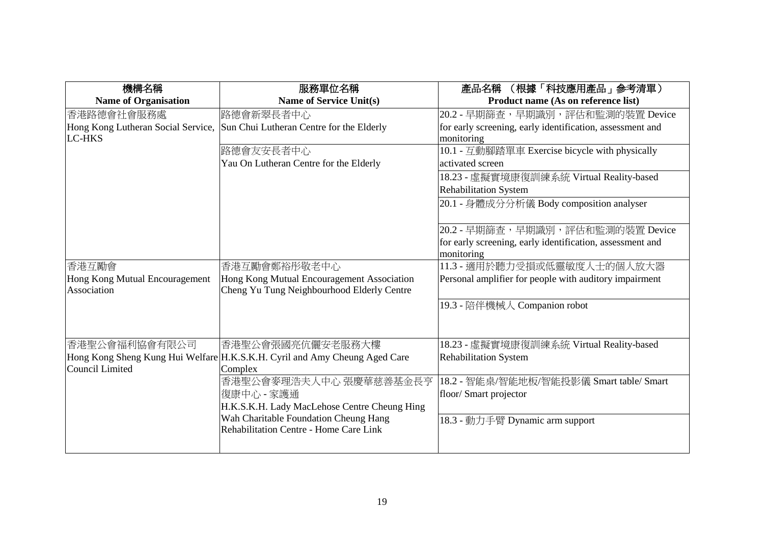| 機構名稱                           | 服務單位名稱                                                                      | (根據「科技應用產品」參考清單)<br>產品名稱                                  |
|--------------------------------|-----------------------------------------------------------------------------|-----------------------------------------------------------|
| <b>Name of Organisation</b>    | Name of Service Unit(s)                                                     | Product name (As on reference list)                       |
| 香港路德會社會服務處                     | 路德會新翠長者中心                                                                   | 20.2 - 早期篩查,早期識別,評估和監測的裝置 Device                          |
|                                | Hong Kong Lutheran Social Service, Sun Chui Lutheran Centre for the Elderly | for early screening, early identification, assessment and |
| <b>LC-HKS</b>                  |                                                                             | monitoring                                                |
|                                | 路德會友安長者中心                                                                   | 10.1 - 互動腳踏單車 Exercise bicycle with physically            |
|                                | Yau On Lutheran Centre for the Elderly                                      | activated screen                                          |
|                                |                                                                             | 18.23 - 虛擬實境康復訓練系統 Virtual Reality-based                  |
|                                |                                                                             | <b>Rehabilitation System</b>                              |
|                                |                                                                             | 20.1 - 身體成分分析儀 Body composition analyser                  |
|                                |                                                                             |                                                           |
|                                |                                                                             | 20.2 - 早期篩查,早期識別,評估和監測的裝置 Device                          |
|                                |                                                                             | for early screening, early identification, assessment and |
|                                |                                                                             | monitoring                                                |
| 香港互勵會                          | 香港互勵會鄭裕彤敬老中心                                                                | 11.3 - 適用於聽力受損或低靈敏度人士的個人放大器                               |
| Hong Kong Mutual Encouragement | Hong Kong Mutual Encouragement Association                                  | Personal amplifier for people with auditory impairment    |
| Association                    | Cheng Yu Tung Neighbourhood Elderly Centre                                  |                                                           |
|                                |                                                                             | 19.3 - 陪伴機械人 Companion robot                              |
|                                |                                                                             |                                                           |
|                                |                                                                             |                                                           |
| 香港聖公會福利協會有限公司                  | 香港聖公會張國亮伉儷安老服務大樓                                                            | 18.23 - 虛擬實境康復訓練系統 Virtual Reality-based                  |
|                                | Hong Kong Sheng Kung Hui Welfare H.K.S.K.H. Cyril and Amy Cheung Aged Care  | <b>Rehabilitation System</b>                              |
| Council Limited                | Complex                                                                     |                                                           |
|                                | 香港聖公會麥理浩夫人中心 張慶華慈善基金長亨                                                      | 18.2 - 智能桌/智能地板/智能投影儀 Smart table/ Smart                  |
|                                | 復康中心 - 家護通                                                                  | floor/ Smart projector                                    |
|                                | H.K.S.K.H. Lady MacLehose Centre Cheung Hing                                |                                                           |
|                                | Wah Charitable Foundation Cheung Hang                                       | 18.3 - 動力手臂 Dynamic arm support                           |
|                                | Rehabilitation Centre - Home Care Link                                      |                                                           |
|                                |                                                                             |                                                           |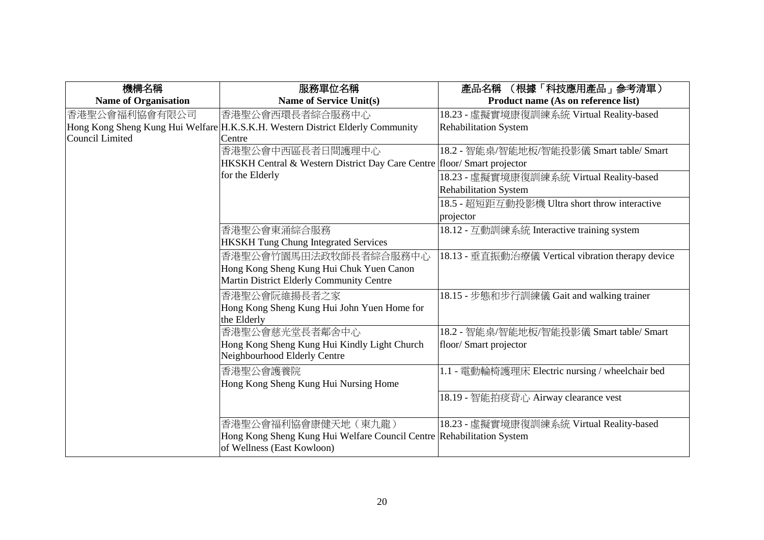| 機構名稱                        | 服務單位名稱                                                                         | 產品名稱 (根據「科技應用產品」參考清單)                             |
|-----------------------------|--------------------------------------------------------------------------------|---------------------------------------------------|
| <b>Name of Organisation</b> | <b>Name of Service Unit(s)</b>                                                 | Product name (As on reference list)               |
| 香港聖公會福利協會有限公司               | 香港聖公會西環長者綜合服務中心                                                                | 18.23 - 虛擬實境康復訓練系統 Virtual Reality-based          |
|                             | Hong Kong Sheng Kung Hui Welfare H.K.S.K.H. Western District Elderly Community | <b>Rehabilitation System</b>                      |
| Council Limited             | Centre                                                                         |                                                   |
|                             | 香港聖公會中西區長者日間護理中心                                                               | 18.2 - 智能桌/智能地板/智能投影儀 Smart table/ Smart          |
|                             | HKSKH Central & Western District Day Care Centre floor/ Smart projector        |                                                   |
|                             | for the Elderly                                                                | 18.23 - 虛擬實境康復訓練系統 Virtual Reality-based          |
|                             |                                                                                | <b>Rehabilitation System</b>                      |
|                             |                                                                                | 18.5 - 超短距互動投影機 Ultra short throw interactive     |
|                             |                                                                                | projector                                         |
|                             | 香港聖公會東涌綜合服務                                                                    | 18.12 - 互動訓練系統 Interactive training system        |
|                             | <b>HKSKH Tung Chung Integrated Services</b>                                    |                                                   |
|                             | 香港聖公會竹園馬田法政牧師長者綜合服務中心                                                          | 18.13 - 垂直振動治療儀 Vertical vibration therapy device |
|                             | Hong Kong Sheng Kung Hui Chuk Yuen Canon                                       |                                                   |
|                             | Martin District Elderly Community Centre                                       |                                                   |
|                             | 香港聖公會阮維揚長者之家                                                                   | 18.15 - 步態和步行訓練儀 Gait and walking trainer         |
|                             | Hong Kong Sheng Kung Hui John Yuen Home for                                    |                                                   |
|                             | the Elderly                                                                    |                                                   |
|                             | 香港聖公會慈光堂長者鄰舍中心                                                                 | 18.2 - 智能桌/智能地板/智能投影儀 Smart table/ Smart          |
|                             | Hong Kong Sheng Kung Hui Kindly Light Church                                   | floor/ Smart projector                            |
|                             | Neighbourhood Elderly Centre                                                   |                                                   |
|                             | 香港聖公會護養院                                                                       | 1.1 - 電動輪椅護理床 Electric nursing / wheelchair bed   |
|                             | Hong Kong Sheng Kung Hui Nursing Home                                          |                                                   |
|                             |                                                                                | 18.19 - 智能拍痰背心 Airway clearance vest              |
|                             |                                                                                |                                                   |
|                             | 香港聖公會福利協會康健天地(東九龍)                                                             | 18.23 - 虛擬實境康復訓練系統 Virtual Reality-based          |
|                             | Hong Kong Sheng Kung Hui Welfare Council Centre Rehabilitation System          |                                                   |
|                             | of Wellness (East Kowloon)                                                     |                                                   |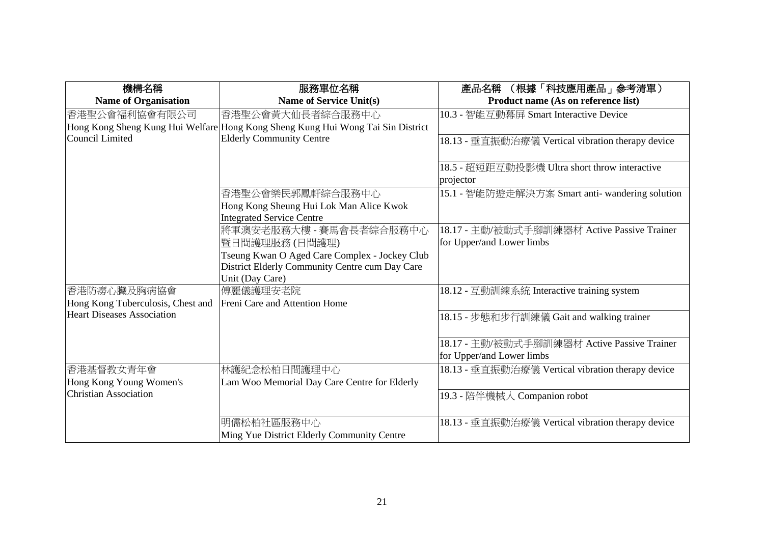| 機構名稱                              | 服務單位名稱                                                                          | (根據「科技應用產品」参考清單)<br>產品名稱                          |
|-----------------------------------|---------------------------------------------------------------------------------|---------------------------------------------------|
| <b>Name of Organisation</b>       | <b>Name of Service Unit(s)</b>                                                  | Product name (As on reference list)               |
| 香港聖公會福利協會有限公司                     | 香港聖公會黃大仙長者綜合服務中心                                                                | 10.3 - 智能互動幕屏 Smart Interactive Device            |
|                                   | Hong Kong Sheng Kung Hui Welfare Hong Kong Sheng Kung Hui Wong Tai Sin District |                                                   |
| <b>Council Limited</b>            | <b>Elderly Community Centre</b>                                                 | 18.13 - 垂直振動治療儀 Vertical vibration therapy device |
|                                   |                                                                                 |                                                   |
|                                   |                                                                                 | 18.5 - 超短距互動投影機 Ultra short throw interactive     |
|                                   |                                                                                 | projector                                         |
|                                   | 香港聖公會樂民郭鳳軒綜合服務中心                                                                | 15.1 - 智能防遊走解決方案 Smart anti- wandering solution   |
|                                   | Hong Kong Sheung Hui Lok Man Alice Kwok                                         |                                                   |
|                                   | <b>Integrated Service Centre</b>                                                |                                                   |
|                                   | 將軍澳安老服務大樓 - 賽馬會長者綜合服務中心                                                         | 18.17 - 主動/被動式手腳訓練器材 Active Passive Trainer       |
|                                   | 暨日間護理服務 (日間護理)                                                                  | for Upper/and Lower limbs                         |
|                                   | Tseung Kwan O Aged Care Complex - Jockey Club                                   |                                                   |
|                                   | District Elderly Community Centre cum Day Care                                  |                                                   |
|                                   | Unit (Day Care)                                                                 |                                                   |
| 香港防癆心臟及胸病協會                       | 傅麗儀護理安老院                                                                        | 18.12 - 互動訓練系統 Interactive training system        |
| Hong Kong Tuberculosis, Chest and | Freni Care and Attention Home                                                   |                                                   |
| <b>Heart Diseases Association</b> |                                                                                 | 18.15 - 步態和步行訓練儀 Gait and walking trainer         |
|                                   |                                                                                 |                                                   |
|                                   |                                                                                 | 18.17 - 主動/被動式手腳訓練器材 Active Passive Trainer       |
|                                   |                                                                                 | for Upper/and Lower limbs                         |
| 香港基督教女青年會                         | 林護紀念松柏日間護理中心                                                                    | 18.13 - 垂直振動治療儀 Vertical vibration therapy device |
| Hong Kong Young Women's           | Lam Woo Memorial Day Care Centre for Elderly                                    |                                                   |
| <b>Christian Association</b>      |                                                                                 | 19.3 - 陪伴機械人 Companion robot                      |
|                                   |                                                                                 |                                                   |
|                                   | 明儒松柏社區服務中心                                                                      | 18.13 - 垂直振動治療儀 Vertical vibration therapy device |
|                                   | Ming Yue District Elderly Community Centre                                      |                                                   |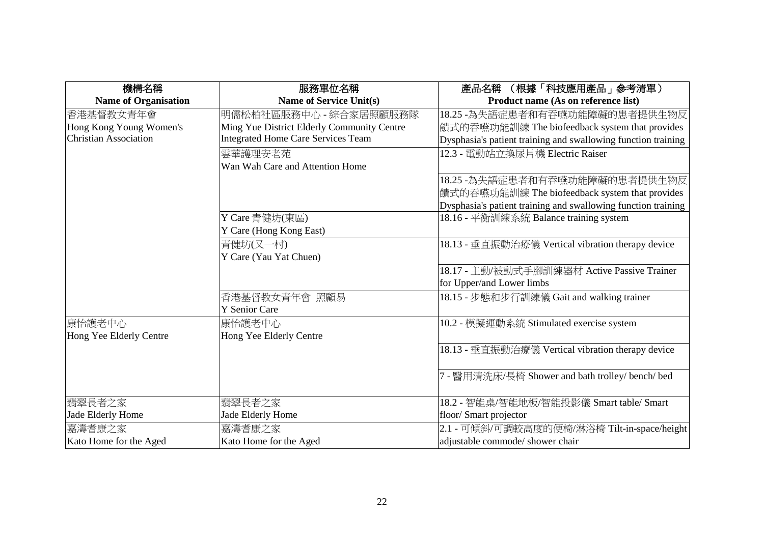| 機構名稱                         | 服務單位名稱                                     | (根據「科技應用產品」参考清單)<br>產品名稱                                      |
|------------------------------|--------------------------------------------|---------------------------------------------------------------|
| <b>Name of Organisation</b>  | <b>Name of Service Unit(s)</b>             | Product name (As on reference list)                           |
| 香港基督教女青年會                    | 明儒松柏社區服務中心 - 綜合家居照顧服務隊                     | 18.25 -為失語症患者和有吞嚥功能障礙的患者提供生物反                                 |
| Hong Kong Young Women's      | Ming Yue District Elderly Community Centre | 饋式的吞嚥功能訓練 The biofeedback system that provides                |
| <b>Christian Association</b> | <b>Integrated Home Care Services Team</b>  | Dysphasia's patient training and swallowing function training |
|                              | 雲華護理安老苑                                    | 12.3 - 電動站立換尿片機 Electric Raiser                               |
|                              | Wan Wah Care and Attention Home            |                                                               |
|                              |                                            | 18.25 -為失語症患者和有吞嚥功能障礙的患者提供生物反                                 |
|                              |                                            | 饋式的吞嚥功能訓練 The biofeedback system that provides                |
|                              |                                            | Dysphasia's patient training and swallowing function training |
|                              | Y Care 青健坊(東區)                             | 18.16 - 平衡訓練系統 Balance training system                        |
|                              | Y Care (Hong Kong East)                    |                                                               |
|                              | 青健坊(又一村)                                   | 18.13 - 垂直振動治療儀 Vertical vibration therapy device             |
|                              | Y Care (Yau Yat Chuen)                     |                                                               |
|                              |                                            | 18.17 - 主動/被動式手腳訓練器材 Active Passive Trainer                   |
|                              |                                            | for Upper/and Lower limbs                                     |
|                              | 香港基督教女青年會 照顧易                              | 18.15 - 步態和步行訓練儀 Gait and walking trainer                     |
|                              | <b>Y</b> Senior Care                       |                                                               |
| 康怡護老中心                       | 康怡護老中心                                     | 10.2 - 模擬運動系統 Stimulated exercise system                      |
| Hong Yee Elderly Centre      | Hong Yee Elderly Centre                    |                                                               |
|                              |                                            | 18.13 - 垂直振動治療儀 Vertical vibration therapy device             |
|                              |                                            | 7 - 醫用清洗床/長椅 Shower and bath trolley/ bench/ bed              |
|                              |                                            |                                                               |
| 翡翠長者之家                       | 翡翠長者之家                                     | 18.2 - 智能桌/智能地板/智能投影儀 Smart table/ Smart                      |
| Jade Elderly Home            | Jade Elderly Home                          | floor/ Smart projector                                        |
| 嘉濤者康之家                       | 嘉濤者康之家                                     | 2.1 - 可傾斜/可調較高度的便椅/淋浴椅 Tilt-in-space/height                   |
| Kato Home for the Aged       | Kato Home for the Aged                     | adjustable commode/ shower chair                              |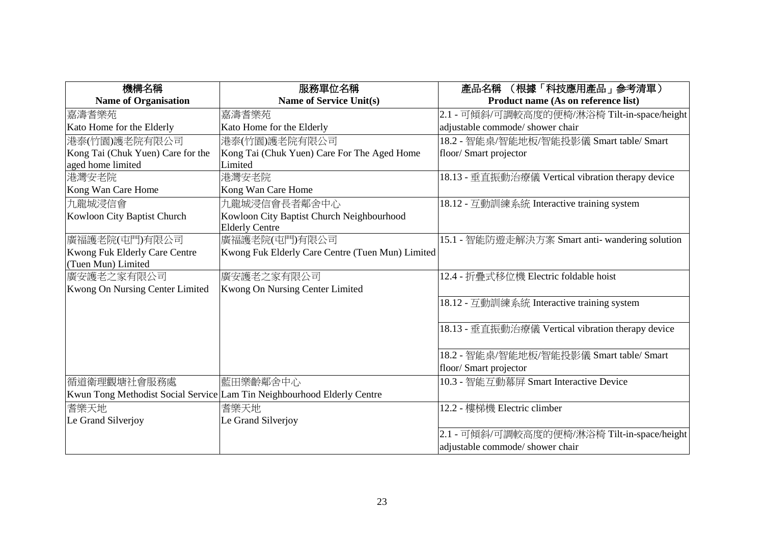| 機構名稱                              | 服務單位名稱                                                                  | 產品名稱 (根據「科技應用產品」參考清單)                             |
|-----------------------------------|-------------------------------------------------------------------------|---------------------------------------------------|
| <b>Name of Organisation</b>       | <b>Name of Service Unit(s)</b>                                          | Product name (As on reference list)               |
| 嘉濤者樂苑                             | 嘉濤者樂苑                                                                   | 2.1 - 可傾斜/可調較高度的便椅/淋浴椅 Tilt-in-space/height       |
| Kato Home for the Elderly         | Kato Home for the Elderly                                               | adjustable commode/ shower chair                  |
| 港泰(竹園)護老院有限公司                     | 港泰(竹園)護老院有限公司                                                           | 18.2 - 智能桌/智能地板/智能投影儀 Smart table/ Smart          |
| Kong Tai (Chuk Yuen) Care for the | Kong Tai (Chuk Yuen) Care For The Aged Home                             | floor/ Smart projector                            |
| aged home limited                 | Limited                                                                 |                                                   |
| 港灣安老院                             | 港灣安老院                                                                   | 18.13 - 垂直振動治療儀 Vertical vibration therapy device |
| Kong Wan Care Home                | Kong Wan Care Home                                                      |                                                   |
| 九龍城浸信會                            | 九龍城浸信會長者鄰舍中心                                                            | 18.12 - 互動訓練系統 Interactive training system        |
| Kowloon City Baptist Church       | Kowloon City Baptist Church Neighbourhood                               |                                                   |
|                                   | <b>Elderly Centre</b>                                                   |                                                   |
| 廣福護老院(屯門)有限公司                     | 廣福護老院(屯門)有限公司                                                           | 15.1 - 智能防遊走解決方案 Smart anti- wandering solution   |
| Kwong Fuk Elderly Care Centre     | Kwong Fuk Elderly Care Centre (Tuen Mun) Limited                        |                                                   |
| (Tuen Mun) Limited                |                                                                         |                                                   |
| 廣安護老之家有限公司                        | 廣安護老之家有限公司                                                              | 12.4 - 折疊式移位機 Electric foldable hoist             |
| Kwong On Nursing Center Limited   | Kwong On Nursing Center Limited                                         |                                                   |
|                                   |                                                                         | 18.12 - 互動訓練系統 Interactive training system        |
|                                   |                                                                         |                                                   |
|                                   |                                                                         | 18.13 - 垂直振動治療儀 Vertical vibration therapy device |
|                                   |                                                                         |                                                   |
|                                   |                                                                         | 18.2 - 智能桌/智能地板/智能投影儀 Smart table/ Smart          |
|                                   |                                                                         | floor/ Smart projector                            |
| 循道衛理觀塘社會服務處                       | 藍田樂齡鄰舍中心                                                                | 10.3 - 智能互動幕屏 Smart Interactive Device            |
|                                   | Kwun Tong Methodist Social Service Lam Tin Neighbourhood Elderly Centre |                                                   |
| 耆樂天地                              | 耆樂天地                                                                    | 12.2 - 樓梯機 Electric climber                       |
| Le Grand Silverjoy                | Le Grand Silverjoy                                                      |                                                   |
|                                   |                                                                         | 2.1 - 可傾斜/可調較高度的便椅/淋浴椅 Tilt-in-space/height       |
|                                   |                                                                         | adjustable commode/ shower chair                  |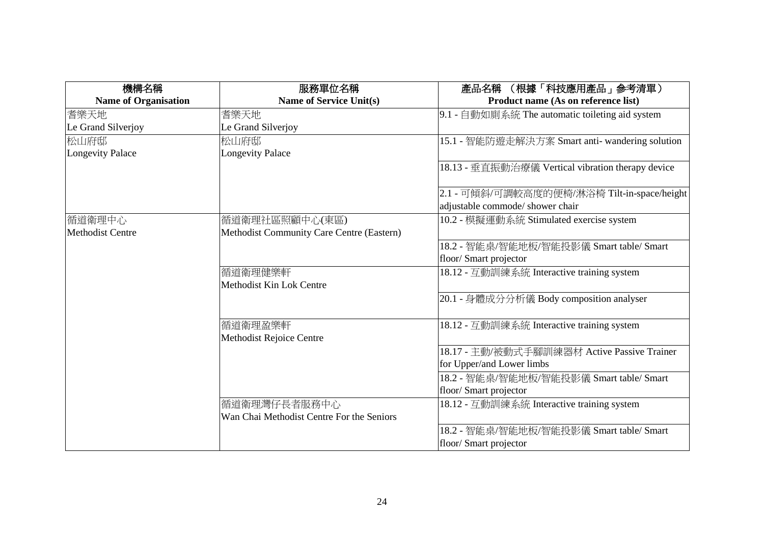| 機構名稱                        | 服務單位名稱                                    | 產品名稱 (根據「科技應用產品」參考清單)                             |
|-----------------------------|-------------------------------------------|---------------------------------------------------|
| <b>Name of Organisation</b> | <b>Name of Service Unit(s)</b>            | Product name (As on reference list)               |
| 耆樂天地                        | 耆樂天地                                      | 9.1 - 自動如廁系統 The automatic toileting aid system   |
| Le Grand Silverjoy          | Le Grand Silverjoy                        |                                                   |
| 松山府邸                        | 松山府邸                                      | 15.1 - 智能防遊走解決方案 Smart anti- wandering solution   |
| <b>Longevity Palace</b>     | <b>Longevity Palace</b>                   |                                                   |
|                             |                                           | 18.13 - 垂直振動治療儀 Vertical vibration therapy device |
|                             |                                           | 2.1 - 可傾斜/可調較高度的便椅/淋浴椅 Tilt-in-space/height       |
|                             |                                           | adjustable commode/ shower chair                  |
| 循道衛理中心                      | 循道衛理社區照顧中心(東區)                            | 10.2 - 模擬運動系統 Stimulated exercise system          |
| <b>Methodist Centre</b>     | Methodist Community Care Centre (Eastern) |                                                   |
|                             |                                           | 18.2 - 智能桌/智能地板/智能投影儀 Smart table/ Smart          |
|                             |                                           | floor/ Smart projector                            |
|                             | 循道衛理健樂軒                                   | 18.12 - 互動訓練系統 Interactive training system        |
|                             | Methodist Kin Lok Centre                  |                                                   |
|                             |                                           | 20.1 - 身體成分分析儀 Body composition analyser          |
|                             | 循道衛理盈樂軒                                   | 18.12 - 互動訓練系統 Interactive training system        |
|                             | Methodist Rejoice Centre                  |                                                   |
|                             |                                           | 18.17 - 主動/被動式手腳訓練器材 Active Passive Trainer       |
|                             |                                           | for Upper/and Lower limbs                         |
|                             |                                           | 18.2 - 智能桌/智能地板/智能投影儀 Smart table/ Smart          |
|                             |                                           | floor/ Smart projector                            |
|                             | 循道衛理灣仔長者服務中心                              | 18.12 - 互動訓練系統 Interactive training system        |
|                             | Wan Chai Methodist Centre For the Seniors |                                                   |
|                             |                                           | 18.2 - 智能桌/智能地板/智能投影儀 Smart table/ Smart          |
|                             |                                           | floor/ Smart projector                            |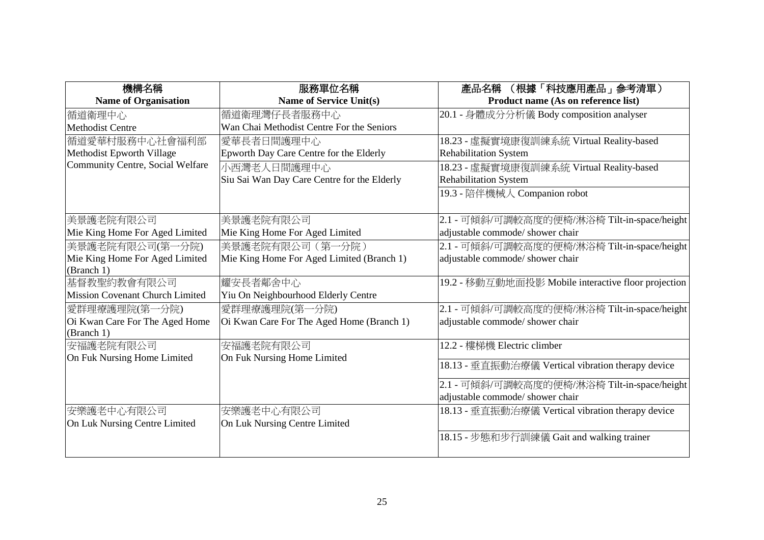| 機構名稱                             | 服務單位名稱                                      | (根據「科技應用產品」参考清單)<br>產品名稱                            |
|----------------------------------|---------------------------------------------|-----------------------------------------------------|
| <b>Name of Organisation</b>      | Name of Service Unit(s)                     | Product name (As on reference list)                 |
| 循道衛理中心                           | 循道衛理灣仔長者服務中心                                | 20.1 - 身體成分分析儀 Body composition analyser            |
| <b>Methodist Centre</b>          | Wan Chai Methodist Centre For the Seniors   |                                                     |
| 循道愛華村服務中心社會福利部                   | 愛華長者日間護理中心                                  | 18.23 - 虛擬實境康復訓練系統 Virtual Reality-based            |
| Methodist Epworth Village        | Epworth Day Care Centre for the Elderly     | <b>Rehabilitation System</b>                        |
| Community Centre, Social Welfare | 小西灣老人日間護理中心                                 | 18.23 - 虛擬實境康復訓練系統 Virtual Reality-based            |
|                                  | Siu Sai Wan Day Care Centre for the Elderly | <b>Rehabilitation System</b>                        |
|                                  |                                             | 19.3 - 陪伴機械人 Companion robot                        |
|                                  |                                             |                                                     |
| 美景護老院有限公司                        | 美景護老院有限公司                                   | 2.1 - 可傾斜/可調較高度的便椅/淋浴椅 Tilt-in-space/height         |
| Mie King Home For Aged Limited   | Mie King Home For Aged Limited              | adjustable commode/ shower chair                    |
| 美景護老院有限公司(第一分院)                  | 美景護老院有限公司 (第一分院)                            | 2.1 - 可傾斜/可調較高度的便椅/淋浴椅 Tilt-in-space/height         |
| Mie King Home For Aged Limited   | Mie King Home For Aged Limited (Branch 1)   | adjustable commode/ shower chair                    |
| (Branch 1)                       |                                             |                                                     |
| 基督教聖約教會有限公司                      | 耀安長者鄰舍中心                                    | 19.2 - 移動互動地面投影 Mobile interactive floor projection |
| Mission Covenant Church Limited  | Yiu On Neighbourhood Elderly Centre         |                                                     |
| 愛群理療護理院(第一分院)                    | 愛群理療護理院(第一分院)                               | 2.1 - 可傾斜/可調較高度的便椅/淋浴椅 Tilt-in-space/height         |
| Oi Kwan Care For The Aged Home   | Oi Kwan Care For The Aged Home (Branch 1)   | adjustable commode/ shower chair                    |
| (Branch 1)                       |                                             |                                                     |
| 安福護老院有限公司                        | 安福護老院有限公司                                   | 12.2 - 樓梯機 Electric climber                         |
| On Fuk Nursing Home Limited      | On Fuk Nursing Home Limited                 | 18.13 - 垂直振動治療儀 Vertical vibration therapy device   |
|                                  |                                             | 2.1 - 可傾斜/可調較高度的便椅/淋浴椅 Tilt-in-space/height         |
|                                  |                                             | adjustable commode/ shower chair                    |
| 安樂護老中心有限公司                       | 安樂護老中心有限公司                                  | 18.13 - 垂直振動治療儀 Vertical vibration therapy device   |
| On Luk Nursing Centre Limited    | On Luk Nursing Centre Limited               |                                                     |
|                                  |                                             | 18.15 - 步態和步行訓練儀 Gait and walking trainer           |
|                                  |                                             |                                                     |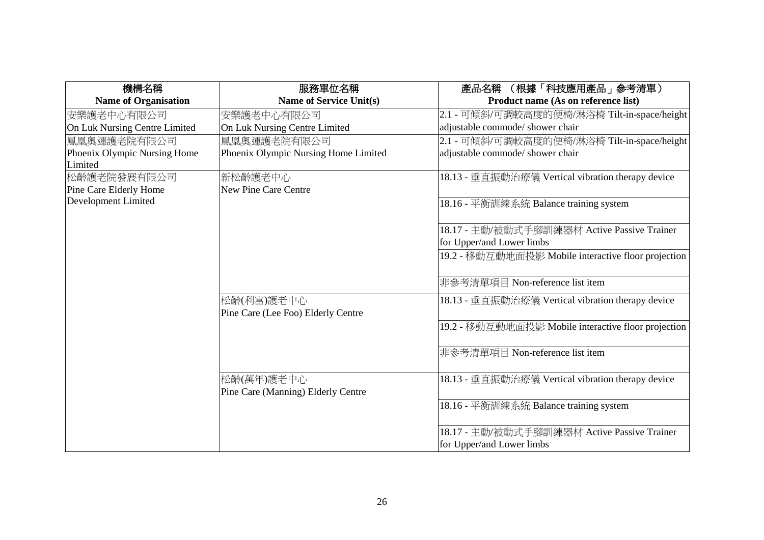| 服務單位名稱                               | 產品名稱 (根據「科技應用產品」參考清單)                                                                                |
|--------------------------------------|------------------------------------------------------------------------------------------------------|
| <b>Name of Service Unit(s)</b>       | Product name (As on reference list)                                                                  |
| 安樂護老中心有限公司                           | 2.1 - 可傾斜/可調較高度的便椅/淋浴椅 Tilt-in-space/height                                                          |
| On Luk Nursing Centre Limited        | adjustable commode/ shower chair                                                                     |
| 鳳凰奧運護老院有限公司                          | 2.1 - 可傾斜/可調較高度的便椅/淋浴椅 Tilt-in-space/height                                                          |
| Phoenix Olympic Nursing Home Limited | adjustable commode/ shower chair                                                                     |
|                                      |                                                                                                      |
| 新松齡護老中心                              | 18.13 - 垂直振動治療儀 Vertical vibration therapy device                                                    |
| <b>New Pine Care Centre</b>          |                                                                                                      |
|                                      | 18.16 - 平衡訓練系統 Balance training system                                                               |
|                                      |                                                                                                      |
|                                      | 18.17 - 主動/被動式手腳訓練器材 Active Passive Trainer                                                          |
|                                      | for Upper/and Lower limbs                                                                            |
|                                      | 19.2 - 移動互動地面投影 Mobile interactive floor projection                                                  |
|                                      |                                                                                                      |
|                                      | 非參考清單項目 Non-reference list item                                                                      |
|                                      | 18.13 - 垂直振動治療儀 Vertical vibration therapy device                                                    |
|                                      |                                                                                                      |
|                                      | 19.2 - 移動互動地面投影 Mobile interactive floor projection                                                  |
|                                      |                                                                                                      |
|                                      | 非參考清單項目 Non-reference list item                                                                      |
|                                      |                                                                                                      |
|                                      | 18.13 - 垂直振動治療儀 Vertical vibration therapy device                                                    |
|                                      |                                                                                                      |
|                                      | 18.16 - 平衡訓練系統 Balance training system                                                               |
|                                      |                                                                                                      |
|                                      | 18.17 - 主動/被動式手腳訓練器材 Active Passive Trainer                                                          |
|                                      | for Upper/and Lower limbs                                                                            |
|                                      | 松齡(利富)護老中心<br>Pine Care (Lee Foo) Elderly Centre<br>松齡(萬年)護老中心<br>Pine Care (Manning) Elderly Centre |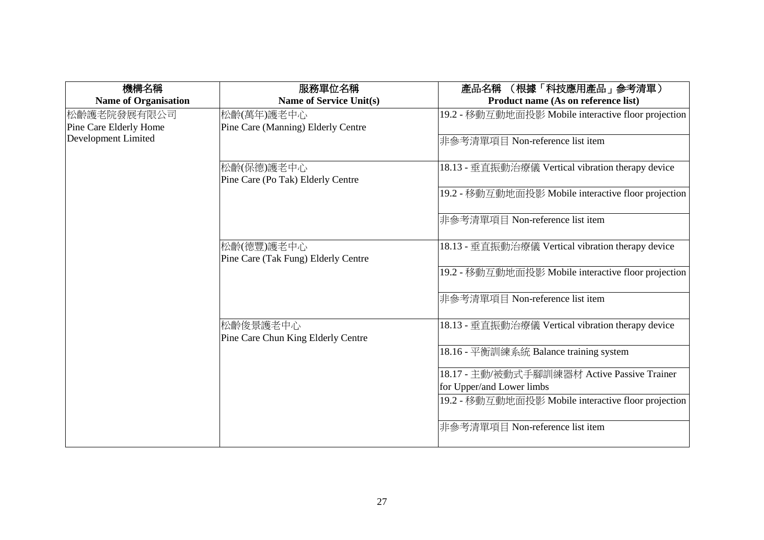| 機構名稱                        | 服務單位名稱                                            | (根據「科技應用產品」参考清單)<br>產品名稱                            |
|-----------------------------|---------------------------------------------------|-----------------------------------------------------|
| <b>Name of Organisation</b> | <b>Name of Service Unit(s)</b>                    | Product name (As on reference list)                 |
| 松齡護老院發展有限公司                 | 松齡(萬年)護老中心                                        | 19.2 - 移動互動地面投影 Mobile interactive floor projection |
| Pine Care Elderly Home      | Pine Care (Manning) Elderly Centre                |                                                     |
| Development Limited         |                                                   | 非參考清單項目 Non-reference list item                     |
|                             | 松齡(保德)護老中心                                        | 18.13 - 垂直振動治療儀 Vertical vibration therapy device   |
|                             | Pine Care (Po Tak) Elderly Centre                 |                                                     |
|                             |                                                   | 19.2 - 移動互動地面投影 Mobile interactive floor projection |
|                             |                                                   | 非參考清單項目 Non-reference list item                     |
|                             | 松齡(德豐)護老中心<br>Pine Care (Tak Fung) Elderly Centre | 18.13 - 垂直振動治療儀 Vertical vibration therapy device   |
|                             |                                                   | 19.2 - 移動互動地面投影 Mobile interactive floor projection |
|                             |                                                   | 非參考清單項目 Non-reference list item                     |
|                             | 松齡俊景護老中心<br>Pine Care Chun King Elderly Centre    | 18.13 - 垂直振動治療儀 Vertical vibration therapy device   |
|                             |                                                   | 18.16 - 平衡訓練系統 Balance training system              |
|                             |                                                   | 18.17 - 主動/被動式手腳訓練器材 Active Passive Trainer         |
|                             |                                                   | for Upper/and Lower limbs                           |
|                             |                                                   | 19.2 - 移動互動地面投影 Mobile interactive floor projection |
|                             |                                                   | 非參考清單項目 Non-reference list item                     |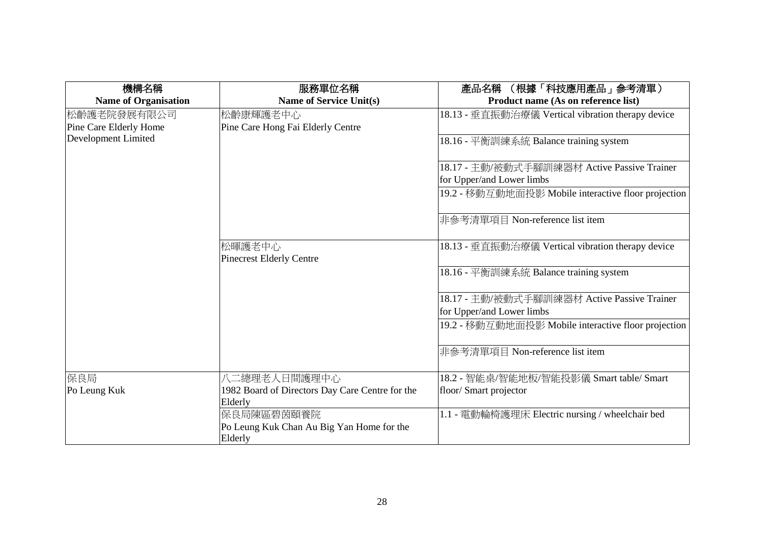| 機構名稱                        | 服務單位名稱                                          | (根據「科技應用產品」参考清單)<br>產品名稱                            |
|-----------------------------|-------------------------------------------------|-----------------------------------------------------|
| <b>Name of Organisation</b> | <b>Name of Service Unit(s)</b>                  | Product name (As on reference list)                 |
| 松齡護老院發展有限公司                 | 松齡康輝護老中心                                        | 18.13 - 垂直振動治療儀 Vertical vibration therapy device   |
| Pine Care Elderly Home      | Pine Care Hong Fai Elderly Centre               |                                                     |
| Development Limited         |                                                 | 18.16 - 平衡訓練系統 Balance training system              |
|                             |                                                 | 18.17 - 主動/被動式手腳訓練器材 Active Passive Trainer         |
|                             |                                                 | for Upper/and Lower limbs                           |
|                             |                                                 | 19.2 - 移動互動地面投影 Mobile interactive floor projection |
|                             |                                                 | 非參考清單項目 Non-reference list item                     |
|                             | 松暉護老中心<br><b>Pinecrest Elderly Centre</b>       | 18.13 - 垂直振動治療儀 Vertical vibration therapy device   |
|                             |                                                 | 18.16 - 平衡訓練系統 Balance training system              |
|                             |                                                 | 18.17 - 主動/被動式手腳訓練器材 Active Passive Trainer         |
|                             |                                                 | for Upper/and Lower limbs                           |
|                             |                                                 | 19.2 - 移動互動地面投影 Mobile interactive floor projection |
|                             |                                                 | 非參考清單項目 Non-reference list item                     |
| 保良局                         | 八二總理老人日間護理中心                                    | 18.2 - 智能桌/智能地板/智能投影儀 Smart table/ Smart            |
| Po Leung Kuk                | 1982 Board of Directors Day Care Centre for the | floor/ Smart projector                              |
|                             | Elderly                                         |                                                     |
|                             | 保良局陳區碧茵頤養院                                      | 1.1 - 電動輪椅護理床 Electric nursing / wheelchair bed     |
|                             | Po Leung Kuk Chan Au Big Yan Home for the       |                                                     |
|                             | Elderly                                         |                                                     |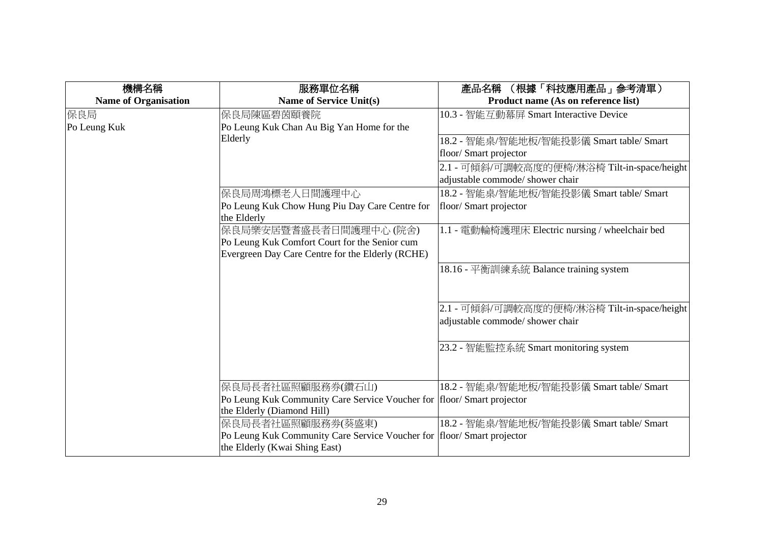| 機構名稱                        | 服務單位名稱                                                                 | (根據「科技應用產品」参考清單)<br>產品名稱                        |
|-----------------------------|------------------------------------------------------------------------|-------------------------------------------------|
| <b>Name of Organisation</b> | <b>Name of Service Unit(s)</b>                                         | Product name (As on reference list)             |
| 保良局                         | 保良局陳區碧茵頤養院                                                             | 10.3 - 智能互動幕屏 Smart Interactive Device          |
| Po Leung Kuk                | Po Leung Kuk Chan Au Big Yan Home for the                              |                                                 |
|                             | Elderly                                                                | 18.2 - 智能桌/智能地板/智能投影儀 Smart table/ Smart        |
|                             |                                                                        | floor/Smart projector                           |
|                             |                                                                        | 2.1 - 可傾斜/可調較高度的便椅/淋浴椅 Tilt-in-space/height     |
|                             |                                                                        | adjustable commode/ shower chair                |
|                             | 保良局周鴻標老人日間護理中心                                                         | 18.2 - 智能桌/智能地板/智能投影儀 Smart table/ Smart        |
|                             | Po Leung Kuk Chow Hung Piu Day Care Centre for<br>the Elderly          | floor/ Smart projector                          |
|                             | 保良局樂安居暨耆盛長者日間護理中心 (院舍)                                                 | 1.1 - 電動輪椅護理床 Electric nursing / wheelchair bed |
|                             | Po Leung Kuk Comfort Court for the Senior cum                          |                                                 |
|                             | Evergreen Day Care Centre for the Elderly (RCHE)                       |                                                 |
|                             |                                                                        | 18.16 - 平衡訓練系統 Balance training system          |
|                             |                                                                        |                                                 |
|                             |                                                                        | 2.1 - 可傾斜/可調較高度的便椅/淋浴椅 Tilt-in-space/height     |
|                             |                                                                        | adjustable commode/ shower chair                |
|                             |                                                                        | 23.2 - 智能監控系統 Smart monitoring system           |
|                             | 保良局長者社區照顧服務券(鑽石山)                                                      | 18.2 - 智能桌/智能地板/智能投影儀 Smart table/ Smart        |
|                             | Po Leung Kuk Community Care Service Voucher for floor/ Smart projector |                                                 |
|                             | the Elderly (Diamond Hill)                                             |                                                 |
|                             | 保良局長者社區照顧服務券(葵盛東)                                                      | 18.2 - 智能桌/智能地板/智能投影儀 Smart table/ Smart        |
|                             | Po Leung Kuk Community Care Service Voucher for floor/ Smart projector |                                                 |
|                             | the Elderly (Kwai Shing East)                                          |                                                 |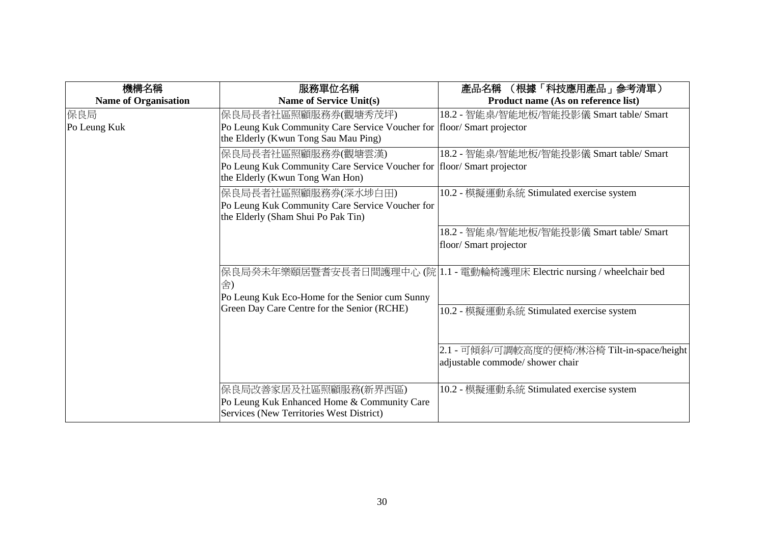| 機構名稱                        | 服務單位名稱                                                                                                                          | (根據「科技應用產品」参考清單)<br>產品名稱                                                        |
|-----------------------------|---------------------------------------------------------------------------------------------------------------------------------|---------------------------------------------------------------------------------|
| <b>Name of Organisation</b> | <b>Name of Service Unit(s)</b>                                                                                                  | Product name (As on reference list)                                             |
| 保良局<br>Po Leung Kuk         | 保良局長者社區照顧服務券(觀塘秀茂坪)<br>Po Leung Kuk Community Care Service Voucher for<br>the Elderly (Kwun Tong Sau Mau Ping)                  | 18.2 - 智能桌/智能地板/智能投影儀 Smart table/ Smart<br>floor/ Smart projector              |
|                             | 保良局長者社區照顧服務券(觀塘雲漢)<br>Po Leung Kuk Community Care Service Voucher for floor/ Smart projector<br>the Elderly (Kwun Tong Wan Hon) | 18.2 - 智能桌/智能地板/智能投影儀 Smart table/ Smart                                        |
|                             | 保良局長者社區照顧服務券(深水埗白田)<br>Po Leung Kuk Community Care Service Voucher for<br>the Elderly (Sham Shui Po Pak Tin)                    | 10.2 - 模擬運動系統 Stimulated exercise system                                        |
|                             |                                                                                                                                 | 18.2 - 智能桌/智能地板/智能投影儀 Smart table/ Smart<br>floor/ Smart projector              |
|                             | 舍)<br>Po Leung Kuk Eco-Home for the Senior cum Sunny                                                                            | 保良局癸未年樂頤居暨耆安長者日間護理中心 (院 1.1 - 電動輪椅護理床 Electric nursing / wheelchair bed         |
|                             | Green Day Care Centre for the Senior (RCHE)                                                                                     | 10.2 - 模擬運動系統 Stimulated exercise system                                        |
|                             |                                                                                                                                 | 2.1 - 可傾斜/可調較高度的便椅/淋浴椅 Tilt-in-space/height<br>adjustable commode/ shower chair |
|                             | 保良局改善家居及社區照顧服務(新界西區)<br>Po Leung Kuk Enhanced Home & Community Care<br>Services (New Territories West District)                 | 10.2 - 模擬運動系統 Stimulated exercise system                                        |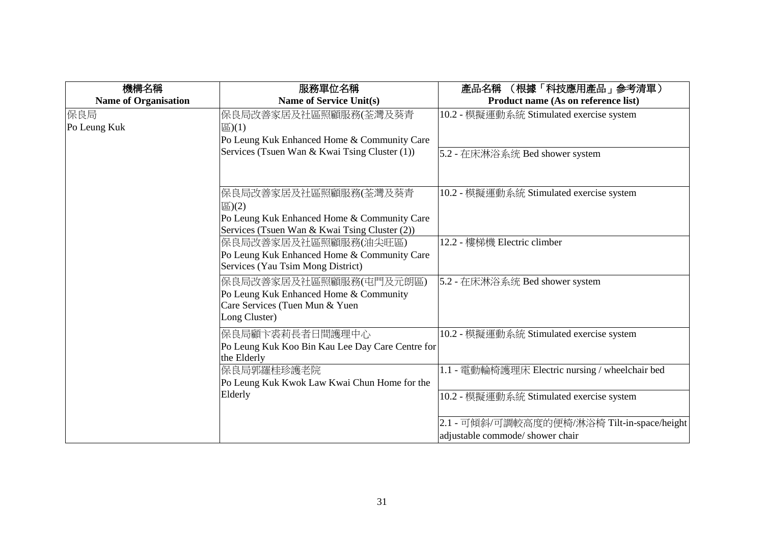| 機構名稱                        | 服務單位名稱                                                                                                                                                                                                                                      | (根據「科技應用產品」参考清單)<br>產品名稱                                                        |
|-----------------------------|---------------------------------------------------------------------------------------------------------------------------------------------------------------------------------------------------------------------------------------------|---------------------------------------------------------------------------------|
| <b>Name of Organisation</b> | <b>Name of Service Unit(s)</b>                                                                                                                                                                                                              | Product name (As on reference list)                                             |
| 保良局<br>Po Leung Kuk         | 保良局改善家居及社區照顧服務(荃灣及葵青<br>區)(1)<br>Po Leung Kuk Enhanced Home & Community Care<br>Services (Tsuen Wan & Kwai Tsing Cluster (1))                                                                                                               | 10.2 - 模擬運動系統 Stimulated exercise system<br>5.2 - 在床淋浴系统 Bed shower system      |
|                             | 保良局改善家居及社區照顧服務(荃灣及葵青<br>圖 $(2)$<br>Po Leung Kuk Enhanced Home & Community Care<br>Services (Tsuen Wan & Kwai Tsing Cluster (2))<br>保良局改善家居及社區照顧服務(油尖旺區)<br>Po Leung Kuk Enhanced Home & Community Care<br>Services (Yau Tsim Mong District) | 10.2 - 模擬運動系統 Stimulated exercise system<br>12.2 - 樓梯機 Electric climber         |
|                             | 保良局改善家居及社區照顧服務(屯門及元朗區)<br>Po Leung Kuk Enhanced Home & Community<br>Care Services (Tuen Mun & Yuen<br>Long Cluster)                                                                                                                         | 5.2 - 在床淋浴系统 Bed shower system                                                  |
|                             | 保良局顧卞裘莉長者日間護理中心<br>Po Leung Kuk Koo Bin Kau Lee Day Care Centre for<br>the Elderly                                                                                                                                                          | 10.2 - 模擬運動系統 Stimulated exercise system                                        |
|                             | 保良局郭羅桂珍護老院<br>Po Leung Kuk Kwok Law Kwai Chun Home for the                                                                                                                                                                                  | 1.1 - 電動輪椅護理床 Electric nursing / wheelchair bed                                 |
|                             | Elderly                                                                                                                                                                                                                                     | 10.2 - 模擬運動系統 Stimulated exercise system                                        |
|                             |                                                                                                                                                                                                                                             | 2.1 - 可傾斜/可調較高度的便椅/淋浴椅 Tilt-in-space/height<br>adjustable commode/ shower chair |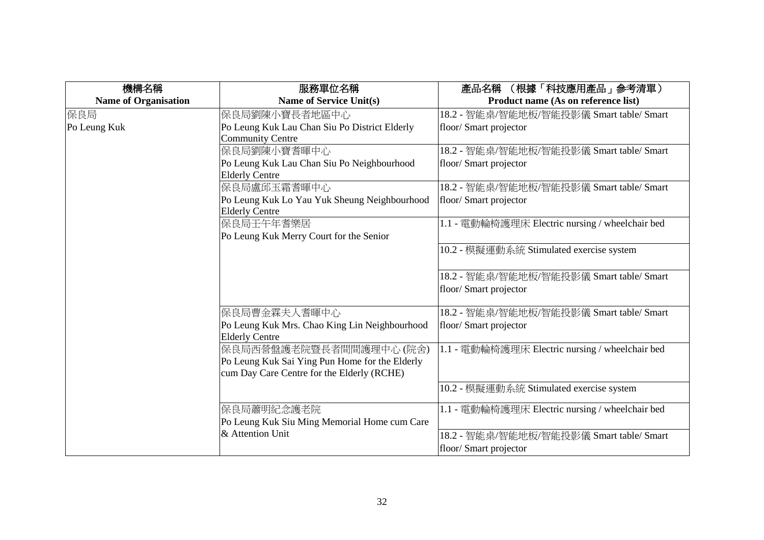| 機構名稱                        | 服務單位名稱                                         | 產品名稱 (根據「科技應用產品」參考清單)                           |
|-----------------------------|------------------------------------------------|-------------------------------------------------|
| <b>Name of Organisation</b> | <b>Name of Service Unit(s)</b>                 | Product name (As on reference list)             |
| 保良局                         | 保良局劉陳小寶長者地區中心                                  | 18.2 - 智能桌/智能地板/智能投影儀 Smart table/ Smart        |
| Po Leung Kuk                | Po Leung Kuk Lau Chan Siu Po District Elderly  | floor/ Smart projector                          |
|                             | <b>Community Centre</b>                        |                                                 |
|                             | 保良局劉陳小寶耆暉中心                                    | 18.2 - 智能桌/智能地板/智能投影儀 Smart table/ Smart        |
|                             | Po Leung Kuk Lau Chan Siu Po Neighbourhood     | floor/ Smart projector                          |
|                             | <b>Elderly Centre</b>                          |                                                 |
|                             | 保良局盧邱玉霜耆暉中心                                    | 18.2 - 智能桌/智能地板/智能投影儀 Smart table/ Smart        |
|                             | Po Leung Kuk Lo Yau Yuk Sheung Neighbourhood   | floor/Smart projector                           |
|                             | <b>Elderly Centre</b>                          |                                                 |
|                             | 保良局壬午年耆樂居                                      | 1.1 - 電動輪椅護理床 Electric nursing / wheelchair bed |
|                             | Po Leung Kuk Merry Court for the Senior        |                                                 |
|                             |                                                | 10.2 - 模擬運動系統 Stimulated exercise system        |
|                             |                                                |                                                 |
|                             |                                                | 18.2 - 智能桌/智能地板/智能投影儀 Smart table/ Smart        |
|                             |                                                | floor/ Smart projector                          |
|                             |                                                |                                                 |
|                             | 保良局曹金霖夫人耆暉中心                                   | 18.2 - 智能桌/智能地板/智能投影儀 Smart table/ Smart        |
|                             | Po Leung Kuk Mrs. Chao King Lin Neighbourhood  | floor/ Smart projector                          |
|                             | <b>Elderly Centre</b>                          |                                                 |
|                             | 保良局西營盤護老院暨長者間間護理中心 (院舍)                        | 1.1 - 電動輪椅護理床 Electric nursing / wheelchair bed |
|                             | Po Leung Kuk Sai Ying Pun Home for the Elderly |                                                 |
|                             | cum Day Care Centre for the Elderly (RCHE)     |                                                 |
|                             |                                                | 10.2 - 模擬運動系統 Stimulated exercise system        |
|                             | 保良局蕭明紀念護老院                                     | 1.1 - 電動輪椅護理床 Electric nursing / wheelchair bed |
|                             | Po Leung Kuk Siu Ming Memorial Home cum Care   |                                                 |
|                             | & Attention Unit                               | 18.2 - 智能桌/智能地板/智能投影儀 Smart table/ Smart        |
|                             |                                                | floor/ Smart projector                          |
|                             |                                                |                                                 |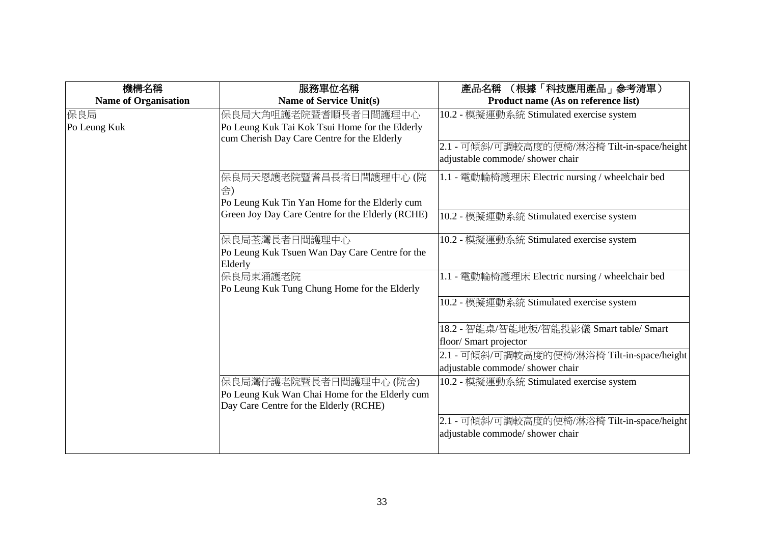| 機構名稱                        | 服務單位名稱                                                                                                                | (根據「科技應用產品」參考清單)<br>產品名稱                                                        |
|-----------------------------|-----------------------------------------------------------------------------------------------------------------------|---------------------------------------------------------------------------------|
| <b>Name of Organisation</b> | <b>Name of Service Unit(s)</b>                                                                                        | Product name (As on reference list)                                             |
| 保良局<br>Po Leung Kuk         | 保良局大角咀護老院暨耆順長者日間護理中心<br>Po Leung Kuk Tai Kok Tsui Home for the Elderly<br>cum Cherish Day Care Centre for the Elderly | 10.2 - 模擬運動系統 Stimulated exercise system                                        |
|                             |                                                                                                                       | 2.1 - 可傾斜/可調較高度的便椅/淋浴椅 Tilt-in-space/height<br>adjustable commode/ shower chair |
|                             | 保良局天恩護老院暨耆昌長者日間護理中心 (院<br>舍)                                                                                          | 1.1 - 電動輪椅護理床 Electric nursing / wheelchair bed                                 |
|                             | Po Leung Kuk Tin Yan Home for the Elderly cum                                                                         |                                                                                 |
|                             | Green Joy Day Care Centre for the Elderly (RCHE)                                                                      | 10.2 - 模擬運動系統 Stimulated exercise system                                        |
|                             | 保良局荃灣長者日間護理中心<br>Po Leung Kuk Tsuen Wan Day Care Centre for the<br>Elderly                                            | 10.2 - 模擬運動系統 Stimulated exercise system                                        |
|                             | 保良局東涌護老院<br>Po Leung Kuk Tung Chung Home for the Elderly                                                              | 1.1 - 電動輪椅護理床 Electric nursing / wheelchair bed                                 |
|                             |                                                                                                                       | 10.2 - 模擬運動系統 Stimulated exercise system                                        |
|                             |                                                                                                                       | 18.2 - 智能桌/智能地板/智能投影儀 Smart table/ Smart<br>floor/ Smart projector              |
|                             |                                                                                                                       | 2.1 - 可傾斜/可調較高度的便椅/淋浴椅 Tilt-in-space/height                                     |
|                             |                                                                                                                       | adjustable commode/ shower chair                                                |
|                             | 保良局灣仔護老院暨長者日間護理中心 (院舍)<br>Po Leung Kuk Wan Chai Home for the Elderly cum                                              | 10.2 - 模擬運動系統 Stimulated exercise system                                        |
|                             | Day Care Centre for the Elderly (RCHE)                                                                                |                                                                                 |
|                             |                                                                                                                       | 2.1 - 可傾斜/可調較高度的便椅/淋浴椅 Tilt-in-space/height<br>adjustable commode/ shower chair |
|                             |                                                                                                                       |                                                                                 |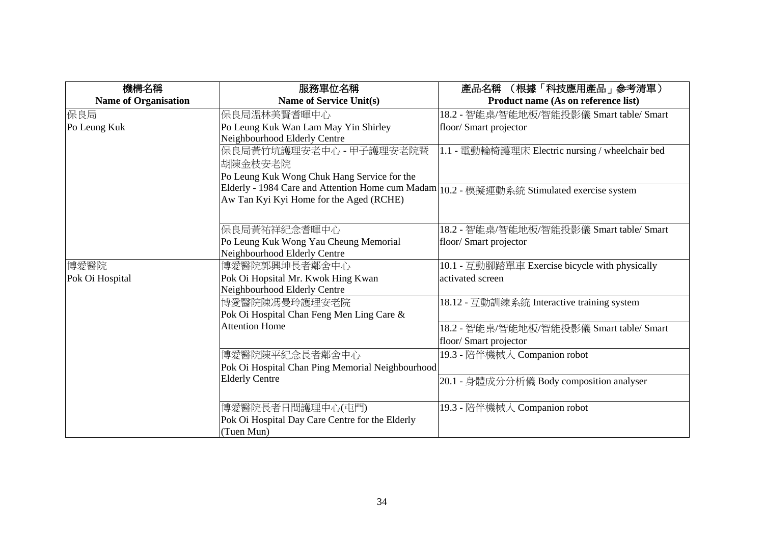| 機構名稱                        | 服務單位名稱                                           | (根據「科技應用產品」参考清單)<br>產品名稱                        |
|-----------------------------|--------------------------------------------------|-------------------------------------------------|
| <b>Name of Organisation</b> | <b>Name of Service Unit(s)</b>                   | Product name (As on reference list)             |
| 保良局                         | 保良局溫林美賢耆暉中心                                      | 18.2 - 智能桌/智能地板/智能投影儀 Smart table/ Smart        |
| Po Leung Kuk                | Po Leung Kuk Wan Lam May Yin Shirley             | floor/ Smart projector                          |
|                             | Neighbourhood Elderly Centre                     |                                                 |
|                             | 保良局黃竹坑護理安老中心 - 甲子護理安老院暨                          | 1.1 - 電動輪椅護理床 Electric nursing / wheelchair bed |
|                             | 胡陳金枝安老院                                          |                                                 |
|                             | Po Leung Kuk Wong Chuk Hang Service for the      |                                                 |
|                             | Elderly - 1984 Care and Attention Home cum Madam | 10.2 - 模擬運動系統 Stimulated exercise system        |
|                             | Aw Tan Kyi Kyi Home for the Aged (RCHE)          |                                                 |
|                             |                                                  |                                                 |
|                             | 保良局黃祐祥紀念耆暉中心                                     | 18.2 - 智能桌/智能地板/智能投影儀 Smart table/ Smart        |
|                             | Po Leung Kuk Wong Yau Cheung Memorial            | floor/ Smart projector                          |
|                             | Neighbourhood Elderly Centre                     |                                                 |
| 博愛醫院                        | 博愛醫院郭興坤長者鄰舍中心                                    | 10.1 - 互動腳踏單車 Exercise bicycle with physically  |
| Pok Oi Hospital             | Pok Oi Hopsital Mr. Kwok Hing Kwan               | activated screen                                |
|                             | Neighbourhood Elderly Centre                     |                                                 |
|                             | 博愛醫院陳馮曼玲護理安老院                                    | 18.12 - 互動訓練系統 Interactive training system      |
|                             | Pok Oi Hospital Chan Feng Men Ling Care &        |                                                 |
|                             | <b>Attention Home</b>                            | 18.2 - 智能桌/智能地板/智能投影儀 Smart table/ Smart        |
|                             |                                                  | floor/ Smart projector                          |
|                             | 博愛醫院陳平紀念長者鄰舍中心                                   | 19.3 - 陪伴機械人 Companion robot                    |
|                             | Pok Oi Hospital Chan Ping Memorial Neighbourhood |                                                 |
|                             | <b>Elderly Centre</b>                            | 20.1 - 身體成分分析儀 Body composition analyser        |
|                             |                                                  |                                                 |
|                             | 博愛醫院長者日間護理中心(屯門)                                 | 19.3 - 陪伴機械人 Companion robot                    |
|                             | Pok Oi Hospital Day Care Centre for the Elderly  |                                                 |
|                             | (Tuen Mun)                                       |                                                 |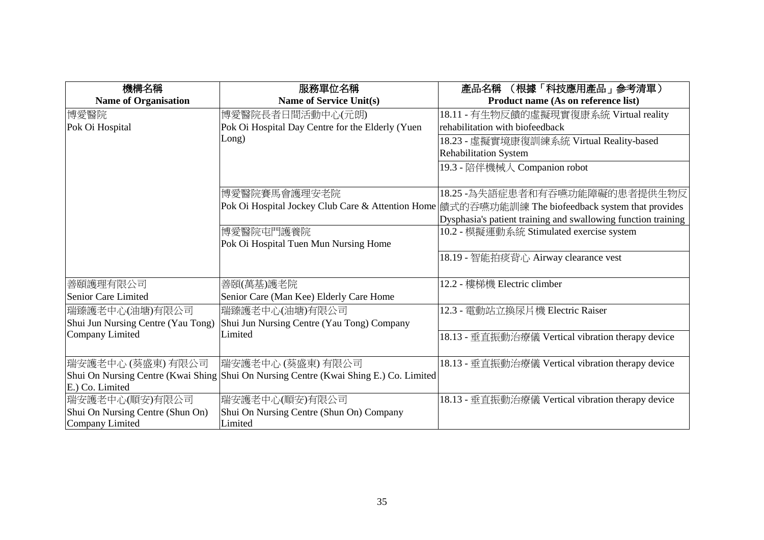| 機構名稱                               | 服務單位名稱                                                                                | (根據「科技應用產品」参考清單)<br>產品名稱                                                                          |
|------------------------------------|---------------------------------------------------------------------------------------|---------------------------------------------------------------------------------------------------|
| <b>Name of Organisation</b>        | <b>Name of Service Unit(s)</b>                                                        | Product name (As on reference list)                                                               |
| 博愛醫院                               | 博愛醫院長者日間活動中心(元朗)                                                                      | 18.11 - 有生物反饋的虛擬現實復康系統 Virtual reality                                                            |
| Pok Oi Hospital                    | Pok Oi Hospital Day Centre for the Elderly (Yuen                                      | rehabilitation with biofeedback                                                                   |
|                                    | Long)                                                                                 | 18.23 - 虛擬實境康復訓練系統 Virtual Reality-based                                                          |
|                                    |                                                                                       | <b>Rehabilitation System</b>                                                                      |
|                                    |                                                                                       | 19.3 - 陪伴機械人 Companion robot                                                                      |
|                                    |                                                                                       |                                                                                                   |
|                                    | 博愛醫院賽馬會護理安老院                                                                          | 18.25 -為失語症患者和有吞嚥功能障礙的患者提供生物反                                                                     |
|                                    |                                                                                       | Pok Oi Hospital Jockey Club Care & Attention Home  饋式的吞嚥功能訓練 The biofeedback system that provides |
|                                    |                                                                                       | Dysphasia's patient training and swallowing function training                                     |
|                                    | 博愛醫院屯門護養院                                                                             | 10.2 - 模擬運動系統 Stimulated exercise system                                                          |
|                                    | Pok Oi Hospital Tuen Mun Nursing Home                                                 |                                                                                                   |
|                                    |                                                                                       | 18.19 - 智能拍痰背心 Airway clearance vest                                                              |
|                                    |                                                                                       |                                                                                                   |
| 善頤護理有限公司                           | 善頣(萬基)護老院                                                                             | 12.2 - 樓梯機 Electric climber                                                                       |
| Senior Care Limited                | Senior Care (Man Kee) Elderly Care Home                                               |                                                                                                   |
| 瑞臻護老中心(油塘)有限公司                     | 瑞臻護老中心(油塘)有限公司                                                                        | 12.3 - 電動站立換尿片機 Electric Raiser                                                                   |
| Shui Jun Nursing Centre (Yau Tong) | Shui Jun Nursing Centre (Yau Tong) Company                                            |                                                                                                   |
| Company Limited                    | Limited                                                                               | 18.13 - 垂直振動治療儀 Vertical vibration therapy device                                                 |
|                                    |                                                                                       |                                                                                                   |
| 瑞安護老中心 (葵盛東) 有限公司                  | 瑞安護老中心 (葵盛東) 有限公司                                                                     | 18.13 - 垂直振動治療儀 Vertical vibration therapy device                                                 |
|                                    | Shui On Nursing Centre (Kwai Shing Shui On Nursing Centre (Kwai Shing E.) Co. Limited |                                                                                                   |
| E.) Co. Limited                    |                                                                                       |                                                                                                   |
| 瑞安護老中心(順安)有限公司                     | 瑞安護老中心(順安)有限公司                                                                        | 18.13 - 垂直振動治療儀 Vertical vibration therapy device                                                 |
| Shui On Nursing Centre (Shun On)   | Shui On Nursing Centre (Shun On) Company                                              |                                                                                                   |
| Company Limited                    | Limited                                                                               |                                                                                                   |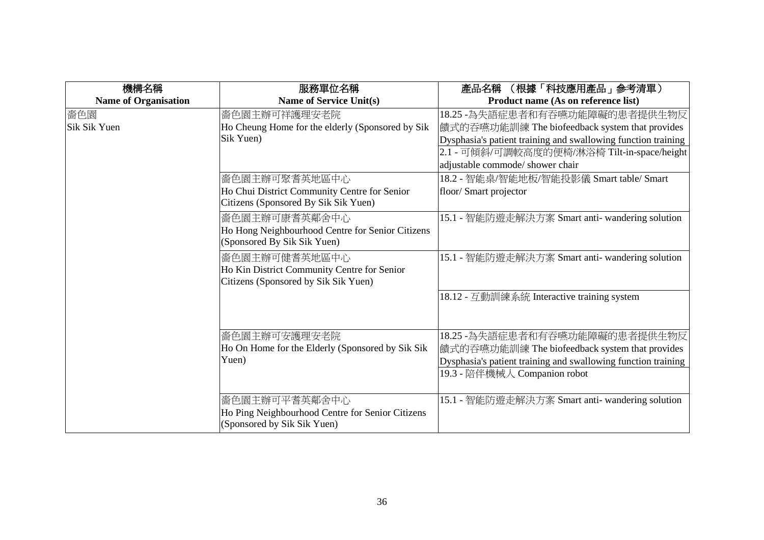| 機構名稱                        | 服務單位名稱                                           | (根據「科技應用產品」参考清單)<br>產品名稱                                      |
|-----------------------------|--------------------------------------------------|---------------------------------------------------------------|
| <b>Name of Organisation</b> | <b>Name of Service Unit(s)</b>                   | Product name (As on reference list)                           |
| 嗇色園                         | 嗇色園主辦可祥護理安老院                                     | 18.25 -為失語症患者和有吞嚥功能障礙的患者提供生物反                                 |
| Sik Sik Yuen                | Ho Cheung Home for the elderly (Sponsored by Sik | 饋式的吞嚥功能訓練 The biofeedback system that provides                |
|                             | Sik Yuen)                                        | Dysphasia's patient training and swallowing function training |
|                             |                                                  | 2.1 - 可傾斜/可調較高度的便椅/淋浴椅 Tilt-in-space/height                   |
|                             |                                                  | adjustable commode/ shower chair                              |
|                             | 嗇色園主辦可聚耆英地區中心                                    | 18.2 - 智能桌/智能地板/智能投影儀 Smart table/ Smart                      |
|                             | Ho Chui District Community Centre for Senior     | floor/ Smart projector                                        |
|                             | Citizens (Sponsored By Sik Sik Yuen)             |                                                               |
|                             | 嗇色園主辦可康耆英鄰舍中心                                    | 15.1 - 智能防遊走解決方案 Smart anti- wandering solution               |
|                             | Ho Hong Neighbourhood Centre for Senior Citizens |                                                               |
|                             | (Sponsored By Sik Sik Yuen)                      |                                                               |
|                             | 嗇色園主辦可健耆英地區中心                                    | 15.1 - 智能防遊走解決方案 Smart anti- wandering solution               |
|                             | Ho Kin District Community Centre for Senior      |                                                               |
|                             | Citizens (Sponsored by Sik Sik Yuen)             |                                                               |
|                             |                                                  | 18.12 - 互動訓練系統 Interactive training system                    |
|                             |                                                  |                                                               |
|                             |                                                  |                                                               |
|                             | 嗇色園主辦可安護理安老院                                     | 18.25 -為失語症患者和有吞嚥功能障礙的患者提供生物反                                 |
|                             | Ho On Home for the Elderly (Sponsored by Sik Sik | 饋式的吞嚥功能訓練 The biofeedback system that provides                |
|                             | Yuen)                                            | Dysphasia's patient training and swallowing function training |
|                             |                                                  | 19.3 - 陪伴機械人 Companion robot                                  |
|                             |                                                  |                                                               |
|                             | 嗇色園主辦可平耆英鄰舍中心                                    | 15.1 - 智能防遊走解決方案 Smart anti- wandering solution               |
|                             | Ho Ping Neighbourhood Centre for Senior Citizens |                                                               |
|                             | (Sponsored by Sik Sik Yuen)                      |                                                               |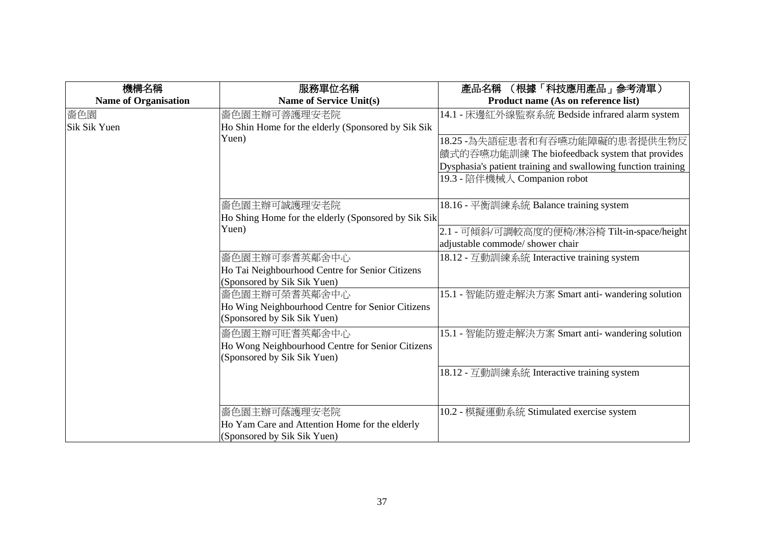| 機構名稱                        | 服務單位名稱                                              | (根據「科技應用產品」参考清單)<br>產品名稱                                      |
|-----------------------------|-----------------------------------------------------|---------------------------------------------------------------|
| <b>Name of Organisation</b> | Name of Service Unit(s)                             | Product name (As on reference list)                           |
| 嗇色園                         | 嗇色園主辦可善護理安老院                                        | 14.1 - 床邊紅外線監察系統 Bedside infrared alarm system                |
| Sik Sik Yuen                | Ho Shin Home for the elderly (Sponsored by Sik Sik  |                                                               |
|                             | Yuen)                                               | 18.25 -為失語症患者和有吞嚥功能障礙的患者提供生物反                                 |
|                             |                                                     | 饋式的吞嚥功能訓練 The biofeedback system that provides                |
|                             |                                                     | Dysphasia's patient training and swallowing function training |
|                             |                                                     | 19.3 - 陪伴機械人 Companion robot                                  |
|                             |                                                     |                                                               |
|                             | 嗇色園主辦可誠護理安老院                                        | 18.16 - 平衡訓練系統 Balance training system                        |
|                             | Ho Shing Home for the elderly (Sponsored by Sik Sik |                                                               |
|                             | Yuen)                                               | 2.1 - 可傾斜/可調較高度的便椅/淋浴椅 Tilt-in-space/height                   |
|                             |                                                     | adjustable commode/ shower chair                              |
|                             | 嗇色園主辦可泰耆英鄰舍中心                                       | 18.12 - 互動訓練系統 Interactive training system                    |
|                             | Ho Tai Neighbourhood Centre for Senior Citizens     |                                                               |
|                             | (Sponsored by Sik Sik Yuen)                         |                                                               |
|                             | 嗇色園主辦可榮耆英鄰舍中心                                       | 15.1 - 智能防遊走解決方案 Smart anti- wandering solution               |
|                             | Ho Wing Neighbourhood Centre for Senior Citizens    |                                                               |
|                             | (Sponsored by Sik Sik Yuen)                         |                                                               |
|                             | 嗇色園主辦可旺耆英鄰舍中心                                       | 15.1 - 智能防遊走解決方案 Smart anti- wandering solution               |
|                             | Ho Wong Neighbourhood Centre for Senior Citizens    |                                                               |
|                             | (Sponsored by Sik Sik Yuen)                         |                                                               |
|                             |                                                     | 18.12 - 互動訓練系統 Interactive training system                    |
|                             |                                                     |                                                               |
|                             |                                                     |                                                               |
|                             | <b>嗇色園主辦可蔭護理安老院</b>                                 | 10.2 - 模擬運動系統 Stimulated exercise system                      |
|                             | Ho Yam Care and Attention Home for the elderly      |                                                               |
|                             | (Sponsored by Sik Sik Yuen)                         |                                                               |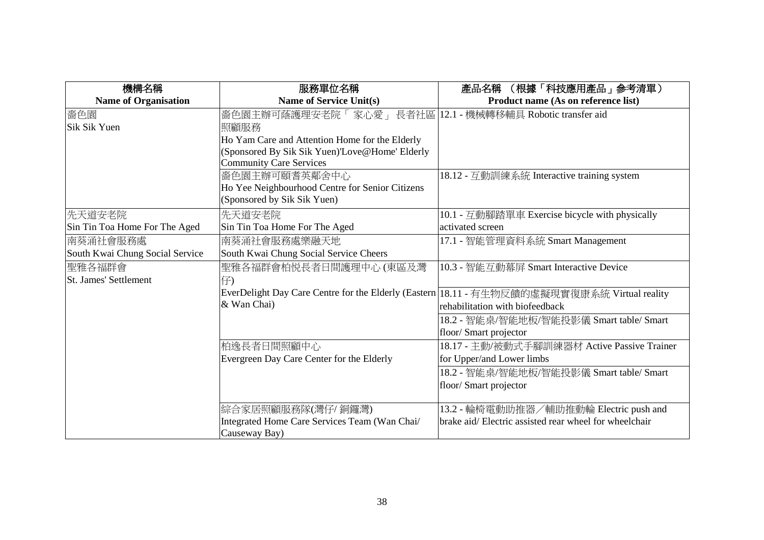| 機構名稱                            | 服務單位名稱                                                      | (根據「科技應用產品」參考清單)<br>產品名稱                                                                      |
|---------------------------------|-------------------------------------------------------------|-----------------------------------------------------------------------------------------------|
| <b>Name of Organisation</b>     | <b>Name of Service Unit(s)</b>                              | Product name (As on reference list)                                                           |
| 嗇色園                             | 嗇色園主辦可蔭護理安老院「 家心愛」 長者社區  12.1 - 機械轉移輔具 Robotic transfer aid |                                                                                               |
| <b>Sik Sik Yuen</b>             | 照顧服務                                                        |                                                                                               |
|                                 | Ho Yam Care and Attention Home for the Elderly              |                                                                                               |
|                                 | (Sponsored By Sik Sik Yuen)'Love@Home' Elderly              |                                                                                               |
|                                 | <b>Community Care Services</b>                              |                                                                                               |
|                                 | 嗇色園主辦可頤耆英鄰舍中心                                               | 18.12 - 互動訓練系統 Interactive training system                                                    |
|                                 | Ho Yee Neighbourhood Centre for Senior Citizens             |                                                                                               |
|                                 | (Sponsored by Sik Sik Yuen)                                 |                                                                                               |
| 先天道安老院                          | 先天道安老院                                                      | 10.1 - 互動腳踏單車 Exercise bicycle with physically                                                |
| Sin Tin Toa Home For The Aged   | Sin Tin Toa Home For The Aged                               | activated screen                                                                              |
| 南葵涌社會服務處                        | 南葵涌社會服務處樂融天地                                                | 17.1 - 智能管理資料系統 Smart Management                                                              |
| South Kwai Chung Social Service | South Kwai Chung Social Service Cheers                      |                                                                                               |
| 聖雅各福群會                          | 聖雅各福群會柏悦長者日間護理中心 (東區及灣                                      | 10.3 - 智能互動幕屏 Smart Interactive Device                                                        |
| St. James' Settlement           | 仔)                                                          |                                                                                               |
|                                 |                                                             | EverDelight Day Care Centre for the Elderly (Eastern   18.11 - 有生物反饋的虛擬現實復康系統 Virtual reality |
|                                 | & Wan Chai)                                                 | rehabilitation with biofeedback                                                               |
|                                 |                                                             | 18.2 - 智能桌/智能地板/智能投影儀 Smart table/ Smart                                                      |
|                                 |                                                             | floor/ Smart projector                                                                        |
|                                 | 柏逸長者日間照顧中心                                                  | 18.17 - 主動/被動式手腳訓練器材 Active Passive Trainer                                                   |
|                                 | Evergreen Day Care Center for the Elderly                   | for Upper/and Lower limbs                                                                     |
|                                 |                                                             | 18.2 - 智能桌/智能地板/智能投影儀 Smart table/ Smart                                                      |
|                                 |                                                             | floor/Smart projector                                                                         |
|                                 |                                                             |                                                                                               |
|                                 | 綜合家居照顧服務隊(灣仔/銅鑼灣)                                           | 13.2 - 輪椅電動助推器/輔助推動輪 Electric push and                                                        |
|                                 | Integrated Home Care Services Team (Wan Chai/               | brake aid/Electric assisted rear wheel for wheelchair                                         |
|                                 | Causeway Bay)                                               |                                                                                               |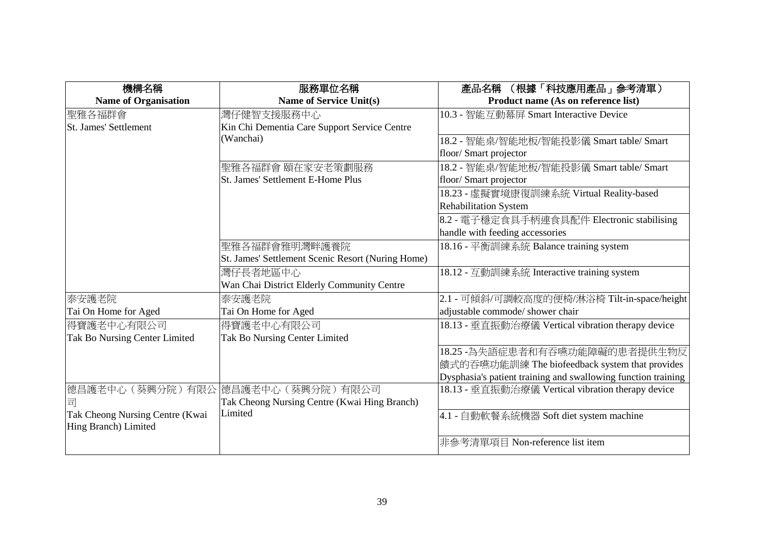| 機構名稱                            | 服務單位名稱                                            | (根據「科技應用產品」參考清單)<br>產品名稱                                      |
|---------------------------------|---------------------------------------------------|---------------------------------------------------------------|
| <b>Name of Organisation</b>     | <b>Name of Service Unit(s)</b>                    | Product name (As on reference list)                           |
| 聖雅各福群會                          | 灣仔健智支援服務中心                                        | 10.3 - 智能互動幕屏 Smart Interactive Device                        |
| <b>St. James' Settlement</b>    | Kin Chi Dementia Care Support Service Centre      |                                                               |
|                                 | (Wanchai)                                         | 18.2 - 智能桌/智能地板/智能投影儀 Smart table/ Smart                      |
|                                 |                                                   | floor/ Smart projector                                        |
|                                 | 聖雅各福群會 頤在家安老策劃服務                                  | 18.2 - 智能桌/智能地板/智能投影儀 Smart table/ Smart                      |
|                                 | St. James' Settlement E-Home Plus                 | floor/ Smart projector                                        |
|                                 |                                                   | 18.23 - 虛擬實境康復訓練系統 Virtual Reality-based                      |
|                                 |                                                   | <b>Rehabilitation System</b>                                  |
|                                 |                                                   | 8.2 - 電子穩定食具手柄連食具配件 Electronic stabilising                    |
|                                 |                                                   | handle with feeding accessories                               |
|                                 | 聖雅各福群會雅明灣畔護養院                                     | 18.16 - 平衡訓練系統 Balance training system                        |
|                                 | St. James' Settlement Scenic Resort (Nuring Home) |                                                               |
|                                 | 灣仔長者地區中心                                          | 18.12 - 互動訓練系統 Interactive training system                    |
|                                 | Wan Chai District Elderly Community Centre        |                                                               |
| 泰安護老院                           | 泰安護老院                                             | 2.1 - 可傾斜/可調較高度的便椅/淋浴椅 Tilt-in-space/height                   |
| Tai On Home for Aged            | Tai On Home for Aged                              | adjustable commode/ shower chair                              |
| 得寶護老中心有限公司                      | 得寶護老中心有限公司                                        | 18.13 - 垂直振動治療儀 Vertical vibration therapy device             |
| Tak Bo Nursing Center Limited   | Tak Bo Nursing Center Limited                     |                                                               |
|                                 |                                                   | 18.25 -為失語症患者和有吞嚥功能障礙的患者提供生物反                                 |
|                                 |                                                   | 饋式的吞嚥功能訓練 The biofeedback system that provides                |
|                                 |                                                   | Dysphasia's patient training and swallowing function training |
|                                 | 德昌護老中心 (葵興分院) 有限公  德昌護老中心 (葵興分院) 有限公司             | 18.13 - 垂直振動治療儀 Vertical vibration therapy device             |
| 司                               | Tak Cheong Nursing Centre (Kwai Hing Branch)      |                                                               |
| Tak Cheong Nursing Centre (Kwai | Limited                                           | 4.1 - 自動軟餐系統機器 Soft diet system machine                       |
| Hing Branch) Limited            |                                                   |                                                               |
|                                 |                                                   | 非參考清單項目 Non-reference list item                               |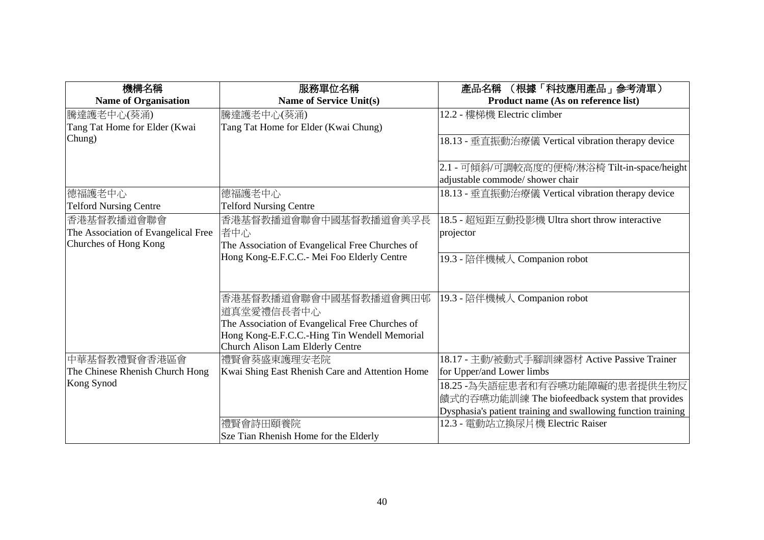| 機構名稱                                | 服務單位名稱                                          | (根據「科技應用產品」参考清單)<br>產品名稱                                      |
|-------------------------------------|-------------------------------------------------|---------------------------------------------------------------|
| <b>Name of Organisation</b>         | <b>Name of Service Unit(s)</b>                  | Product name (As on reference list)                           |
| 騰達護老中心(葵涌)                          | 騰達護老中心(葵涌)                                      | 12.2 - 樓梯機 Electric climber                                   |
| Tang Tat Home for Elder (Kwai       | Tang Tat Home for Elder (Kwai Chung)            |                                                               |
| Chung)                              |                                                 | 18.13 - 垂直振動治療儀 Vertical vibration therapy device             |
|                                     |                                                 | 2.1 - 可傾斜/可調較高度的便椅/淋浴椅 Tilt-in-space/height                   |
|                                     |                                                 | adjustable commode/ shower chair                              |
| 德福護老中心                              | 德福護老中心                                          | 18.13 - 垂直振動治療儀 Vertical vibration therapy device             |
| <b>Telford Nursing Centre</b>       | <b>Telford Nursing Centre</b>                   |                                                               |
| 香港基督教播道會聯會                          | 香港基督教播道會聯會中國基督教播道會美孚長                           | 18.5 - 超短距互動投影機 Ultra short throw interactive                 |
| The Association of Evangelical Free | 者中心                                             | projector                                                     |
| Churches of Hong Kong               | The Association of Evangelical Free Churches of |                                                               |
|                                     | Hong Kong-E.F.C.C.- Mei Foo Elderly Centre      | 19.3 - 陪伴機械人 Companion robot                                  |
|                                     |                                                 |                                                               |
|                                     | 香港基督教播道會聯會中國基督教播道會興田邨<br>道真堂愛禮信長者中心             | 19.3 - 陪伴機械人 Companion robot                                  |
|                                     | The Association of Evangelical Free Churches of |                                                               |
|                                     | Hong Kong-E.F.C.C.-Hing Tin Wendell Memorial    |                                                               |
|                                     | Church Alison Lam Elderly Centre                |                                                               |
| 中華基督教禮賢會香港區會                        | 禮賢會葵盛東護理安老院                                     | 18.17 - 主動/被動式手腳訓練器材 Active Passive Trainer                   |
| The Chinese Rhenish Church Hong     | Kwai Shing East Rhenish Care and Attention Home | for Upper/and Lower limbs                                     |
| Kong Synod                          |                                                 | 18.25 -為失語症患者和有吞嚥功能障礙的患者提供生物反                                 |
|                                     |                                                 | 饋式的吞嚥功能訓練 The biofeedback system that provides                |
|                                     |                                                 | Dysphasia's patient training and swallowing function training |
|                                     | 禮賢會詩田頤養院                                        | 12.3 - 電動站立換尿片機 Electric Raiser                               |
|                                     | Sze Tian Rhenish Home for the Elderly           |                                                               |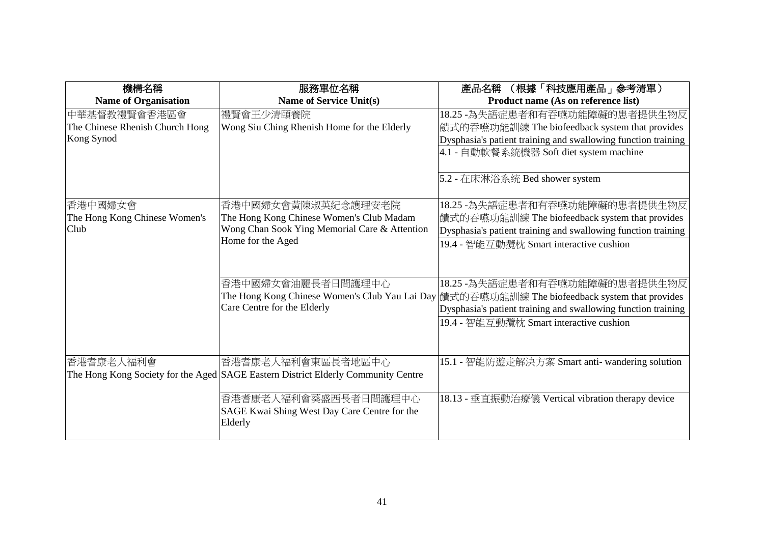| 機構名稱                            | 服務單位名稱                                                                            | (根據「科技應用產品」參考清單)<br>產品名稱                                                                                                                                                                          |
|---------------------------------|-----------------------------------------------------------------------------------|---------------------------------------------------------------------------------------------------------------------------------------------------------------------------------------------------|
| <b>Name of Organisation</b>     | <b>Name of Service Unit(s)</b>                                                    | Product name (As on reference list)                                                                                                                                                               |
| 中華基督教禮賢會香港區會                    | 禮賢會王少清頤養院                                                                         | 18.25 -為失語症患者和有吞嚥功能障礙的患者提供生物反                                                                                                                                                                     |
| The Chinese Rhenish Church Hong | Wong Siu Ching Rhenish Home for the Elderly                                       | 饋式的吞嚥功能訓練 The biofeedback system that provides                                                                                                                                                    |
| Kong Synod                      |                                                                                   | Dysphasia's patient training and swallowing function training                                                                                                                                     |
|                                 |                                                                                   | 4.1 - 自動軟餐系統機器 Soft diet system machine                                                                                                                                                           |
|                                 |                                                                                   | 5.2 - 在床淋浴系统 Bed shower system                                                                                                                                                                    |
| 香港中國婦女會                         | 香港中國婦女會黃陳淑英紀念護理安老院                                                                | 18.25 - 為失語症患者和有吞嚥功能障礙的患者提供生物反                                                                                                                                                                    |
| The Hong Kong Chinese Women's   | The Hong Kong Chinese Women's Club Madam                                          | 饋式的吞嚥功能訓練 The biofeedback system that provides                                                                                                                                                    |
| <b>Club</b>                     | Wong Chan Sook Ying Memorial Care & Attention                                     | Dysphasia's patient training and swallowing function training                                                                                                                                     |
|                                 | Home for the Aged                                                                 | 19.4 - 智能互動攬枕 Smart interactive cushion                                                                                                                                                           |
|                                 | 香港中國婦女會油麗長者日間護理中心<br>Care Centre for the Elderly                                  | 18.25 - 為失語症患者和有吞嚥功能障礙的患者提供生物反<br>The Hong Kong Chinese Women's Club Yau Lai Day  饋式的吞嚥功能訓練 The biofeedback system that provides<br>Dysphasia's patient training and swallowing function training |
|                                 |                                                                                   | 19.4 - 智能互動攬枕 Smart interactive cushion                                                                                                                                                           |
| 香港耆康老人福利會                       | 香港耆康老人福利會東區長者地區中心                                                                 | 15.1 - 智能防遊走解決方案 Smart anti- wandering solution                                                                                                                                                   |
|                                 | The Hong Kong Society for the Aged SAGE Eastern District Elderly Community Centre |                                                                                                                                                                                                   |
|                                 | 香港耆康老人福利會葵盛西長者日間護理中心<br>SAGE Kwai Shing West Day Care Centre for the<br>Elderly   | 18.13 - 垂直振動治療儀 Vertical vibration therapy device                                                                                                                                                 |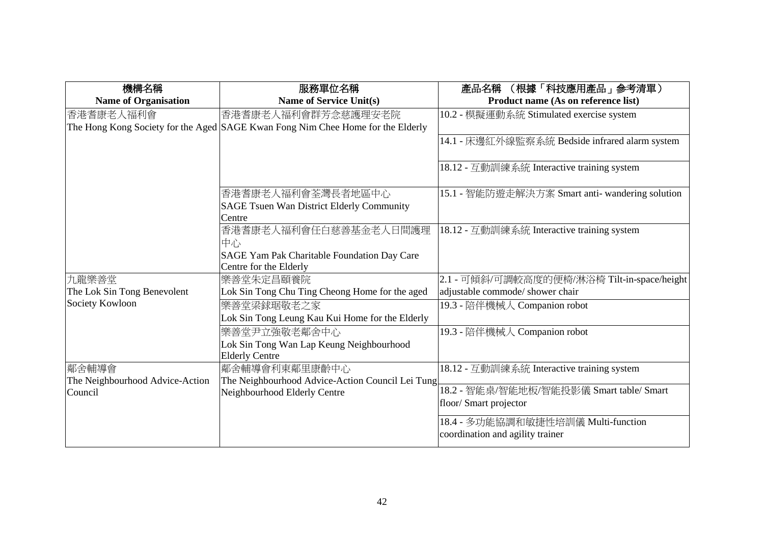| 機構名稱                            | 服務單位名稱                                                                          | (根據「科技應用產品」参考清單)<br>產品名稱                        |
|---------------------------------|---------------------------------------------------------------------------------|-------------------------------------------------|
| <b>Name of Organisation</b>     | <b>Name of Service Unit(s)</b>                                                  | Product name (As on reference list)             |
| 香港耆康老人福利會                       | 香港耆康老人福利會群芳念慈護理安老院                                                              | 10.2 - 模擬運動系統 Stimulated exercise system        |
|                                 | The Hong Kong Society for the Aged SAGE Kwan Fong Nim Chee Home for the Elderly |                                                 |
|                                 |                                                                                 | 14.1 - 床邊紅外線監察系統 Bedside infrared alarm system  |
|                                 |                                                                                 |                                                 |
|                                 |                                                                                 | 18.12 - 互動訓練系統 Interactive training system      |
|                                 |                                                                                 |                                                 |
|                                 | 香港耆康老人福利會荃灣長者地區中心                                                               | 15.1 - 智能防遊走解決方案 Smart anti- wandering solution |
|                                 | <b>SAGE Tsuen Wan District Elderly Community</b><br>Centre                      |                                                 |
|                                 | 香港耆康老人福利會任白慈善基金老人日間護理                                                           | 18.12 - 互動訓練系統 Interactive training system      |
|                                 | 中心                                                                              |                                                 |
|                                 | SAGE Yam Pak Charitable Foundation Day Care                                     |                                                 |
|                                 | Centre for the Elderly                                                          |                                                 |
| 九龍樂善堂                           | 樂善堂朱定昌頤養院                                                                       | 2.1 - 可傾斜/可調較高度的便椅/淋浴椅 Tilt-in-space/height     |
| The Lok Sin Tong Benevolent     | Lok Sin Tong Chu Ting Cheong Home for the aged                                  | adjustable commode/ shower chair                |
| Society Kowloon                 | 樂善堂梁銶琚敬老之家                                                                      | 19.3 - 陪伴機械人 Companion robot                    |
|                                 | Lok Sin Tong Leung Kau Kui Home for the Elderly                                 |                                                 |
|                                 | 樂善堂尹立強敬老鄰舍中心                                                                    | 19.3 - 陪伴機械人 Companion robot                    |
|                                 | Lok Sin Tong Wan Lap Keung Neighbourhood                                        |                                                 |
|                                 | <b>Elderly Centre</b>                                                           |                                                 |
| 鄰舍輔導會                           | 鄰舍輔導會利東鄰里康齡中心                                                                   | 18.12 - 互動訓練系統 Interactive training system      |
| The Neighbourhood Advice-Action | The Neighbourhood Advice-Action Council Lei Tung                                | 18.2 - 智能桌/智能地板/智能投影儀 Smart table/ Smart        |
| Council                         | Neighbourhood Elderly Centre                                                    | floor/ Smart projector                          |
|                                 |                                                                                 |                                                 |
|                                 |                                                                                 | 18.4 - 多功能協調和敏捷性培訓儀 Multi-function              |
|                                 |                                                                                 | coordination and agility trainer                |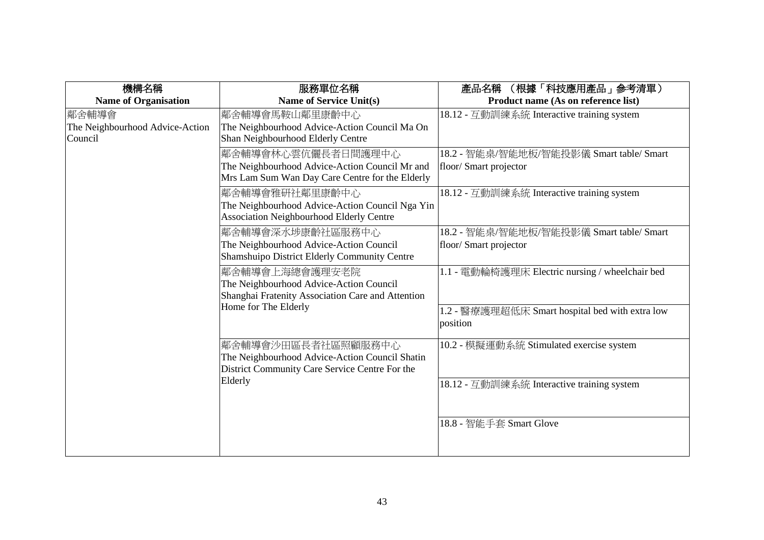| 機構名稱                                                | 服務單位名稱                                                                                                                                 | 產品名稱 (根據「科技應用產品」參考清單)                                                                                          |
|-----------------------------------------------------|----------------------------------------------------------------------------------------------------------------------------------------|----------------------------------------------------------------------------------------------------------------|
| <b>Name of Organisation</b>                         | <b>Name of Service Unit(s)</b>                                                                                                         | Product name (As on reference list)                                                                            |
| 鄰舍輔導會<br>The Neighbourhood Advice-Action<br>Council | 鄰舍輔導會馬鞍山鄰里康齡中心<br>The Neighbourhood Advice-Action Council Ma On<br>Shan Neighbourhood Elderly Centre                                   | 18.12 - 互動訓練系統 Interactive training system                                                                     |
|                                                     | 鄰舍輔導會林心雲伉儷長者日間護理中心<br>The Neighbourhood Advice-Action Council Mr and<br>Mrs Lam Sum Wan Day Care Centre for the Elderly                | 18.2 - 智能桌/智能地板/智能投影儀 Smart table/ Smart<br>floor/ Smart projector                                             |
|                                                     | 鄰舍輔導會雅研社鄰里康齡中心<br>The Neighbourhood Advice-Action Council Nga Yin<br><b>Association Neighbourhood Elderly Centre</b>                   | 18.12 - 互動訓練系統 Interactive training system                                                                     |
|                                                     | 鄰舍輔導會深水埗康齡社區服務中心<br>The Neighbourhood Advice-Action Council<br>Shamshuipo District Elderly Community Centre                            | 18.2 - 智能桌/智能地板/智能投影儀 Smart table/ Smart<br>floor/ Smart projector                                             |
|                                                     | 鄰舍輔導會上海總會護理安老院<br>The Neighbourhood Advice-Action Council<br>Shanghai Fratenity Association Care and Attention<br>Home for The Elderly | 1.1 - 電動輪椅護理床 Electric nursing / wheelchair bed<br>1.2 - 醫療護理超低床 Smart hospital bed with extra low<br>position |
|                                                     | 鄰舍輔導會沙田區長者社區照顧服務中心<br>The Neighbourhood Advice-Action Council Shatin<br>District Community Care Service Centre For the<br>Elderly      | 10.2 - 模擬運動系統 Stimulated exercise system<br>18.12 - 互動訓練系統 Interactive training system                         |
|                                                     |                                                                                                                                        | 18.8 - 智能手套 Smart Glove                                                                                        |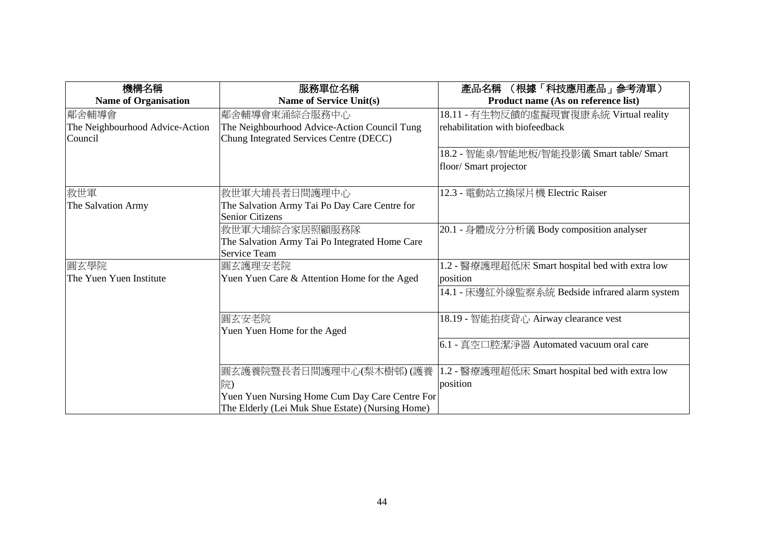| 機構名稱                            | 服務單位名稱                                           | (根據「科技應用產品」参考清單)<br>產品名稱                        |
|---------------------------------|--------------------------------------------------|-------------------------------------------------|
| <b>Name of Organisation</b>     | <b>Name of Service Unit(s)</b>                   | Product name (As on reference list)             |
| 鄰舍輔導會                           | 鄰舍輔導會東涌綜合服務中心                                    | 18.11 - 有生物反饋的虛擬現實復康系統 Virtual reality          |
| The Neighbourhood Advice-Action | The Neighbourhood Advice-Action Council Tung     | rehabilitation with biofeedback                 |
| Council                         | Chung Integrated Services Centre (DECC)          |                                                 |
|                                 |                                                  | 18.2 - 智能桌/智能地板/智能投影儀 Smart table/ Smart        |
|                                 |                                                  | floor/ Smart projector                          |
|                                 |                                                  |                                                 |
| 救世軍                             | 救世軍大埔長者日間護理中心                                    | 12.3 - 電動站立換尿片機 Electric Raiser                 |
| The Salvation Army              | The Salvation Army Tai Po Day Care Centre for    |                                                 |
|                                 | <b>Senior Citizens</b>                           |                                                 |
|                                 | 救世軍大埔綜合家居照顧服務隊                                   | 20.1 - 身體成分分析儀 Body composition analyser        |
|                                 | The Salvation Army Tai Po Integrated Home Care   |                                                 |
|                                 | <b>Service Team</b>                              |                                                 |
| 圓玄學院                            | 圓玄護理安老院                                          | 1.2 - 醫療護理超低床 Smart hospital bed with extra low |
| The Yuen Yuen Institute         | Yuen Yuen Care & Attention Home for the Aged     | position                                        |
|                                 |                                                  | 14.1 - 床邊紅外線監察系統 Bedside infrared alarm system  |
|                                 |                                                  |                                                 |
|                                 | 圓玄安老院                                            | 18.19 - 智能拍痰背心 Airway clearance vest            |
|                                 | Yuen Yuen Home for the Aged                      |                                                 |
|                                 |                                                  | 6.1 - 真空口腔潔淨器 Automated vacuum oral care        |
|                                 |                                                  |                                                 |
|                                 | 圓玄護養院暨長者日間護理中心(梨木樹邨) (護養                         | 1.2 - 醫療護理超低床 Smart hospital bed with extra low |
|                                 | 院)                                               | position                                        |
|                                 | Yuen Yuen Nursing Home Cum Day Care Centre For   |                                                 |
|                                 | The Elderly (Lei Muk Shue Estate) (Nursing Home) |                                                 |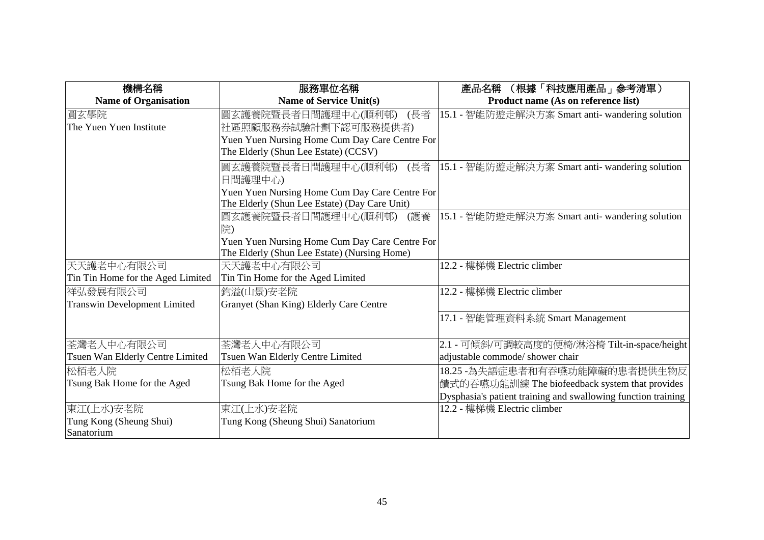| 機構名稱                                | 服務單位名稱                                         | (根據「科技應用產品」參考清單)<br>產品名稱                                      |
|-------------------------------------|------------------------------------------------|---------------------------------------------------------------|
| <b>Name of Organisation</b>         | <b>Name of Service Unit(s)</b>                 | Product name (As on reference list)                           |
| 圓玄學院                                | (長者<br> 圓玄護養院暨長者日間護理中心(順利邨)                    | 15.1 - 智能防遊走解決方案 Smart anti- wandering solution               |
| The Yuen Yuen Institute             | 社區照顧服務券試驗計劃下認可服務提供者)                           |                                                               |
|                                     | Yuen Yuen Nursing Home Cum Day Care Centre For |                                                               |
|                                     | The Elderly (Shun Lee Estate) (CCSV)           |                                                               |
|                                     | 圓玄護養院暨長者日間護理中心(順利邨)<br>(長者                     | 15.1 - 智能防遊走解決方案 Smart anti- wandering solution               |
|                                     | 日間護理中心)                                        |                                                               |
|                                     | Yuen Yuen Nursing Home Cum Day Care Centre For |                                                               |
|                                     | The Elderly (Shun Lee Estate) (Day Care Unit)  |                                                               |
|                                     | 圓玄護養院暨長者日間護理中心(順利邨) <br>(護養                    | 15.1 - 智能防遊走解決方案 Smart anti- wandering solution               |
|                                     | 院)                                             |                                                               |
|                                     | Yuen Yuen Nursing Home Cum Day Care Centre For |                                                               |
|                                     | The Elderly (Shun Lee Estate) (Nursing Home)   |                                                               |
| 天天護老中心有限公司                          | 天天護老中心有限公司                                     | 12.2 - 樓梯機 Electric climber                                   |
| Tin Tin Home for the Aged Limited   | Tin Tin Home for the Aged Limited              |                                                               |
| 祥弘發展有限公司                            | 鈞溢(山景)安老院                                      | 12.2 - 樓梯機 Electric climber                                   |
| <b>Transwin Development Limited</b> | Granyet (Shan King) Elderly Care Centre        |                                                               |
|                                     |                                                | 17.1 - 智能管理資料系統 Smart Management                              |
|                                     |                                                |                                                               |
| 荃灣老人中心有限公司                          | 荃灣老人中心有限公司                                     | 2.1 - 可傾斜/可調較高度的便椅/淋浴椅 Tilt-in-space/height                   |
| Tsuen Wan Elderly Centre Limited    | Tsuen Wan Elderly Centre Limited               | adjustable commode/ shower chair                              |
| 松栢老人院                               | 松栢老人院                                          | 18.25 -為失語症患者和有吞嚥功能障礙的患者提供生物反                                 |
| Tsung Bak Home for the Aged         | Tsung Bak Home for the Aged                    | 饋式的吞嚥功能訓練 The biofeedback system that provides                |
|                                     |                                                | Dysphasia's patient training and swallowing function training |
| 東江(上水)安老院                           | 東江(上水)安老院                                      | 12.2 - 樓梯機 Electric climber                                   |
| Tung Kong (Sheung Shui)             | Tung Kong (Sheung Shui) Sanatorium             |                                                               |
| Sanatorium                          |                                                |                                                               |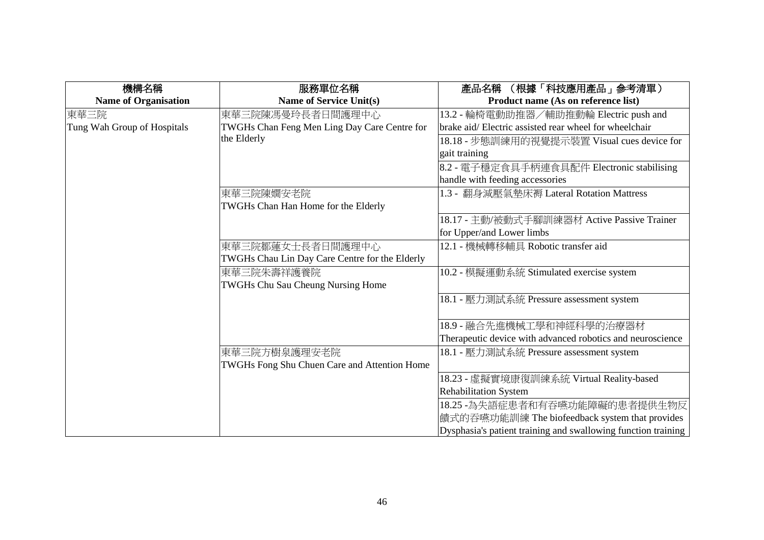| 機構名稱                        | 服務單位名稱                                         | (根據「科技應用產品」参考清單)<br>產品名稱                                      |
|-----------------------------|------------------------------------------------|---------------------------------------------------------------|
| <b>Name of Organisation</b> | <b>Name of Service Unit(s)</b>                 | Product name (As on reference list)                           |
| 東華三院                        | 東華三院陳馮曼玲長者日間護理中心                               | 13.2 - 輪椅電動助推器/輔助推動輪 Electric push and                        |
| Tung Wah Group of Hospitals | TWGHs Chan Feng Men Ling Day Care Centre for   | brake aid/Electric assisted rear wheel for wheelchair         |
|                             | the Elderly                                    | 18.18 - 步態訓練用的視覺提示裝置 Visual cues device for                   |
|                             |                                                | gait training                                                 |
|                             |                                                | 8.2 - 電子穩定食具手柄連食具配件 Electronic stabilising                    |
|                             |                                                | handle with feeding accessories                               |
|                             | 東華三院陳嫺安老院                                      | 1.3 - 翻身減壓氣墊床褥 Lateral Rotation Mattress                      |
|                             | TWGHs Chan Han Home for the Elderly            |                                                               |
|                             |                                                | 18.17 - 主動/被動式手腳訓練器材 Active Passive Trainer                   |
|                             |                                                | for Upper/and Lower limbs                                     |
|                             | 東華三院鄒蓮女士長者日間護理中心                               | 12.1 - 機械轉移輔具 Robotic transfer aid                            |
|                             | TWGHs Chau Lin Day Care Centre for the Elderly |                                                               |
|                             | 東華三院朱壽祥護養院                                     | 10.2 - 模擬運動系統 Stimulated exercise system                      |
|                             | TWGHs Chu Sau Cheung Nursing Home              |                                                               |
|                             |                                                | 18.1 - 壓力測試系統 Pressure assessment system                      |
|                             |                                                |                                                               |
|                             |                                                | 18.9 - 融合先進機械工學和神經科學的治療器材                                     |
|                             |                                                | Therapeutic device with advanced robotics and neuroscience    |
|                             | 東華三院方樹泉護理安老院                                   | 18.1 - 壓力測試系統 Pressure assessment system                      |
|                             | TWGHs Fong Shu Chuen Care and Attention Home   |                                                               |
|                             |                                                | 18.23 - 虛擬實境康復訓練系統 Virtual Reality-based                      |
|                             |                                                | <b>Rehabilitation System</b>                                  |
|                             |                                                | 18.25 - 為失語症患者和有吞嚥功能障礙的患者提供生物反                                |
|                             |                                                | 饋式的吞嚥功能訓練 The biofeedback system that provides                |
|                             |                                                | Dysphasia's patient training and swallowing function training |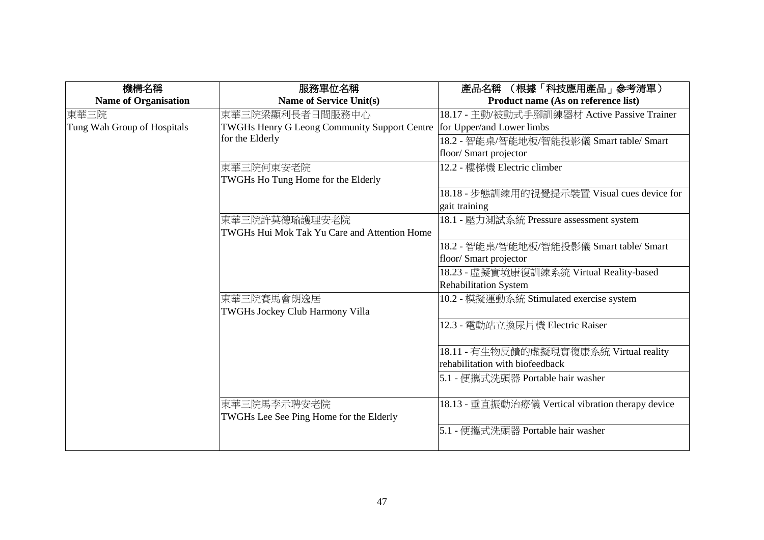| 機構名稱                        | 服務單位名稱                                              | 產品名稱 (根據「科技應用產品」參考清單)                             |
|-----------------------------|-----------------------------------------------------|---------------------------------------------------|
| <b>Name of Organisation</b> | <b>Name of Service Unit(s)</b>                      | Product name (As on reference list)               |
| 東華三院                        | 東華三院梁顯利長者日間服務中心                                     | 18.17 - 主動/被動式手腳訓練器材 Active Passive Trainer       |
| Tung Wah Group of Hospitals | <b>TWGHs Henry G Leong Community Support Centre</b> | for Upper/and Lower limbs                         |
|                             | for the Elderly                                     | 18.2 - 智能桌/智能地板/智能投影儀 Smart table/ Smart          |
|                             |                                                     | floor/ Smart projector                            |
|                             | 東華三院何東安老院                                           | 12.2 - 樓梯機 Electric climber                       |
|                             | TWGHs Ho Tung Home for the Elderly                  |                                                   |
|                             |                                                     | 18.18 - 步態訓練用的視覺提示裝置 Visual cues device for       |
|                             |                                                     | gait training                                     |
|                             | 東華三院許莫德瑜護理安老院                                       | 18.1 - 壓力測試系統 Pressure assessment system          |
|                             | TWGHs Hui Mok Tak Yu Care and Attention Home        |                                                   |
|                             |                                                     | 18.2 - 智能桌/智能地板/智能投影儀 Smart table/ Smart          |
|                             |                                                     | floor/ Smart projector                            |
|                             |                                                     | 18.23 - 虛擬實境康復訓練系統 Virtual Reality-based          |
|                             |                                                     | <b>Rehabilitation System</b>                      |
|                             | 東華三院賽馬會朗逸居                                          | 10.2 - 模擬運動系統 Stimulated exercise system          |
|                             | TWGHs Jockey Club Harmony Villa                     |                                                   |
|                             |                                                     | 12.3 - 電動站立換尿片機 Electric Raiser                   |
|                             |                                                     |                                                   |
|                             |                                                     | 18.11 - 有生物反饋的虛擬現實復康系統 Virtual reality            |
|                             |                                                     | rehabilitation with biofeedback                   |
|                             |                                                     | 5.1 - 便攜式洗頭器 Portable hair washer                 |
|                             |                                                     |                                                   |
|                             | 東華三院馬李示聘安老院                                         | 18.13 - 垂直振動治療儀 Vertical vibration therapy device |
|                             | TWGHs Lee See Ping Home for the Elderly             |                                                   |
|                             |                                                     | 5.1 - 便攜式洗頭器 Portable hair washer                 |
|                             |                                                     |                                                   |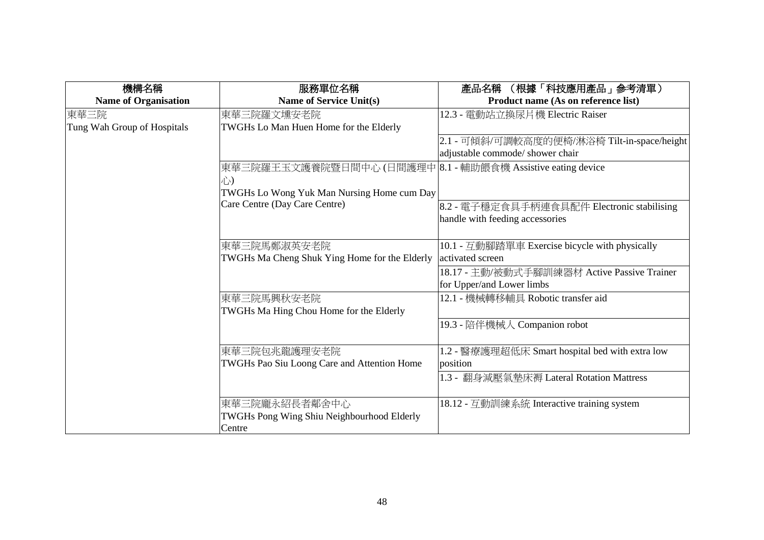| 機構名稱                        | 服務單位名稱                                                      | (根據「科技應用產品」参考清單)<br>產品名稱                        |
|-----------------------------|-------------------------------------------------------------|-------------------------------------------------|
| <b>Name of Organisation</b> | <b>Name of Service Unit(s)</b>                              | Product name (As on reference list)             |
| 東華三院                        | 東華三院羅文壎安老院                                                  | 12.3 - 電動站立換尿片機 Electric Raiser                 |
| Tung Wah Group of Hospitals | TWGHs Lo Man Huen Home for the Elderly                      |                                                 |
|                             |                                                             | 2.1 - 可傾斜/可調較高度的便椅/淋浴椅 Tilt-in-space/height     |
|                             |                                                             | adjustable commode/ shower chair                |
|                             | 東華三院羅王玉文護養院暨日間中心 (日間護理中 8.1 - 輔助餵食機 Assistive eating device |                                                 |
|                             | 心)                                                          |                                                 |
|                             | TWGHs Lo Wong Yuk Man Nursing Home cum Day                  |                                                 |
|                             | Care Centre (Day Care Centre)                               | 8.2 - 電子穩定食具手柄連食具配件 Electronic stabilising      |
|                             |                                                             | handle with feeding accessories                 |
|                             |                                                             |                                                 |
|                             | 東華三院馬鄭淑英安老院                                                 | 10.1 - 互動腳踏單車 Exercise bicycle with physically  |
|                             | TWGHs Ma Cheng Shuk Ying Home for the Elderly               | activated screen                                |
|                             |                                                             | 18.17 - 主動/被動式手腳訓練器材 Active Passive Trainer     |
|                             |                                                             | for Upper/and Lower limbs                       |
|                             | 東華三院馬興秋安老院                                                  | 12.1 - 機械轉移輔具 Robotic transfer aid              |
|                             | TWGHs Ma Hing Chou Home for the Elderly                     |                                                 |
|                             |                                                             | 19.3 - 陪伴機械人 Companion robot                    |
|                             |                                                             |                                                 |
|                             | 東華三院包兆龍護理安老院                                                | 1.2 - 醫療護理超低床 Smart hospital bed with extra low |
|                             | TWGHs Pao Siu Loong Care and Attention Home                 | position                                        |
|                             |                                                             | 1.3 - 翻身減壓氣墊床褥 Lateral Rotation Mattress        |
|                             |                                                             |                                                 |
|                             | 東華三院龐永紹長者鄰舍中心                                               | 18.12 - 互動訓練系統 Interactive training system      |
|                             | TWGHs Pong Wing Shiu Neighbourhood Elderly                  |                                                 |
|                             | Centre                                                      |                                                 |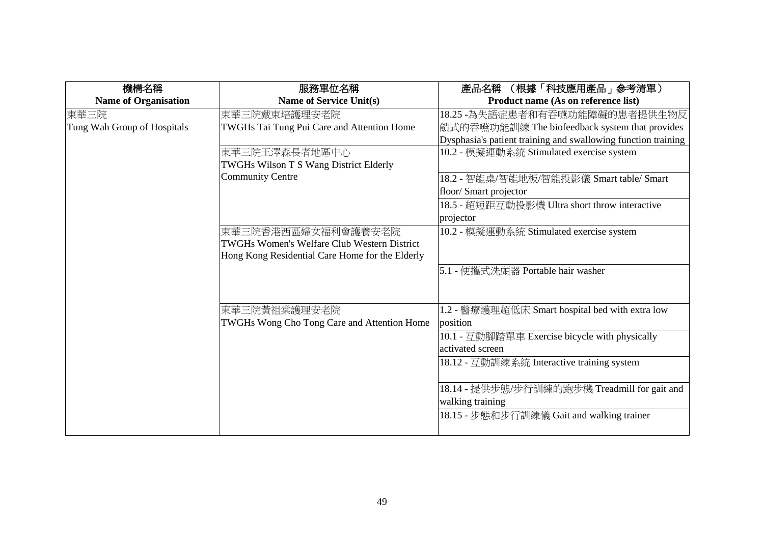| 機構名稱<br><b>Name of Organisation</b> | 服務單位名稱<br><b>Name of Service Unit(s)</b>                                                                                    | (根據「科技應用產品」參考清單)<br>產品名稱<br>Product name (As on reference list)                                                                                   |
|-------------------------------------|-----------------------------------------------------------------------------------------------------------------------------|---------------------------------------------------------------------------------------------------------------------------------------------------|
| 東華三院<br>Tung Wah Group of Hospitals | 東華三院戴東培護理安老院<br>TWGHs Tai Tung Pui Care and Attention Home                                                                  | 18.25 -為失語症患者和有吞嚥功能障礙的患者提供生物反<br> 饋式的吞嚥功能訓練 The biofeedback system that provides<br>Dysphasia's patient training and swallowing function training |
|                                     | 東華三院王澤森長者地區中心<br>TWGHs Wilson T S Wang District Elderly                                                                     | 10.2 - 模擬運動系統 Stimulated exercise system                                                                                                          |
|                                     | <b>Community Centre</b>                                                                                                     | 18.2 - 智能桌/智能地板/智能投影儀 Smart table/ Smart<br>floor/ Smart projector                                                                                |
|                                     |                                                                                                                             | 18.5 - 超短距互動投影機 Ultra short throw interactive<br>projector                                                                                        |
|                                     | 東華三院香港西區婦女福利會護養安老院<br><b>TWGHs Women's Welfare Club Western District</b><br>Hong Kong Residential Care Home for the Elderly | 10.2 - 模擬運動系統 Stimulated exercise system                                                                                                          |
|                                     |                                                                                                                             | 5.1 - 便攜式洗頭器 Portable hair washer                                                                                                                 |
|                                     | 東華三院黃祖棠護理安老院<br>TWGHs Wong Cho Tong Care and Attention Home                                                                 | 1.2 - 醫療護理超低床 Smart hospital bed with extra low<br>position                                                                                       |
|                                     |                                                                                                                             | 10.1 - 互動腳踏單車 Exercise bicycle with physically<br>activated screen                                                                                |
|                                     |                                                                                                                             | 18.12 - 互動訓練系統 Interactive training system                                                                                                        |
|                                     |                                                                                                                             | 18.14 - 提供步態/步行訓練的跑步機 Treadmill for gait and<br>walking training                                                                                  |
|                                     |                                                                                                                             | 18.15 - 步態和步行訓練儀 Gait and walking trainer                                                                                                         |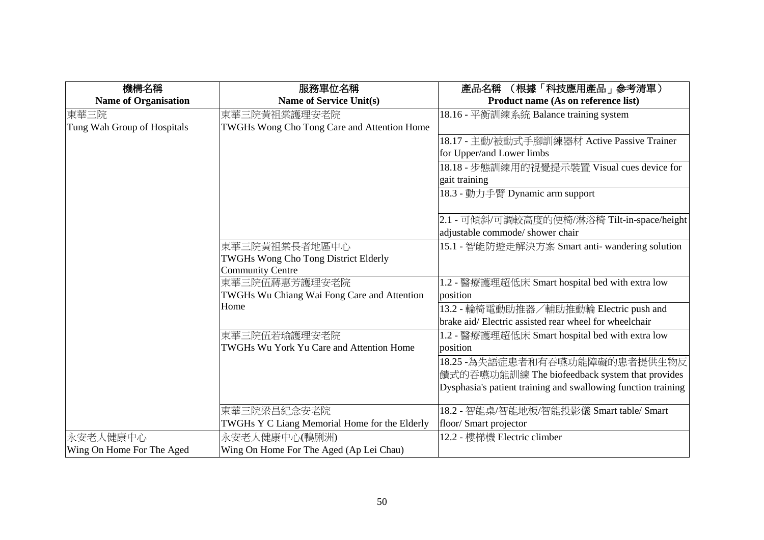| 機構名稱                        | 服務單位名稱                                              | (根據「科技應用產品」參考清單)<br>產品名稱                                      |
|-----------------------------|-----------------------------------------------------|---------------------------------------------------------------|
| <b>Name of Organisation</b> | <b>Name of Service Unit(s)</b>                      | Product name (As on reference list)                           |
| 東華三院                        | 東華三院黃祖棠護理安老院                                        | 18.16 - 平衡訓練系統 Balance training system                        |
| Tung Wah Group of Hospitals | TWGHs Wong Cho Tong Care and Attention Home         |                                                               |
|                             |                                                     | 18.17 - 主動/被動式手腳訓練器材 Active Passive Trainer                   |
|                             |                                                     | for Upper/and Lower limbs                                     |
|                             |                                                     | 18.18 - 步態訓練用的視覺提示裝置 Visual cues device for                   |
|                             |                                                     | gait training                                                 |
|                             |                                                     | 18.3 - 動力手臂 Dynamic arm support                               |
|                             |                                                     |                                                               |
|                             |                                                     | 2.1 - 可傾斜/可調較高度的便椅/淋浴椅 Tilt-in-space/height                   |
|                             |                                                     | adjustable commode/ shower chair                              |
|                             | 東華三院黃祖棠長者地區中心                                       | 15.1 - 智能防遊走解決方案 Smart anti- wandering solution               |
|                             | <b>TWGHs Wong Cho Tong District Elderly</b>         |                                                               |
|                             | <b>Community Centre</b>                             |                                                               |
|                             | 東華三院伍蔣惠芳護理安老院                                       | 1.2 - 醫療護理超低床 Smart hospital bed with extra low               |
|                             | TWGHs Wu Chiang Wai Fong Care and Attention<br>Home | position                                                      |
|                             |                                                     | 13.2 - 輪椅電動助推器/輔助推動輪 Electric push and                        |
|                             |                                                     | brake aid/Electric assisted rear wheel for wheelchair         |
|                             | 東華三院伍若瑜護理安老院                                        | 1.2 - 醫療護理超低床 Smart hospital bed with extra low               |
|                             | TWGHs Wu York Yu Care and Attention Home            | position                                                      |
|                             |                                                     | 18.25 - 為失語症患者和有吞嚥功能障礙的患者提供生物反                                |
|                             |                                                     | 饋式的吞嚥功能訓練 The biofeedback system that provides                |
|                             |                                                     | Dysphasia's patient training and swallowing function training |
|                             | 東華三院梁昌紀念安老院                                         | 18.2 - 智能桌/智能地板/智能投影儀 Smart table/ Smart                      |
|                             | TWGHs Y C Liang Memorial Home for the Elderly       | floor/ Smart projector                                        |
| 永安老人健康中心                    | 永安老人健康中心(鴨脷洲)                                       | 12.2 - 樓梯機 Electric climber                                   |
| Wing On Home For The Aged   | Wing On Home For The Aged (Ap Lei Chau)             |                                                               |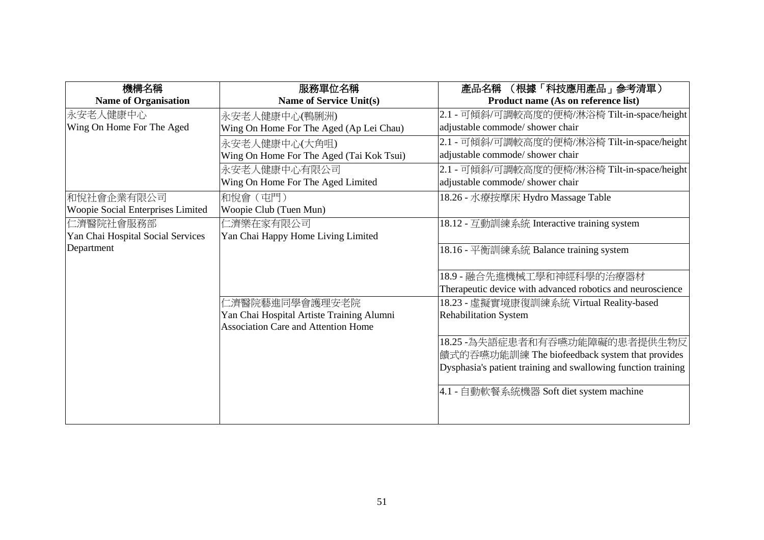| 機構名稱                              | 服務單位名稱                                     | (根據「科技應用產品」参考清單)<br>產品名稱                                      |
|-----------------------------------|--------------------------------------------|---------------------------------------------------------------|
| <b>Name of Organisation</b>       | <b>Name of Service Unit(s)</b>             | Product name (As on reference list)                           |
| 永安老人健康中心                          | 永安老人健康中心(鴨脷洲)                              | 2.1 - 可傾斜/可調較高度的便椅/淋浴椅 Tilt-in-space/height                   |
| Wing On Home For The Aged         | Wing On Home For The Aged (Ap Lei Chau)    | adjustable commode/ shower chair                              |
|                                   | 永安老人健康中心(大角咀)                              | 2.1 - 可傾斜/可調較高度的便椅/淋浴椅 Tilt-in-space/height                   |
|                                   | Wing On Home For The Aged (Tai Kok Tsui)   | adjustable commode/ shower chair                              |
|                                   | 永安老人健康中心有限公司                               | 2.1 - 可傾斜/可調較高度的便椅/淋浴椅 Tilt-in-space/height                   |
|                                   | Wing On Home For The Aged Limited          | adjustable commode/ shower chair                              |
| 和悅社會企業有限公司                        | 和悅會(屯門)                                    | 18.26 - 水療按摩床 Hydro Massage Table                             |
| Woopie Social Enterprises Limited | Woopie Club (Tuen Mun)                     |                                                               |
| 仁濟醫院社會服務部                         | 仁濟樂在家有限公司                                  | 18.12 - 互動訓練系統 Interactive training system                    |
| Yan Chai Hospital Social Services | Yan Chai Happy Home Living Limited         |                                                               |
| Department                        |                                            | 18.16 - 平衡訓練系統 Balance training system                        |
|                                   |                                            |                                                               |
|                                   |                                            | 18.9 - 融合先進機械工學和神經科學的治療器材                                     |
|                                   |                                            | Therapeutic device with advanced robotics and neuroscience    |
|                                   | □濟醫院藝進同學會護理安老院                             | 18.23 - 虛擬實境康復訓練系統 Virtual Reality-based                      |
|                                   | Yan Chai Hospital Artiste Training Alumni  | <b>Rehabilitation System</b>                                  |
|                                   | <b>Association Care and Attention Home</b> |                                                               |
|                                   |                                            | 18.25 - 為失語症患者和有吞嚥功能障礙的患者提供生物反                                |
|                                   |                                            | 饋式的吞嚥功能訓練 The biofeedback system that provides                |
|                                   |                                            | Dysphasia's patient training and swallowing function training |
|                                   |                                            | 4.1 - 自動軟餐系統機器 Soft diet system machine                       |
|                                   |                                            |                                                               |
|                                   |                                            |                                                               |
|                                   |                                            |                                                               |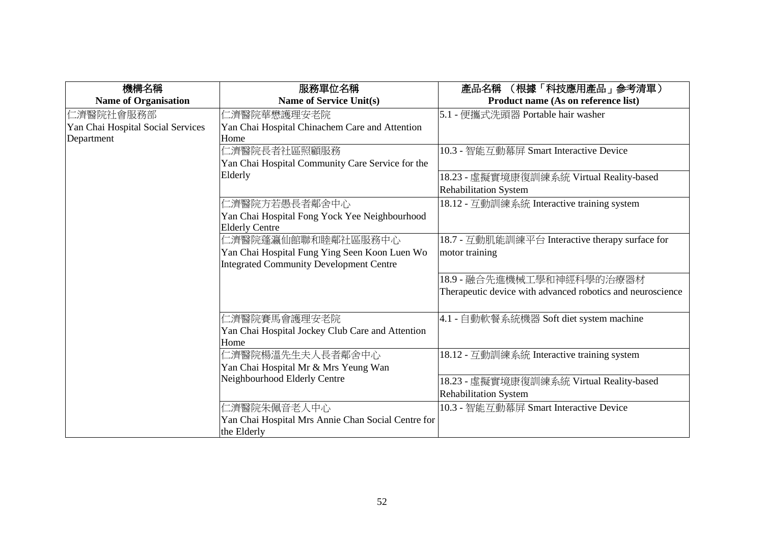| 機構名稱                              | 服務單位名稱                                             | (根據「科技應用產品」參考清單)<br>產品名稱                                   |
|-----------------------------------|----------------------------------------------------|------------------------------------------------------------|
| <b>Name of Organisation</b>       | Name of Service Unit(s)                            | Product name (As on reference list)                        |
| 仁濟醫院社會服務部                         | 二濟醫院華懋護理安老院                                        | 5.1 - 便攜式洗頭器 Portable hair washer                          |
| Yan Chai Hospital Social Services | Yan Chai Hospital Chinachem Care and Attention     |                                                            |
| Department                        | Home                                               |                                                            |
|                                   | □濟醫院長者社區照顧服務                                       | 10.3 - 智能互動幕屏 Smart Interactive Device                     |
|                                   | Yan Chai Hospital Community Care Service for the   |                                                            |
|                                   | Elderly                                            | 18.23 - 虛擬實境康復訓練系統 Virtual Reality-based                   |
|                                   |                                                    | <b>Rehabilitation System</b>                               |
|                                   | 二濟醫院方若愚長者鄰舍中心                                      | 18.12 - 互動訓練系統 Interactive training system                 |
|                                   | Yan Chai Hospital Fong Yock Yee Neighbourhood      |                                                            |
|                                   | <b>Elderly Centre</b>                              |                                                            |
|                                   | 二濟醫院蓬瀛仙館聯和睦鄰社區服務中心                                 | 18.7 - 互動肌能訓練平台 Interactive therapy surface for            |
|                                   | Yan Chai Hospital Fung Ying Seen Koon Luen Wo      | motor training                                             |
|                                   | <b>Integrated Community Development Centre</b>     |                                                            |
|                                   |                                                    | 18.9 - 融合先進機械工學和神經科學的治療器材                                  |
|                                   |                                                    | Therapeutic device with advanced robotics and neuroscience |
|                                   |                                                    |                                                            |
|                                   | 二濟醫院賽馬會護理安老院                                       | 4.1 - 自動軟餐系統機器 Soft diet system machine                    |
|                                   | Yan Chai Hospital Jockey Club Care and Attention   |                                                            |
|                                   | Home                                               |                                                            |
|                                   | 二濟醫院楊溫先生夫人長者鄰舍中心                                   | 18.12 - 互動訓練系統 Interactive training system                 |
|                                   | Yan Chai Hospital Mr & Mrs Yeung Wan               |                                                            |
|                                   | Neighbourhood Elderly Centre                       | 18.23 - 虛擬實境康復訓練系統 Virtual Reality-based                   |
|                                   |                                                    | <b>Rehabilitation System</b>                               |
|                                   | 1.濟醫院朱佩音老人中心                                       | 10.3 - 智能互動幕屏 Smart Interactive Device                     |
|                                   | Yan Chai Hospital Mrs Annie Chan Social Centre for |                                                            |
|                                   | the Elderly                                        |                                                            |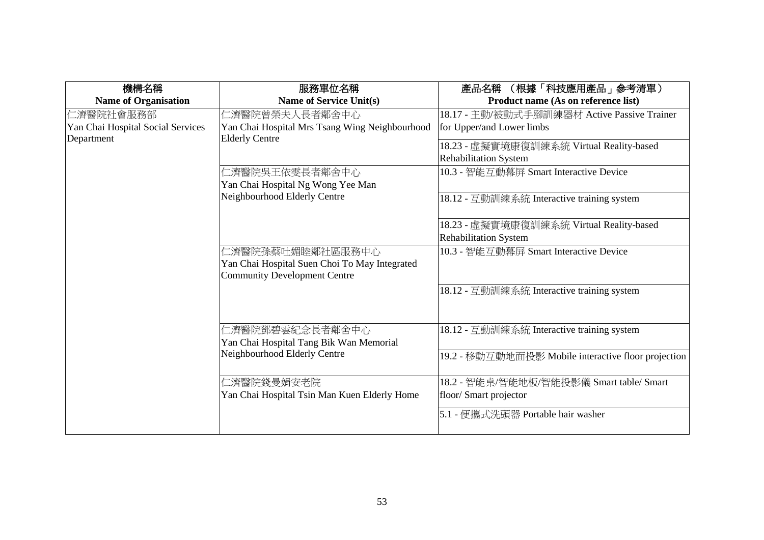| 機構名稱                              | 服務單位名稱                                                                                                   | 產品名稱<br>(根據「科技應用產品」参考清單)                            |
|-----------------------------------|----------------------------------------------------------------------------------------------------------|-----------------------------------------------------|
| <b>Name of Organisation</b>       | Name of Service Unit(s)                                                                                  | Product name (As on reference list)                 |
| 仁濟醫院社會服務部                         | 仁濟醫院曾榮夫人長者鄰舍中心                                                                                           | 18.17 - 主動/被動式手腳訓練器材 Active Passive Trainer         |
| Yan Chai Hospital Social Services | Yan Chai Hospital Mrs Tsang Wing Neighbourhood                                                           | for Upper/and Lower limbs                           |
| Department                        | <b>Elderly Centre</b>                                                                                    | 18.23 - 虛擬實境康復訓練系統 Virtual Reality-based            |
|                                   |                                                                                                          | <b>Rehabilitation System</b>                        |
|                                   | 二濟醫院吳王依雯長者鄰舍中心                                                                                           | 10.3 - 智能互動幕屏 Smart Interactive Device              |
|                                   | Yan Chai Hospital Ng Wong Yee Man                                                                        |                                                     |
|                                   | Neighbourhood Elderly Centre                                                                             | 18.12 - 互動訓練系統 Interactive training system          |
|                                   |                                                                                                          | 18.23 - 虛擬實境康復訓練系統 Virtual Reality-based            |
|                                   |                                                                                                          | <b>Rehabilitation System</b>                        |
|                                   | 仁濟醫院孫蔡吐媚睦鄰社區服務中心<br>Yan Chai Hospital Suen Choi To May Integrated<br><b>Community Development Centre</b> | 10.3 - 智能互動幕屏 Smart Interactive Device              |
|                                   |                                                                                                          | 18.12 - 互動訓練系統 Interactive training system          |
|                                   | 仁濟醫院鄧碧雲紀念長者鄰舍中心<br>Yan Chai Hospital Tang Bik Wan Memorial                                               | 18.12 - 互動訓練系統 Interactive training system          |
|                                   | Neighbourhood Elderly Centre                                                                             | 19.2 - 移動互動地面投影 Mobile interactive floor projection |
|                                   | 二濟醫院錢曼娟安老院                                                                                               | 18.2 - 智能桌/智能地板/智能投影儀 Smart table/ Smart            |
|                                   | Yan Chai Hospital Tsin Man Kuen Elderly Home                                                             | floor/ Smart projector                              |
|                                   |                                                                                                          | 5.1 - 便攜式洗頭器 Portable hair washer                   |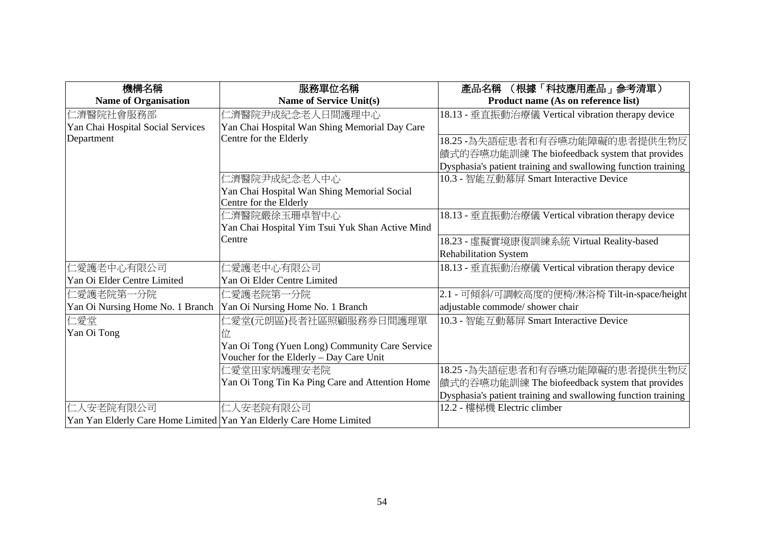| 機構名稱                              | 服務單位名稱                                                              | (根據「科技應用產品」参考清單)<br>產品名稱                                      |
|-----------------------------------|---------------------------------------------------------------------|---------------------------------------------------------------|
| <b>Name of Organisation</b>       | <b>Name of Service Unit(s)</b>                                      | Product name (As on reference list)                           |
| 仁濟醫院社會服務部                         | 仁濟醫院尹成紀念老人日間護理中心                                                    | 18.13 - 垂直振動治療儀 Vertical vibration therapy device             |
| Yan Chai Hospital Social Services | Yan Chai Hospital Wan Shing Memorial Day Care                       |                                                               |
| Department                        | Centre for the Elderly                                              | 18.25 - 為失語症患者和有吞嚥功能障礙的患者提供生物反                                |
|                                   |                                                                     | 饋式的吞嚥功能訓練 The biofeedback system that provides                |
|                                   |                                                                     | Dysphasia's patient training and swallowing function training |
|                                   | 仁濟醫院尹成紀念老人中心                                                        | 10.3 - 智能互動幕屏 Smart Interactive Device                        |
|                                   | Yan Chai Hospital Wan Shing Memorial Social                         |                                                               |
|                                   | Centre for the Elderly                                              |                                                               |
|                                   | 仁濟醫院嚴徐玉珊卓智中心                                                        | 18.13 - 垂直振動治療儀 Vertical vibration therapy device             |
|                                   | Yan Chai Hospital Yim Tsui Yuk Shan Active Mind                     |                                                               |
|                                   | Centre                                                              | 18.23 - 虛擬實境康復訓練系統 Virtual Reality-based                      |
|                                   |                                                                     | <b>Rehabilitation System</b>                                  |
| 仁愛護老中心有限公司                        | 仁愛護老中心有限公司                                                          | 18.13 - 垂直振動治療儀 Vertical vibration therapy device             |
| Yan Oi Elder Centre Limited       | Yan Oi Elder Centre Limited                                         |                                                               |
| 仁愛護老院第一分院                         | 仁愛護老院第一分院                                                           | 2.1 - 可傾斜/可調較高度的便椅/淋浴椅 Tilt-in-space/height                   |
| Yan Oi Nursing Home No. 1 Branch  | Yan Oi Nursing Home No. 1 Branch                                    | adjustable commode/ shower chair                              |
| 仁愛堂                               | 仁愛堂(元朗區)長者社區照顧服務券日間護理單                                              | 10.3 - 智能互動幕屏 Smart Interactive Device                        |
| Yan Oi Tong                       |                                                                     |                                                               |
|                                   | Yan Oi Tong (Yuen Long) Community Care Service                      |                                                               |
|                                   | Voucher for the Elderly - Day Care Unit                             |                                                               |
|                                   | 仁愛堂田家炳護理安老院                                                         | 18.25 - 為失語症患者和有吞嚥功能障礙的患者提供生物反                                |
|                                   | Yan Oi Tong Tin Ka Ping Care and Attention Home                     | 饋式的吞嚥功能訓練 The biofeedback system that provides                |
|                                   |                                                                     | Dysphasia's patient training and swallowing function training |
| 仁人安老院有限公司                         | 仁人安老院有限公司                                                           | 12.2 - 樓梯機 Electric climber                                   |
|                                   | Yan Yan Elderly Care Home Limited Yan Yan Elderly Care Home Limited |                                                               |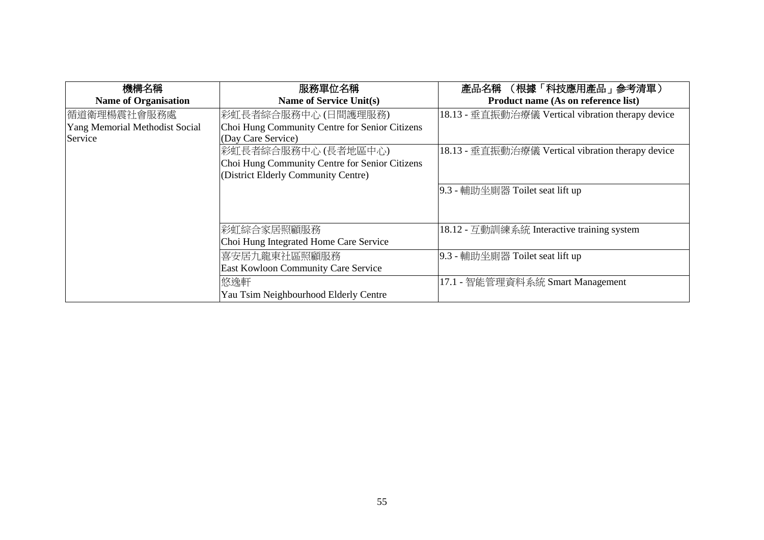| 機構名稱                           | 服務單位名稱                                         | 產品名稱 (根據「科技應用產品」參考清單)                             |
|--------------------------------|------------------------------------------------|---------------------------------------------------|
| <b>Name of Organisation</b>    | Name of Service Unit(s)                        | Product name (As on reference list)               |
| 循道衛理楊震社會服務處                    | 彩虹長者綜合服務中心(日間護理服務)                             | 18.13 - 垂直振動治療儀 Vertical vibration therapy device |
| Yang Memorial Methodist Social | Choi Hung Community Centre for Senior Citizens |                                                   |
| Service                        | (Day Care Service)                             |                                                   |
|                                | 彩虹長者綜合服務中心(長者地區中心)                             | 18.13 - 垂直振動治療儀 Vertical vibration therapy device |
|                                | Choi Hung Community Centre for Senior Citizens |                                                   |
|                                | (District Elderly Community Centre)            |                                                   |
|                                |                                                | 9.3 - 輔助坐廁器 Toilet seat lift up                   |
|                                |                                                |                                                   |
|                                |                                                |                                                   |
|                                | 彩虹綜合家居照顧服務                                     | 18.12 - 互動訓練系統 Interactive training system        |
|                                | Choi Hung Integrated Home Care Service         |                                                   |
|                                | 喜安居九龍東社區照顧服務                                   | 9.3 - 輔助坐廁器 Toilet seat lift up                   |
|                                | East Kowloon Community Care Service            |                                                   |
|                                | 悠逸軒                                            | 17.1 - 智能管理資料系統 Smart Management                  |
|                                | Yau Tsim Neighbourhood Elderly Centre          |                                                   |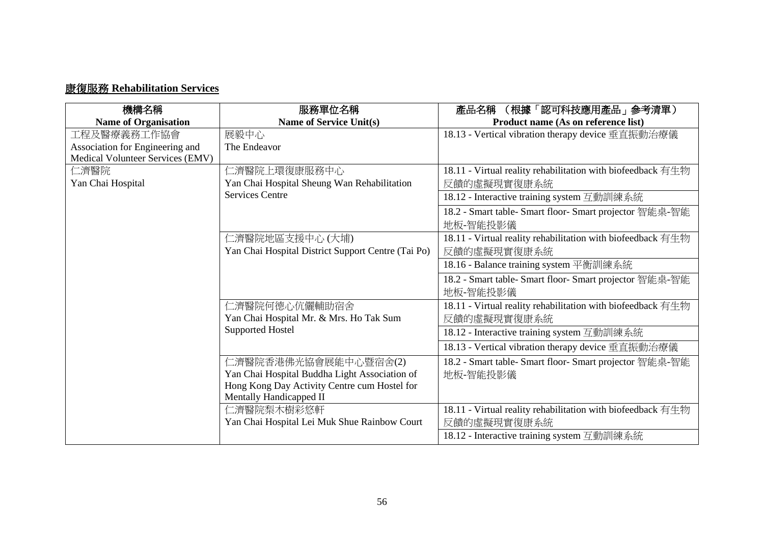## 康復服務 **Rehabilitation Services**

| 機構名稱                             | 服務單位名稱                                             | (根據「認可科技應用產品」参考清單)<br>產品名稱                                  |
|----------------------------------|----------------------------------------------------|-------------------------------------------------------------|
| <b>Name of Organisation</b>      | Name of Service Unit(s)                            | Product name (As on reference list)                         |
| 工程及醫療義務工作協會                      | 展毅中心                                               | 18.13 - Vertical vibration therapy device 垂直振動治療儀           |
| Association for Engineering and  | The Endeavor                                       |                                                             |
| Medical Volunteer Services (EMV) |                                                    |                                                             |
| 仁濟醫院                             | 仁濟醫院上環復康服務中心                                       | 18.11 - Virtual reality rehabilitation with biofeedback 有生物 |
| Yan Chai Hospital                | Yan Chai Hospital Sheung Wan Rehabilitation        | 反饋的虛擬現實復康系統                                                 |
|                                  | <b>Services Centre</b>                             | 18.12 - Interactive training system 互動訓練系統                  |
|                                  |                                                    | 18.2 - Smart table- Smart floor- Smart projector 智能桌-智能     |
|                                  |                                                    | 地板-智能投影儀                                                    |
|                                  | 仁濟醫院地區支援中心 (大埔)                                    | 18.11 - Virtual reality rehabilitation with biofeedback 有生物 |
|                                  | Yan Chai Hospital District Support Centre (Tai Po) | 反饋的虛擬現實復康系統                                                 |
|                                  |                                                    | 18.16 - Balance training system 平衡訓練系統                      |
|                                  |                                                    | 18.2 - Smart table- Smart floor- Smart projector 智能桌-智能     |
|                                  |                                                    | 地板-智能投影儀                                                    |
|                                  | 仁濟醫院何德心伉儷輔助宿舍                                      | 18.11 - Virtual reality rehabilitation with biofeedback 有生物 |
|                                  | Yan Chai Hospital Mr. & Mrs. Ho Tak Sum            | 反饋的虛擬現實復康系統                                                 |
|                                  | <b>Supported Hostel</b>                            | 18.12 - Interactive training system 互動訓練系統                  |
|                                  |                                                    | 18.13 - Vertical vibration therapy device 垂直振動治療儀           |
|                                  | 仁濟醫院香港佛光協會展能中心暨宿舍(2)                               | 18.2 - Smart table- Smart floor- Smart projector 智能桌-智能     |
|                                  | Yan Chai Hospital Buddha Light Association of      | 地板-智能投影儀                                                    |
|                                  | Hong Kong Day Activity Centre cum Hostel for       |                                                             |
|                                  | Mentally Handicapped II                            |                                                             |
|                                  | 仁濟醫院梨木樹彩悠軒                                         | 18.11 - Virtual reality rehabilitation with biofeedback 有生物 |
|                                  | Yan Chai Hospital Lei Muk Shue Rainbow Court       | 反饋的虛擬現實復康系統                                                 |
|                                  |                                                    | 18.12 - Interactive training system 互動訓練系統                  |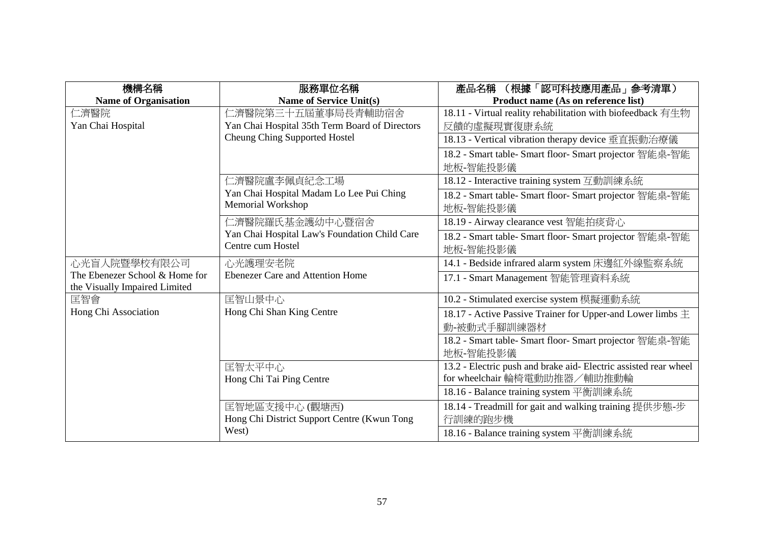| 機構名稱                                                            | 服務單位名稱                                         | (根據「認可科技應用產品」参考清單)<br>產品名稱                                       |
|-----------------------------------------------------------------|------------------------------------------------|------------------------------------------------------------------|
| <b>Name of Organisation</b>                                     | <b>Name of Service Unit(s)</b>                 | Product name (As on reference list)                              |
| 仁濟醫院                                                            | 仁濟醫院第三十五屆董事局長青輔助宿舍                             | 18.11 - Virtual reality rehabilitation with biofeedback 有生物      |
| Yan Chai Hospital                                               | Yan Chai Hospital 35th Term Board of Directors | 反饋的虛擬現實復康系統                                                      |
|                                                                 | Cheung Ching Supported Hostel                  | 18.13 - Vertical vibration therapy device 垂直振動治療儀                |
|                                                                 |                                                | 18.2 - Smart table- Smart floor- Smart projector 智能桌-智能          |
|                                                                 |                                                | 地板-智能投影儀                                                         |
|                                                                 | 仁濟醫院盧李佩貞紀念工場                                   | 18.12 - Interactive training system 互動訓練系統                       |
|                                                                 | Yan Chai Hospital Madam Lo Lee Pui Ching       | 18.2 - Smart table- Smart floor- Smart projector 智能桌-智能          |
|                                                                 | Memorial Workshop                              | 地板-智能投影儀                                                         |
|                                                                 | 仁濟醫院羅氏基金護幼中心暨宿舍                                | 18.19 - Airway clearance vest 智能拍痰背心                             |
|                                                                 | Yan Chai Hospital Law's Foundation Child Care  | 18.2 - Smart table- Smart floor- Smart projector 智能桌-智能          |
|                                                                 | Centre cum Hostel                              | 地板-智能投影儀                                                         |
| 心光盲人院暨學校有限公司                                                    | 心光護理安老院                                        | 14.1 - Bedside infrared alarm system 床邊紅外線監察系統                   |
| The Ebenezer School & Home for<br>the Visually Impaired Limited | <b>Ebenezer Care and Attention Home</b>        | 17.1 - Smart Management 智能管理資料系統                                 |
| 匡智會                                                             | 匡智山景中心                                         | 10.2 - Stimulated exercise system 模擬運動系統                         |
| Hong Chi Association                                            | Hong Chi Shan King Centre                      | 18.17 - Active Passive Trainer for Upper-and Lower limbs $\pm$   |
|                                                                 |                                                | 動-被動式手腳訓練器材                                                      |
|                                                                 |                                                | 18.2 - Smart table- Smart floor- Smart projector 智能桌-智能          |
|                                                                 |                                                | 地板-智能投影儀                                                         |
|                                                                 | 匡智太平中心                                         | 13.2 - Electric push and brake aid- Electric assisted rear wheel |
|                                                                 | Hong Chi Tai Ping Centre                       | for wheelchair 輪椅電動助推器/輔助推動輪                                     |
|                                                                 |                                                | 18.16 - Balance training system 平衡訓練系統                           |
|                                                                 | 匡智地區支援中心 (觀塘西)                                 | 18.14 - Treadmill for gait and walking training 提供步態-步           |
|                                                                 | Hong Chi District Support Centre (Kwun Tong    | 行訓練的跑步機                                                          |
|                                                                 | West)                                          | 18.16 - Balance training system 平衡訓練系統                           |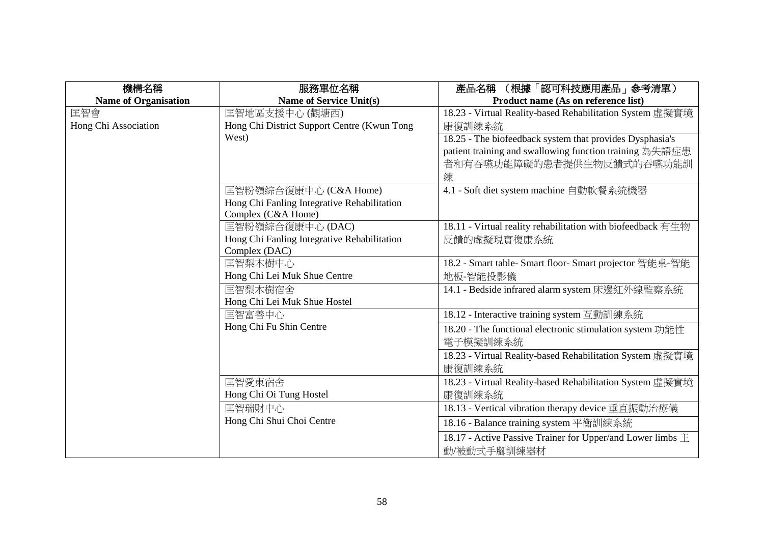| 機構名稱                        | 服務單位名稱                                      | (根據「認可科技應用產品」參考清單)<br>產品名稱                                     |
|-----------------------------|---------------------------------------------|----------------------------------------------------------------|
| <b>Name of Organisation</b> | Name of Service Unit(s)                     | Product name (As on reference list)                            |
| 匡智會                         | 匡智地區支援中心 (觀塘西)                              | 18.23 - Virtual Reality-based Rehabilitation System 虛擬實境       |
| Hong Chi Association        | Hong Chi District Support Centre (Kwun Tong | 康復訓練系統                                                         |
|                             | West)                                       | 18.25 - The biofeedback system that provides Dysphasia's       |
|                             |                                             | patient training and swallowing function training 為失語症患        |
|                             |                                             | 者和有吞嚥功能障礙的患者提供生物反饋式的吞嚥功能訓                                      |
|                             |                                             | 練                                                              |
|                             | 匡智粉嶺綜合復康中心 (C&A Home)                       | 4.1 - Soft diet system machine 自動軟餐系統機器                        |
|                             | Hong Chi Fanling Integrative Rehabilitation |                                                                |
|                             | Complex (C&A Home)                          |                                                                |
|                             | 匡智粉嶺綜合復康中心(DAC)                             | 18.11 - Virtual reality rehabilitation with biofeedback 有生物    |
|                             | Hong Chi Fanling Integrative Rehabilitation | 反饋的虛擬現實復康系統                                                    |
|                             | Complex (DAC)                               |                                                                |
|                             | 匡智梨木樹中心                                     | 18.2 - Smart table- Smart floor- Smart projector 智能桌-智能        |
|                             | Hong Chi Lei Muk Shue Centre                | 地板-智能投影儀                                                       |
|                             | 匡智梨木樹宿舍                                     | 14.1 - Bedside infrared alarm system 床邊紅外線監察系統                 |
|                             | Hong Chi Lei Muk Shue Hostel                |                                                                |
|                             | 匡智富善中心                                      | 18.12 - Interactive training system 互動訓練系統                     |
|                             | Hong Chi Fu Shin Centre                     | 18.20 - The functional electronic stimulation system 功能性       |
|                             |                                             | 電子模擬訓練系統                                                       |
|                             |                                             | 18.23 - Virtual Reality-based Rehabilitation System 虛擬實境       |
|                             |                                             | 康復訓練系統                                                         |
|                             | 匡智愛東宿舍                                      | 18.23 - Virtual Reality-based Rehabilitation System 虛擬實境       |
|                             | Hong Chi Oi Tung Hostel                     | 康復訓練系統                                                         |
|                             | 匡智瑞財中心                                      | 18.13 - Vertical vibration therapy device 垂直振動治療儀              |
|                             | Hong Chi Shui Choi Centre                   | 18.16 - Balance training system 平衡訓練系統                         |
|                             |                                             | 18.17 - Active Passive Trainer for Upper/and Lower limbs $\pm$ |
|                             |                                             | 動/被動式手腳訓練器材                                                    |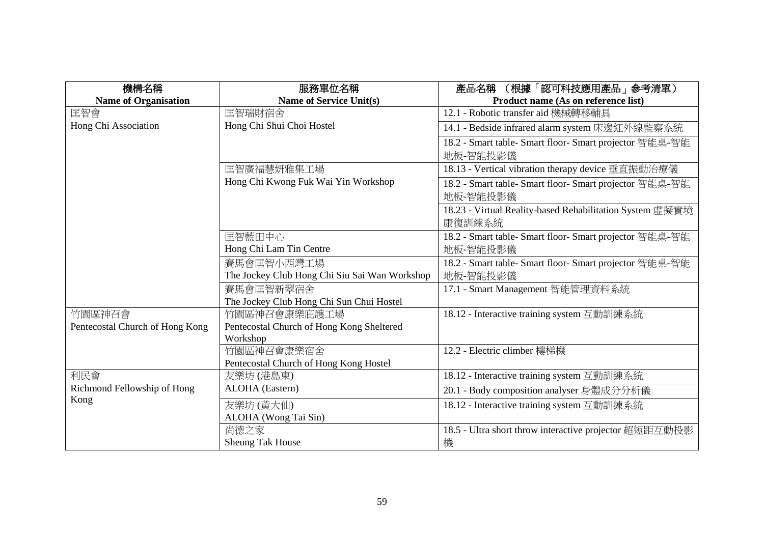| 機構名稱                            | 服務單位名稱                                               | (根據「認可科技應用產品」参考清單)<br>產品名稱                               |
|---------------------------------|------------------------------------------------------|----------------------------------------------------------|
| <b>Name of Organisation</b>     | Name of Service Unit(s)                              | Product name (As on reference list)                      |
| 匡智會                             | 匡智瑞財宿舍                                               | 12.1 - Robotic transfer aid 機械轉移輔具                       |
| Hong Chi Association            | Hong Chi Shui Choi Hostel                            | 14.1 - Bedside infrared alarm system 床邊紅外線監察系統           |
|                                 |                                                      | 18.2 - Smart table- Smart floor- Smart projector 智能桌-智能  |
|                                 |                                                      | 地板-智能投影儀                                                 |
|                                 | 匡智廣福慧妍雅集工場                                           | 18.13 - Vertical vibration therapy device 垂直振動治療儀        |
|                                 | Hong Chi Kwong Fuk Wai Yin Workshop                  | 18.2 - Smart table- Smart floor- Smart projector 智能桌-智能  |
|                                 |                                                      | 地板-智能投影儀                                                 |
|                                 |                                                      | 18.23 - Virtual Reality-based Rehabilitation System 虛擬實境 |
|                                 |                                                      | 康復訓練系統                                                   |
|                                 | 匡智藍田中心                                               | 18.2 - Smart table- Smart floor- Smart projector 智能桌-智能  |
|                                 | Hong Chi Lam Tin Centre                              | 地板-智能投影儀                                                 |
|                                 | 賽馬會匡智小西灣工場                                           | 18.2 - Smart table- Smart floor- Smart projector 智能桌-智能  |
|                                 | The Jockey Club Hong Chi Siu Sai Wan Workshop        | 地板-智能投影儀                                                 |
|                                 | 賽馬會匡智新翠宿舍                                            | 17.1 - Smart Management 智能管理資料系統                         |
|                                 | The Jockey Club Hong Chi Sun Chui Hostel             |                                                          |
| 竹園區神召會                          | 竹園區神召會康樂庇護工場                                         | 18.12 - Interactive training system 互動訓練系統               |
| Pentecostal Church of Hong Kong | Pentecostal Church of Hong Kong Sheltered            |                                                          |
|                                 | Workshop                                             |                                                          |
|                                 | 竹園區神召會康樂宿舍<br>Pentecostal Church of Hong Kong Hostel | 12.2 - Electric climber 樓梯機                              |
| 利民會                             | 友樂坊 (港島東)                                            | 18.12 - Interactive training system 互動訓練系統               |
| Richmond Fellowship of Hong     | ALOHA (Eastern)                                      |                                                          |
| Kong                            |                                                      | 20.1 - Body composition analyser 身體成分分析儀                 |
|                                 | 友樂坊(黃大仙)                                             | 18.12 - Interactive training system 互動訓練系統               |
|                                 | ALOHA (Wong Tai Sin)                                 |                                                          |
|                                 | 尚德之家                                                 | 18.5 - Ultra short throw interactive projector 超短距互動投影   |
|                                 | Sheung Tak House                                     | 機                                                        |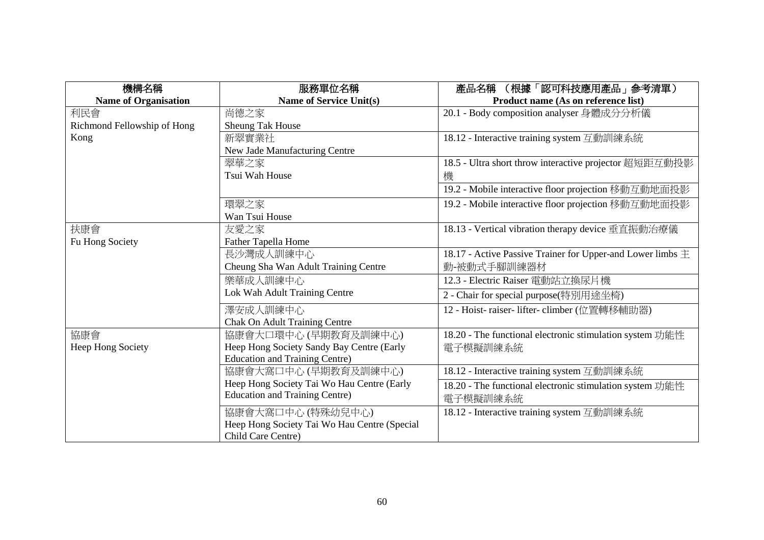| 機構名稱                        | 服務單位名稱                                       | (根據「認可科技應用產品」參考清單)<br>產品名稱                                     |
|-----------------------------|----------------------------------------------|----------------------------------------------------------------|
| <b>Name of Organisation</b> | <b>Name of Service Unit(s)</b>               | Product name (As on reference list)                            |
| 利民會                         | 尚德之家                                         | 20.1 - Body composition analyser 身體成分分析儀                       |
| Richmond Fellowship of Hong | <b>Sheung Tak House</b>                      |                                                                |
| Kong                        | 新翠實業社                                        | 18.12 - Interactive training system 互動訓練系統                     |
|                             | New Jade Manufacturing Centre                |                                                                |
|                             | 翠華之家                                         | 18.5 - Ultra short throw interactive projector 超短距互動投影         |
|                             | Tsui Wah House                               | 機                                                              |
|                             |                                              | 19.2 - Mobile interactive floor projection 移動互動地面投影            |
|                             | 環翠之家                                         | 19.2 - Mobile interactive floor projection 移動互動地面投影            |
|                             | Wan Tsui House                               |                                                                |
| 扶康會                         | 友愛之家                                         | 18.13 - Vertical vibration therapy device 垂直振動治療儀              |
| Fu Hong Society             | <b>Father Tapella Home</b>                   |                                                                |
|                             | 長沙灣成人訓練中心                                    | 18.17 - Active Passive Trainer for Upper-and Lower limbs $\pm$ |
|                             | Cheung Sha Wan Adult Training Centre         | 動-被動式手腳訓練器材                                                    |
|                             | 樂華成人訓練中心                                     | 12.3 - Electric Raiser 電動站立換尿片機                                |
|                             | Lok Wah Adult Training Centre                | 2 - Chair for special purpose(特別用途坐椅)                          |
|                             | 澤安成人訓練中心                                     | 12 - Hoist- raiser- lifter- climber (位置轉移輔助器)                  |
|                             | <b>Chak On Adult Training Centre</b>         |                                                                |
| 協康會                         | 協康會大口環中心 (早期教育及訓練中心)                         | 18.20 - The functional electronic stimulation system 功能性       |
| Heep Hong Society           | Heep Hong Society Sandy Bay Centre (Early    | 電子模擬訓練系統                                                       |
|                             | <b>Education and Training Centre)</b>        |                                                                |
|                             | 協康會大窩口中心 (早期教育及訓練中心)                         | 18.12 - Interactive training system 互動訓練系統                     |
|                             | Heep Hong Society Tai Wo Hau Centre (Early   | 18.20 - The functional electronic stimulation system 功能性       |
|                             | <b>Education and Training Centre)</b>        | 電子模擬訓練系統                                                       |
|                             | 協康會大窩口中心 (特殊幼兒中心)                            | 18.12 - Interactive training system 互動訓練系統                     |
|                             | Heep Hong Society Tai Wo Hau Centre (Special |                                                                |
|                             | Child Care Centre)                           |                                                                |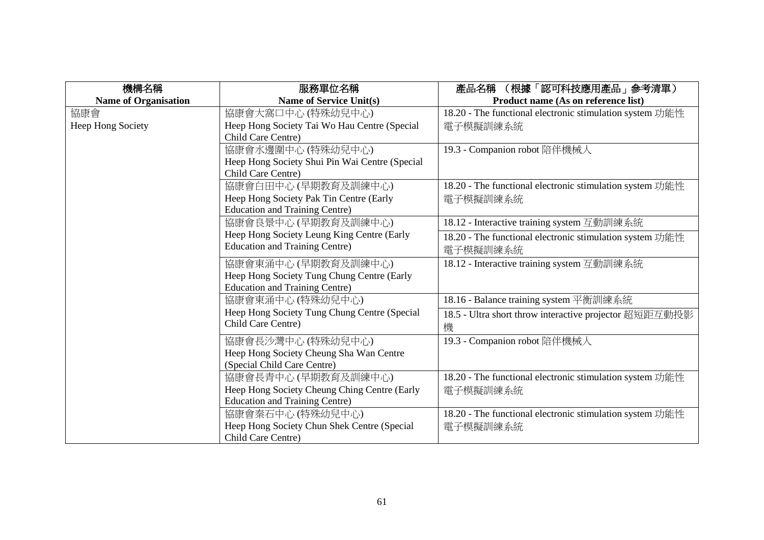| 機構名稱                        | 服務單位名稱                                         | (根據「認可科技應用產品」參考清單)<br>產品名稱                               |
|-----------------------------|------------------------------------------------|----------------------------------------------------------|
| <b>Name of Organisation</b> | <b>Name of Service Unit(s)</b>                 | Product name (As on reference list)                      |
| 協康會                         | 協康會大窩口中心 (特殊幼兒中心)                              | 18.20 - The functional electronic stimulation system 功能性 |
| Heep Hong Society           | Heep Hong Society Tai Wo Hau Centre (Special   | 電子模擬訓練系統                                                 |
|                             | Child Care Centre)                             |                                                          |
|                             | 協康會水邊圍中心 (特殊幼兒中心)                              | 19.3 - Companion robot 陪伴機械人                             |
|                             | Heep Hong Society Shui Pin Wai Centre (Special |                                                          |
|                             | Child Care Centre)                             |                                                          |
|                             | 協康會白田中心 (早期教育及訓練中心)                            | 18.20 - The functional electronic stimulation system 功能性 |
|                             | Heep Hong Society Pak Tin Centre (Early        | 電子模擬訓練系統                                                 |
|                             | <b>Education and Training Centre)</b>          |                                                          |
|                             | 協康會良景中心(早期教育及訓練中心)                             | 18.12 - Interactive training system 互動訓練系統               |
|                             | Heep Hong Society Leung King Centre (Early     | 18.20 - The functional electronic stimulation system 功能性 |
|                             | <b>Education and Training Centre)</b>          | 電子模擬訓練系統                                                 |
|                             | 協康會東涌中心 (早期教育及訓練中心)                            | 18.12 - Interactive training system 互動訓練系統               |
|                             | Heep Hong Society Tung Chung Centre (Early     |                                                          |
|                             | <b>Education and Training Centre)</b>          |                                                          |
|                             | 協康會東涌中心 (特殊幼兒中心)                               | 18.16 - Balance training system 平衡訓練系統                   |
|                             | Heep Hong Society Tung Chung Centre (Special   | 18.5 - Ultra short throw interactive projector 超短距互動投影   |
|                             | Child Care Centre)                             | 機                                                        |
|                             | 協康會長沙灣中心 (特殊幼兒中心)                              | 19.3 - Companion robot 陪伴機械人                             |
|                             | Heep Hong Society Cheung Sha Wan Centre        |                                                          |
|                             | (Special Child Care Centre)                    |                                                          |
|                             | 協康會長青中心 (早期教育及訓練中心)                            | 18.20 - The functional electronic stimulation system 功能性 |
|                             | Heep Hong Society Cheung Ching Centre (Early   | 電子模擬訓練系統                                                 |
|                             | <b>Education and Training Centre)</b>          |                                                          |
|                             | 協康會秦石中心 (特殊幼兒中心)                               | 18.20 - The functional electronic stimulation system 功能性 |
|                             | Heep Hong Society Chun Shek Centre (Special    | 電子模擬訓練系統                                                 |
|                             | Child Care Centre)                             |                                                          |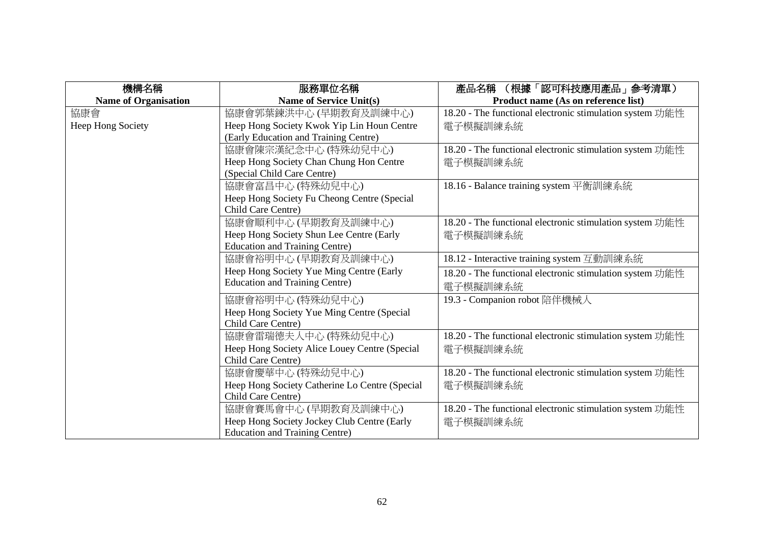| 機構名稱                        | 服務單位名稱                                         | (根據「認可科技應用產品」参考清單)<br>產品名稱                               |
|-----------------------------|------------------------------------------------|----------------------------------------------------------|
| <b>Name of Organisation</b> | <b>Name of Service Unit(s)</b>                 | Product name (As on reference list)                      |
| 協康會                         | 協康會郭葉鍊洪中心 (早期教育及訓練中心)                          | 18.20 - The functional electronic stimulation system 功能性 |
| Heep Hong Society           | Heep Hong Society Kwok Yip Lin Houn Centre     | 電子模擬訓練系統                                                 |
|                             | (Early Education and Training Centre)          |                                                          |
|                             | 協康會陳宗漢紀念中心 (特殊幼兒中心)                            | 18.20 - The functional electronic stimulation system 功能性 |
|                             | Heep Hong Society Chan Chung Hon Centre        | 電子模擬訓練系統                                                 |
|                             | (Special Child Care Centre)                    |                                                          |
|                             | 協康會富昌中心(特殊幼兒中心)                                | 18.16 - Balance training system 平衡訓練系統                   |
|                             | Heep Hong Society Fu Cheong Centre (Special    |                                                          |
|                             | Child Care Centre)                             |                                                          |
|                             | 協康會順利中心(早期教育及訓練中心)                             | 18.20 - The functional electronic stimulation system 功能性 |
|                             | Heep Hong Society Shun Lee Centre (Early       | 電子模擬訓練系統                                                 |
|                             | <b>Education and Training Centre)</b>          |                                                          |
|                             | 協康會裕明中心 (早期教育及訓練中心)                            | 18.12 - Interactive training system 互動訓練系統               |
|                             | Heep Hong Society Yue Ming Centre (Early       | 18.20 - The functional electronic stimulation system 功能性 |
|                             | <b>Education and Training Centre)</b>          | 電子模擬訓練系統                                                 |
|                             | 協康會裕明中心 (特殊幼兒中心)                               | 19.3 - Companion robot 陪伴機械人                             |
|                             | Heep Hong Society Yue Ming Centre (Special     |                                                          |
|                             | Child Care Centre)                             |                                                          |
|                             | 協康會雷瑞德夫人中心 (特殊幼兒中心)                            | 18.20 - The functional electronic stimulation system 功能性 |
|                             | Heep Hong Society Alice Louey Centre (Special  | 電子模擬訓練系統                                                 |
|                             | Child Care Centre)                             |                                                          |
|                             | 協康會慶華中心 (特殊幼兒中心)                               | 18.20 - The functional electronic stimulation system 功能性 |
|                             | Heep Hong Society Catherine Lo Centre (Special | 電子模擬訓練系統                                                 |
|                             | Child Care Centre)                             |                                                          |
|                             | 協康會賽馬會中心 (早期教育及訓練中心)                           | 18.20 - The functional electronic stimulation system 功能性 |
|                             | Heep Hong Society Jockey Club Centre (Early    | 電子模擬訓練系統                                                 |
|                             | <b>Education and Training Centre)</b>          |                                                          |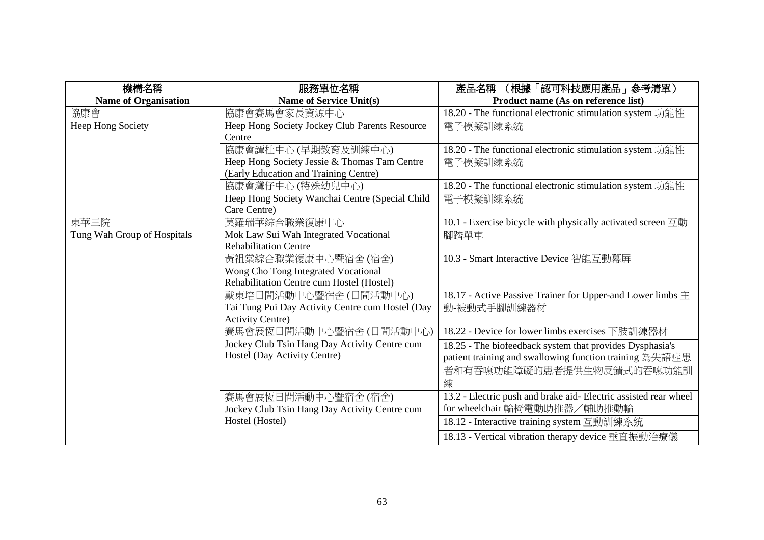| 機構名稱                        | 服務單位名稱                                           | (根據「認可科技應用產品」參考清單)<br>產品名稱                                                  |
|-----------------------------|--------------------------------------------------|-----------------------------------------------------------------------------|
| <b>Name of Organisation</b> | <b>Name of Service Unit(s)</b>                   | Product name (As on reference list)                                         |
| 協康會                         | 協康會賽馬會家長資源中心                                     | 18.20 - The functional electronic stimulation system 功能性                    |
| Heep Hong Society           | Heep Hong Society Jockey Club Parents Resource   | 電子模擬訓練系統                                                                    |
|                             | Centre                                           |                                                                             |
|                             | 協康會譚杜中心 (早期教育及訓練中心)                              | 18.20 - The functional electronic stimulation system 功能性                    |
|                             | Heep Hong Society Jessie & Thomas Tam Centre     | 電子模擬訓練系統                                                                    |
|                             | (Early Education and Training Centre)            |                                                                             |
|                             | 協康會灣仔中心(特殊幼兒中心)                                  | 18.20 - The functional electronic stimulation system 功能性                    |
|                             | Heep Hong Society Wanchai Centre (Special Child  | 電子模擬訓練系統                                                                    |
|                             | Care Centre)                                     |                                                                             |
| 東華三院                        | 莫羅瑞華綜合職業復康中心                                     | 10.1 - Exercise bicycle with physically activated screen $\overline{\Xi}$ h |
| Tung Wah Group of Hospitals | Mok Law Sui Wah Integrated Vocational            | 腳踏單車                                                                        |
|                             | <b>Rehabilitation Centre</b>                     |                                                                             |
|                             | 黃祖棠綜合職業復康中心暨宿舍(宿舍)                               | 10.3 - Smart Interactive Device 智能互動幕屏                                      |
|                             | Wong Cho Tong Integrated Vocational              |                                                                             |
|                             | Rehabilitation Centre cum Hostel (Hostel)        |                                                                             |
|                             | 戴東培日間活動中心暨宿舍(日間活動中心)                             | 18.17 - Active Passive Trainer for Upper-and Lower limbs $\pm$              |
|                             | Tai Tung Pui Day Activity Centre cum Hostel (Day | 動-被動式手腳訓練器材                                                                 |
|                             | <b>Activity Centre)</b>                          |                                                                             |
|                             | 賽馬會展恆日間活動中心暨宿舍(日間活動中心)                           | 18.22 - Device for lower limbs exercises 下肢訓練器材                             |
|                             | Jockey Club Tsin Hang Day Activity Centre cum    | 18.25 - The biofeedback system that provides Dysphasia's                    |
|                             | Hostel (Day Activity Centre)                     | patient training and swallowing function training 為失語症患                     |
|                             |                                                  | 者和有吞嚥功能障礙的患者提供生物反饋式的吞嚥功能訓                                                   |
|                             |                                                  | 練                                                                           |
|                             | 賽馬會展恆日間活動中心暨宿舍(宿舍)                               | 13.2 - Electric push and brake aid- Electric assisted rear wheel            |
|                             | Jockey Club Tsin Hang Day Activity Centre cum    | for wheelchair 輪椅電動助推器/輔助推動輪                                                |
|                             | Hostel (Hostel)                                  | 18.12 - Interactive training system 互動訓練系統                                  |
|                             |                                                  | 18.13 - Vertical vibration therapy device 垂直振動治療儀                           |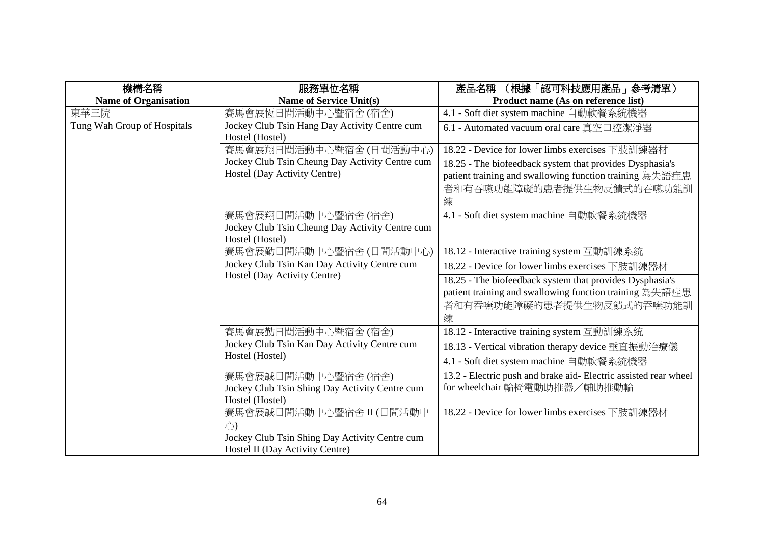| 機構名稱                        | 服務單位名稱                                                           | (根據「認可科技應用產品」参考清單)<br>產品名稱                                       |
|-----------------------------|------------------------------------------------------------------|------------------------------------------------------------------|
| <b>Name of Organisation</b> | <b>Name of Service Unit(s)</b>                                   | Product name (As on reference list)                              |
| 東華三院                        | 賽馬會展恆日間活動中心暨宿舍(宿舍)                                               | 4.1 - Soft diet system machine 自動軟餐系統機器                          |
| Tung Wah Group of Hospitals | Jockey Club Tsin Hang Day Activity Centre cum<br>Hostel (Hostel) | 6.1 - Automated vacuum oral care 真空口腔潔淨器                         |
|                             | 賽馬會展翔日間活動中心暨宿舍(日間活動中心)                                           | 18.22 - Device for lower limbs exercises 下肢訓練器材                  |
|                             | Jockey Club Tsin Cheung Day Activity Centre cum                  | 18.25 - The biofeedback system that provides Dysphasia's         |
|                             | Hostel (Day Activity Centre)                                     | patient training and swallowing function training 為失語症患          |
|                             |                                                                  | 者和有吞嚥功能障礙的患者提供生物反饋式的吞嚥功能訓<br>練                                   |
|                             | 賽馬會展翔日間活動中心暨宿舍(宿舍)                                               | 4.1 - Soft diet system machine 自動軟餐系統機器                          |
|                             | Jockey Club Tsin Cheung Day Activity Centre cum                  |                                                                  |
|                             | Hostel (Hostel)                                                  |                                                                  |
|                             | 賽馬會展勤日間活動中心暨宿舍(日間活動中心)                                           | 18.12 - Interactive training system 互動訓練系統                       |
|                             | Jockey Club Tsin Kan Day Activity Centre cum                     | 18.22 - Device for lower limbs exercises 下肢訓練器材                  |
|                             | Hostel (Day Activity Centre)                                     | 18.25 - The biofeedback system that provides Dysphasia's         |
|                             |                                                                  | patient training and swallowing function training 為失語症患          |
|                             |                                                                  | 者和有吞嚥功能障礙的患者提供生物反饋式的吞嚥功能訓                                        |
|                             |                                                                  | 練                                                                |
|                             | 賽馬會展勤日間活動中心暨宿舍(宿舍)                                               | 18.12 - Interactive training system 互動訓練系統                       |
|                             | Jockey Club Tsin Kan Day Activity Centre cum<br>Hostel (Hostel)  | 18.13 - Vertical vibration therapy device 垂直振動治療儀                |
|                             |                                                                  | 4.1 - Soft diet system machine 自動軟餐系統機器                          |
|                             | 賽馬會展誠日間活動中心暨宿舍(宿舍)                                               | 13.2 - Electric push and brake aid- Electric assisted rear wheel |
|                             | Jockey Club Tsin Shing Day Activity Centre cum                   | for wheelchair 輪椅電動助推器/輔助推動輪                                     |
|                             | Hostel (Hostel)                                                  |                                                                  |
|                             | 賽馬會展誠日間活動中心暨宿舍 II (日間活動中                                         | 18.22 - Device for lower limbs exercises 下肢訓練器材                  |
|                             | 心                                                                |                                                                  |
|                             | Jockey Club Tsin Shing Day Activity Centre cum                   |                                                                  |
|                             | Hostel II (Day Activity Centre)                                  |                                                                  |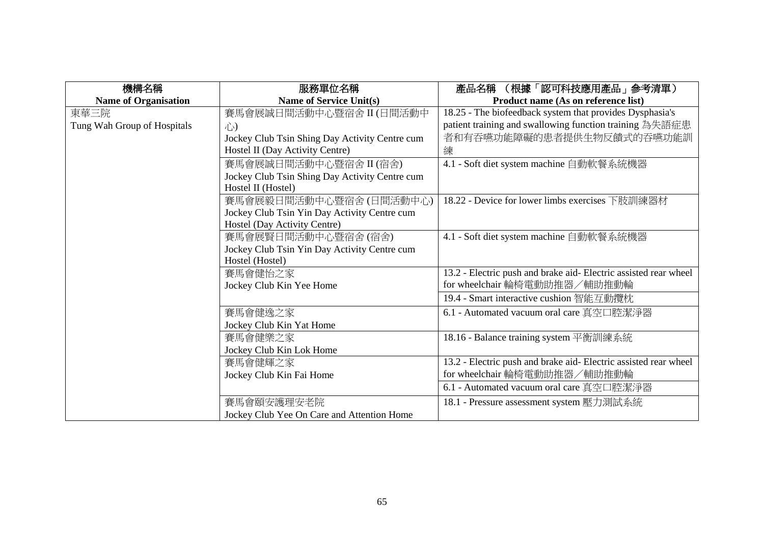| 機構名稱                        | 服務單位名稱                                         | (根據「認可科技應用產品」參考清單)<br>產品名稱                                       |
|-----------------------------|------------------------------------------------|------------------------------------------------------------------|
| <b>Name of Organisation</b> | Name of Service Unit(s)                        | Product name (As on reference list)                              |
| 東華三院                        | 賽馬會展誠日間活動中心暨宿舍 II (日間活動中                       | 18.25 - The biofeedback system that provides Dysphasia's         |
| Tung Wah Group of Hospitals | 心                                              | patient training and swallowing function training 為失語症患          |
|                             | Jockey Club Tsin Shing Day Activity Centre cum | 者和有吞嚥功能障礙的患者提供生物反饋式的吞嚥功能訓                                        |
|                             | Hostel II (Day Activity Centre)                | 練                                                                |
|                             | 賽馬會展誠日間活動中心暨宿舍 II (宿舍)                         | 4.1 - Soft diet system machine 自動軟餐系統機器                          |
|                             | Jockey Club Tsin Shing Day Activity Centre cum |                                                                  |
|                             | Hostel II (Hostel)                             |                                                                  |
|                             | 賽馬會展毅日間活動中心暨宿舍(日間活動中心)                         | 18.22 - Device for lower limbs exercises 下肢訓練器材                  |
|                             | Jockey Club Tsin Yin Day Activity Centre cum   |                                                                  |
|                             | Hostel (Day Activity Centre)                   |                                                                  |
|                             | 賽馬會展賢日間活動中心暨宿舍(宿舍)                             | 4.1 - Soft diet system machine 自動軟餐系統機器                          |
|                             | Jockey Club Tsin Yin Day Activity Centre cum   |                                                                  |
|                             | Hostel (Hostel)                                |                                                                  |
|                             | 賽馬會健怡之家                                        | 13.2 - Electric push and brake aid- Electric assisted rear wheel |
|                             | Jockey Club Kin Yee Home                       | for wheelchair 輪椅電動助推器/輔助推動輪                                     |
|                             |                                                | 19.4 - Smart interactive cushion 智能互動攬枕                          |
|                             | 賽馬會健逸之家                                        | 6.1 - Automated vacuum oral care 真空口腔潔淨器                         |
|                             | Jockey Club Kin Yat Home                       |                                                                  |
|                             | 賽馬會健樂之家                                        | 18.16 - Balance training system 平衡訓練系統                           |
|                             | Jockey Club Kin Lok Home                       |                                                                  |
|                             | 賽馬會健輝之家                                        | 13.2 - Electric push and brake aid- Electric assisted rear wheel |
|                             | Jockey Club Kin Fai Home                       | for wheelchair 輪椅電動助推器/輔助推動輪                                     |
|                             |                                                | 6.1 - Automated vacuum oral care 真空口腔潔淨器                         |
|                             | 賽馬會頤安護理安老院                                     | 18.1 - Pressure assessment system 壓力測試系統                         |
|                             | Jockey Club Yee On Care and Attention Home     |                                                                  |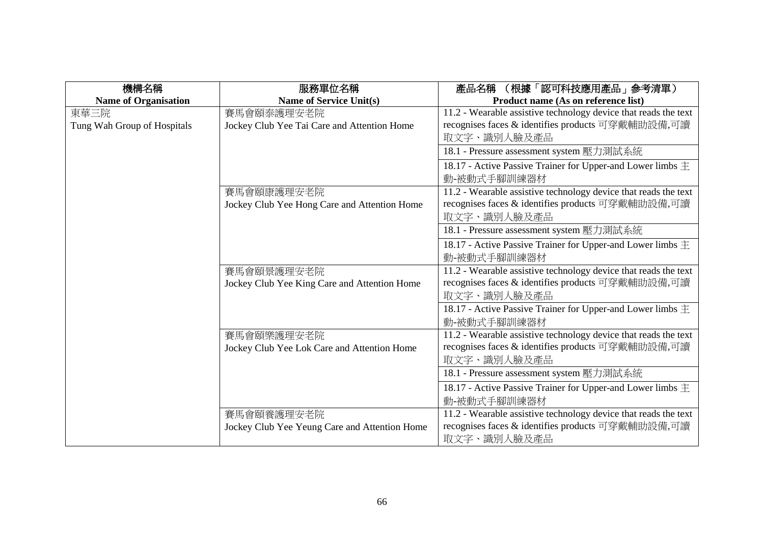| 機構名稱                        | 服務單位名稱                                        | (根據「認可科技應用產品」參考清單)<br>產品名稱                                      |
|-----------------------------|-----------------------------------------------|-----------------------------------------------------------------|
| <b>Name of Organisation</b> | Name of Service Unit(s)                       | Product name (As on reference list)                             |
| 東華三院                        | 賽馬會頤泰護理安老院                                    | 11.2 - Wearable assistive technology device that reads the text |
| Tung Wah Group of Hospitals | Jockey Club Yee Tai Care and Attention Home   | recognises faces & identifies products 可穿戴輔助設備,可讀               |
|                             |                                               | 取文字、識別人臉及產品                                                     |
|                             |                                               | 18.1 - Pressure assessment system 壓力測試系統                        |
|                             |                                               | 18.17 - Active Passive Trainer for Upper-and Lower limbs $\pm$  |
|                             |                                               | 動-被動式手腳訓練器材                                                     |
|                             | 賽馬會頤康護理安老院                                    | 11.2 - Wearable assistive technology device that reads the text |
|                             | Jockey Club Yee Hong Care and Attention Home  | recognises faces & identifies products 可穿戴輔助設備,可讀               |
|                             |                                               | 取文字、識別人臉及產品                                                     |
|                             |                                               | 18.1 - Pressure assessment system 壓力測試系統                        |
|                             |                                               | 18.17 - Active Passive Trainer for Upper-and Lower limbs $\pm$  |
|                             |                                               | 動-被動式手腳訓練器材                                                     |
|                             | 賽馬會頤景護理安老院                                    | 11.2 - Wearable assistive technology device that reads the text |
|                             | Jockey Club Yee King Care and Attention Home  | recognises faces & identifies products 可穿戴輔助設備,可讀               |
|                             |                                               | 取文字、識別人臉及產品                                                     |
|                             |                                               | 18.17 - Active Passive Trainer for Upper-and Lower limbs $\pm$  |
|                             |                                               | 動-被動式手腳訓練器材                                                     |
|                             | 賽馬會頤樂護理安老院                                    | 11.2 - Wearable assistive technology device that reads the text |
|                             | Jockey Club Yee Lok Care and Attention Home   | recognises faces & identifies products 可穿戴輔助設備,可讀               |
|                             |                                               | 取文字、識別人臉及產品                                                     |
|                             |                                               | 18.1 - Pressure assessment system 壓力測試系統                        |
|                             |                                               | 18.17 - Active Passive Trainer for Upper-and Lower limbs $\pm$  |
|                             |                                               | 動-被動式手腳訓練器材                                                     |
|                             | 賽馬會頤養護理安老院                                    | 11.2 - Wearable assistive technology device that reads the text |
|                             | Jockey Club Yee Yeung Care and Attention Home | recognises faces & identifies products 可穿戴輔助設備,可讀               |
|                             |                                               | 取文字、識別人臉及產品                                                     |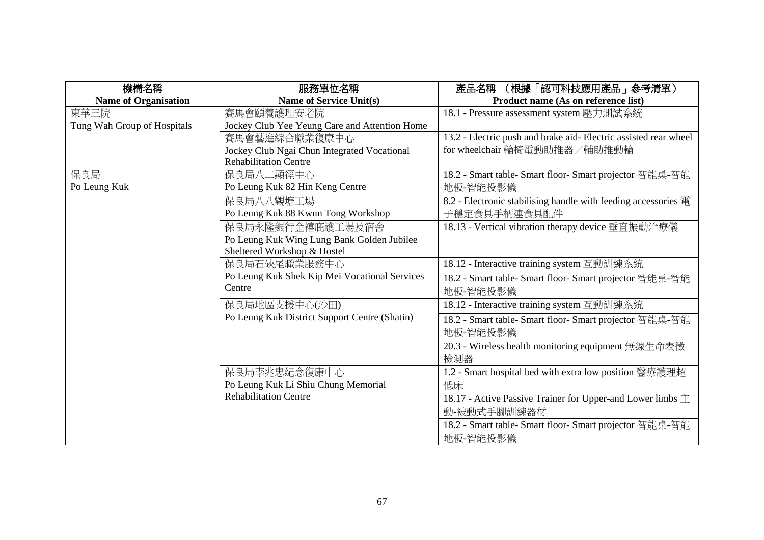| 機構名稱                        | 服務單位名稱                                        | (根據「認可科技應用產品」参考清單)<br>產品名稱                                       |
|-----------------------------|-----------------------------------------------|------------------------------------------------------------------|
| <b>Name of Organisation</b> | <b>Name of Service Unit(s)</b>                | Product name (As on reference list)                              |
| 東華三院                        | 賽馬會頤養護理安老院                                    | 18.1 - Pressure assessment system 壓力測試系統                         |
| Tung Wah Group of Hospitals | Jockey Club Yee Yeung Care and Attention Home |                                                                  |
|                             | 賽馬會藝進綜合職業復康中心                                 | 13.2 - Electric push and brake aid- Electric assisted rear wheel |
|                             | Jockey Club Ngai Chun Integrated Vocational   | for wheelchair 輪椅電動助推器/輔助推動輪                                     |
|                             | <b>Rehabilitation Centre</b>                  |                                                                  |
| 保良局                         | 保良局八二顯徑中心                                     | 18.2 - Smart table- Smart floor- Smart projector 智能桌-智能          |
| Po Leung Kuk                | Po Leung Kuk 82 Hin Keng Centre               | 地板-智能投影儀                                                         |
|                             | 保良局八八觀塘工場                                     | 8.2 - Electronic stabilising handle with feeding accessories 電   |
|                             | Po Leung Kuk 88 Kwun Tong Workshop            | 子穩定食具手柄連食具配件                                                     |
|                             | 保良局永隆銀行金禧庇護工場及宿舍                              | 18.13 - Vertical vibration therapy device 垂直振動治療儀                |
|                             | Po Leung Kuk Wing Lung Bank Golden Jubilee    |                                                                  |
|                             | Sheltered Workshop & Hostel                   |                                                                  |
|                             | 保良局石硤尾職業服務中心                                  | 18.12 - Interactive training system 互動訓練系統                       |
|                             | Po Leung Kuk Shek Kip Mei Vocational Services | 18.2 - Smart table- Smart floor- Smart projector 智能桌-智能          |
|                             | Centre                                        | 地板-智能投影儀                                                         |
|                             | 保良局地區支援中心(沙田)                                 | 18.12 - Interactive training system 互動訓練系統                       |
|                             | Po Leung Kuk District Support Centre (Shatin) | 18.2 - Smart table- Smart floor- Smart projector 智能桌-智能          |
|                             |                                               | 地板-智能投影儀                                                         |
|                             |                                               | 20.3 - Wireless health monitoring equipment 無線生命表徵               |
|                             |                                               | 檢測器                                                              |
|                             | 保良局李兆忠紀念復康中心                                  | 1.2 - Smart hospital bed with extra low position 醫療護理超           |
|                             | Po Leung Kuk Li Shiu Chung Memorial           | 低床                                                               |
|                             | <b>Rehabilitation Centre</b>                  | 18.17 - Active Passive Trainer for Upper-and Lower limbs $\pm$   |
|                             |                                               | 動-被動式手腳訓練器材                                                      |
|                             |                                               | 18.2 - Smart table- Smart floor- Smart projector 智能桌-智能          |
|                             |                                               | 地板-智能投影儀                                                         |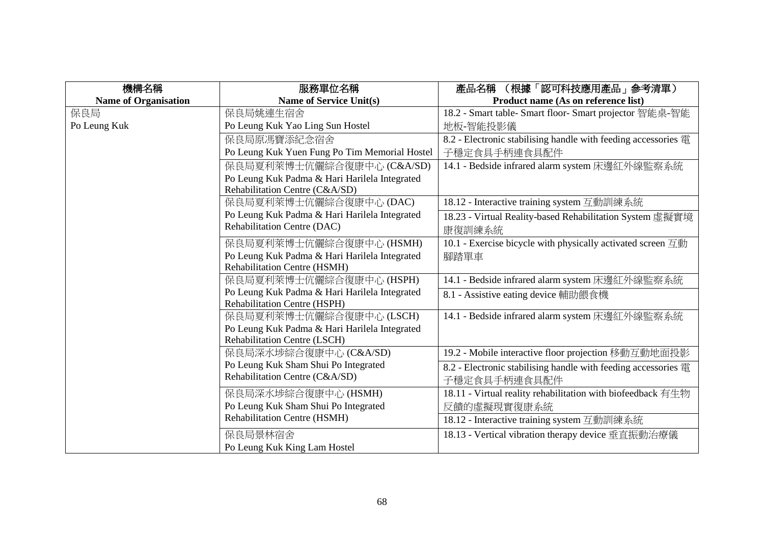| 機構名稱                        | 服務單位名稱                                        | 產品名稱<br>(根據「認可科技應用產品」參考清單)                                                  |
|-----------------------------|-----------------------------------------------|-----------------------------------------------------------------------------|
| <b>Name of Organisation</b> | <b>Name of Service Unit(s)</b>                | Product name (As on reference list)                                         |
| 保良局                         | 保良局姚連生宿舍                                      | 18.2 - Smart table- Smart floor- Smart projector 智能桌-智能                     |
| Po Leung Kuk                | Po Leung Kuk Yao Ling Sun Hostel              | 地板-智能投影儀                                                                    |
|                             | 保良局原馮寶添紀念宿舍                                   | 8.2 - Electronic stabilising handle with feeding accessories 電              |
|                             | Po Leung Kuk Yuen Fung Po Tim Memorial Hostel | 子穩定食具手柄連食具配件                                                                |
|                             | 保良局夏利萊博士伉儷綜合復康中心 (C&A/SD)                     | 14.1 - Bedside infrared alarm system 床邊紅外線監察系統                              |
|                             | Po Leung Kuk Padma & Hari Harilela Integrated |                                                                             |
|                             | Rehabilitation Centre (C&A/SD)                |                                                                             |
|                             | 保良局夏利萊博士伉儷綜合復康中心 (DAC)                        | 18.12 - Interactive training system 互動訓練系統                                  |
|                             | Po Leung Kuk Padma & Hari Harilela Integrated | 18.23 - Virtual Reality-based Rehabilitation System 虛擬實境                    |
|                             | Rehabilitation Centre (DAC)                   | 康復訓練系統                                                                      |
|                             | 保良局夏利萊博士伉儷綜合復康中心 (HSMH)                       | 10.1 - Exercise bicycle with physically activated screen $\overline{\Xi}$ h |
|                             | Po Leung Kuk Padma & Hari Harilela Integrated | 腳踏單車                                                                        |
|                             | Rehabilitation Centre (HSMH)                  |                                                                             |
|                             | 保良局夏利萊博士伉儷綜合復康中心 (HSPH)                       | 14.1 - Bedside infrared alarm system 床邊紅外線監察系統                              |
|                             | Po Leung Kuk Padma & Hari Harilela Integrated | 8.1 - Assistive eating device 輔助餵食機                                         |
|                             | Rehabilitation Centre (HSPH)                  |                                                                             |
|                             | 保良局夏利萊博士伉儷綜合復康中心 (LSCH)                       | 14.1 - Bedside infrared alarm system 床邊紅外線監察系統                              |
|                             | Po Leung Kuk Padma & Hari Harilela Integrated |                                                                             |
|                             | <b>Rehabilitation Centre (LSCH)</b>           |                                                                             |
|                             | 保良局深水埗綜合復康中心 (C&A/SD)                         | 19.2 - Mobile interactive floor projection 移動互動地面投影                         |
|                             | Po Leung Kuk Sham Shui Po Integrated          | 8.2 - Electronic stabilising handle with feeding accessories 電              |
|                             | Rehabilitation Centre (C&A/SD)                | 子穩定食具手柄連食具配件                                                                |
|                             | 保良局深水埗綜合復康中心 (HSMH)                           | 18.11 - Virtual reality rehabilitation with biofeedback 有生物                 |
|                             | Po Leung Kuk Sham Shui Po Integrated          | 反饋的虛擬現實復康系統                                                                 |
|                             | <b>Rehabilitation Centre (HSMH)</b>           | 18.12 - Interactive training system 互動訓練系統                                  |
|                             | 保良局景林宿舍                                       | 18.13 - Vertical vibration therapy device 垂直振動治療儀                           |
|                             | Po Leung Kuk King Lam Hostel                  |                                                                             |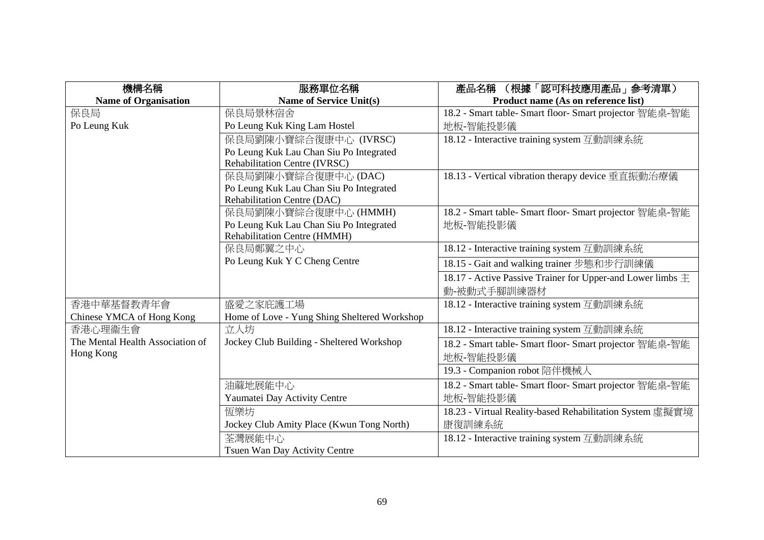| 機構名稱                             | 服務單位名稱                                       | (根據「認可科技應用產品」参考清單)<br>產品名稱                                     |
|----------------------------------|----------------------------------------------|----------------------------------------------------------------|
| <b>Name of Organisation</b>      | <b>Name of Service Unit(s)</b>               | Product name (As on reference list)                            |
| 保良局                              | 保良局景林宿舍                                      | 18.2 - Smart table- Smart floor- Smart projector 智能桌-智能        |
| Po Leung Kuk                     | Po Leung Kuk King Lam Hostel                 | 地板-智能投影儀                                                       |
|                                  | 保良局劉陳小寶綜合復康中心 (IVRSC)                        | 18.12 - Interactive training system 互動訓練系統                     |
|                                  | Po Leung Kuk Lau Chan Siu Po Integrated      |                                                                |
|                                  | Rehabilitation Centre (IVRSC)                |                                                                |
|                                  | 保良局劉陳小寶綜合復康中心 (DAC)                          | 18.13 - Vertical vibration therapy device 垂直振動治療儀              |
|                                  | Po Leung Kuk Lau Chan Siu Po Integrated      |                                                                |
|                                  | Rehabilitation Centre (DAC)                  |                                                                |
|                                  | 保良局劉陳小寶綜合復康中心 (HMMH)                         | 18.2 - Smart table- Smart floor- Smart projector 智能桌-智能        |
|                                  | Po Leung Kuk Lau Chan Siu Po Integrated      | 地板-智能投影儀                                                       |
|                                  | Rehabilitation Centre (HMMH)                 |                                                                |
|                                  | 保良局鄭翼之中心                                     | 18.12 - Interactive training system 互動訓練系統                     |
|                                  | Po Leung Kuk Y C Cheng Centre                | 18.15 - Gait and walking trainer 步態和步行訓練儀                      |
|                                  |                                              | 18.17 - Active Passive Trainer for Upper-and Lower limbs $\pm$ |
|                                  |                                              | 動-被動式手腳訓練器材                                                    |
| 香港中華基督教青年會                       | 盛愛之家庇護工場                                     | 18.12 - Interactive training system 互動訓練系統                     |
| Chinese YMCA of Hong Kong        | Home of Love - Yung Shing Sheltered Workshop |                                                                |
| 香港心理衞生會                          | 立人坊                                          | 18.12 - Interactive training system 互動訓練系統                     |
| The Mental Health Association of | Jockey Club Building - Sheltered Workshop    | 18.2 - Smart table- Smart floor- Smart projector 智能桌-智能        |
| Hong Kong                        |                                              | 地板-智能投影儀                                                       |
|                                  |                                              | 19.3 - Companion robot 陪伴機械人                                   |
|                                  | 油蔴地展能中心                                      | 18.2 - Smart table- Smart floor- Smart projector 智能桌-智能        |
|                                  | Yaumatei Day Activity Centre                 | 地板-智能投影儀                                                       |
|                                  | 恆樂坊                                          | 18.23 - Virtual Reality-based Rehabilitation System 虛擬實境       |
|                                  | Jockey Club Amity Place (Kwun Tong North)    | 康復訓練系統                                                         |
|                                  | 荃灣展能中心                                       | 18.12 - Interactive training system 互動訓練系統                     |
|                                  | Tsuen Wan Day Activity Centre                |                                                                |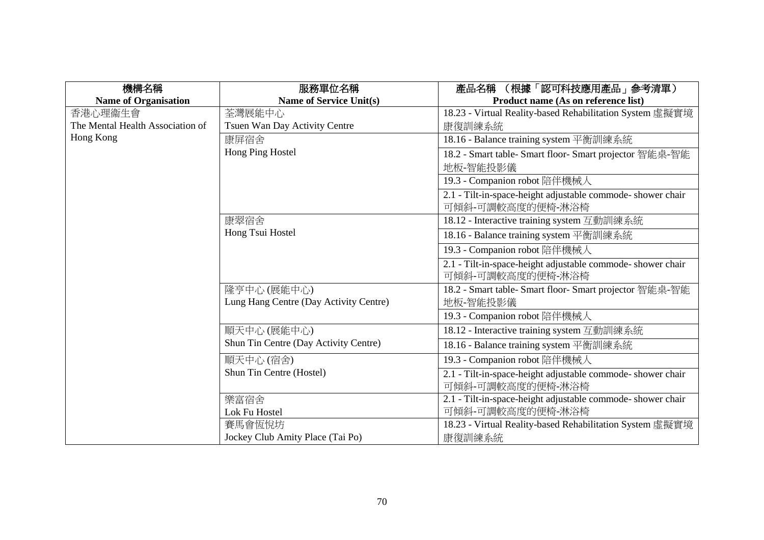| 機構名稱                             | 服務單位名稱                                 | (根據「認可科技應用產品」參考清單)<br>產品名稱                                  |
|----------------------------------|----------------------------------------|-------------------------------------------------------------|
| <b>Name of Organisation</b>      | <b>Name of Service Unit(s)</b>         | Product name (As on reference list)                         |
| 香港心理衞生會                          | 荃灣展能中心                                 | 18.23 - Virtual Reality-based Rehabilitation System 虛擬實境    |
| The Mental Health Association of | Tsuen Wan Day Activity Centre          | 康復訓練系統                                                      |
| Hong Kong                        | 康屏宿舍                                   | 18.16 - Balance training system 平衡訓練系統                      |
|                                  | Hong Ping Hostel                       | 18.2 - Smart table- Smart floor- Smart projector 智能桌-智能     |
|                                  |                                        | 地板-智能投影儀                                                    |
|                                  |                                        | 19.3 - Companion robot 陪伴機械人                                |
|                                  |                                        | 2.1 - Tilt-in-space-height adjustable commode- shower chair |
|                                  |                                        | 可傾斜-可調較高度的便椅-淋浴椅                                            |
|                                  | 康翠宿舍                                   | 18.12 - Interactive training system 互動訓練系統                  |
|                                  | Hong Tsui Hostel                       | 18.16 - Balance training system 平衡訓練系統                      |
|                                  |                                        | 19.3 - Companion robot 陪伴機械人                                |
|                                  |                                        | 2.1 - Tilt-in-space-height adjustable commode- shower chair |
|                                  |                                        | 可傾斜-可調較高度的便椅-淋浴椅                                            |
|                                  | 隆亨中心(展能中心)                             | 18.2 - Smart table- Smart floor- Smart projector 智能桌-智能     |
|                                  | Lung Hang Centre (Day Activity Centre) | 地板-智能投影儀                                                    |
|                                  |                                        | 19.3 - Companion robot 陪伴機械人                                |
|                                  | 順天中心(展能中心)                             | 18.12 - Interactive training system 互動訓練系統                  |
|                                  | Shun Tin Centre (Day Activity Centre)  | 18.16 - Balance training system 平衡訓練系統                      |
|                                  | 順天中心(宿舍)                               | 19.3 - Companion robot 陪伴機械人                                |
|                                  | Shun Tin Centre (Hostel)               | 2.1 - Tilt-in-space-height adjustable commode- shower chair |
|                                  |                                        | 可傾斜-可調較高度的便椅-淋浴椅                                            |
|                                  | 樂富宿舍                                   | 2.1 - Tilt-in-space-height adjustable commode- shower chair |
|                                  | Lok Fu Hostel                          | 可傾斜-可調較高度的便椅-淋浴椅                                            |
|                                  | 賽馬會恆悅坊                                 | 18.23 - Virtual Reality-based Rehabilitation System 虛擬實境    |
|                                  | Jockey Club Amity Place (Tai Po)       | 康復訓練系統                                                      |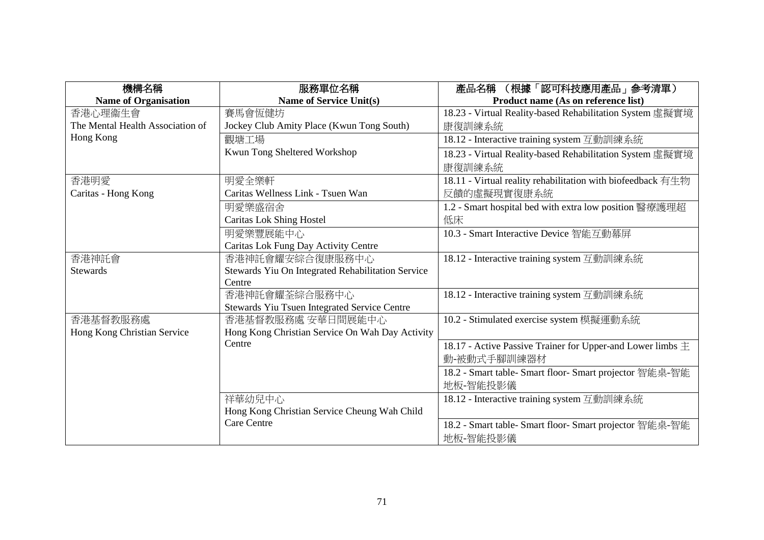| 機構名稱                             | 服務單位名稱                                            | (根據「認可科技應用產品」参考清單)<br>產品名稱                                     |
|----------------------------------|---------------------------------------------------|----------------------------------------------------------------|
| <b>Name of Organisation</b>      | <b>Name of Service Unit(s)</b>                    | Product name (As on reference list)                            |
| 香港心理衞生會                          | 賽馬會恆健坊                                            | 18.23 - Virtual Reality-based Rehabilitation System 虛擬實境       |
| The Mental Health Association of | Jockey Club Amity Place (Kwun Tong South)         | 康復訓練系統                                                         |
| Hong Kong                        | 觀塘工場                                              | 18.12 - Interactive training system 互動訓練系統                     |
|                                  | Kwun Tong Sheltered Workshop                      | 18.23 - Virtual Reality-based Rehabilitation System 虛擬實境       |
|                                  |                                                   | 康復訓練系統                                                         |
| 香港明愛                             | 明愛全樂軒                                             | 18.11 - Virtual reality rehabilitation with biofeedback 有生物    |
| Caritas - Hong Kong              | Caritas Wellness Link - Tsuen Wan                 | 反饋的虛擬現實復康系統                                                    |
|                                  | 明愛樂盛宿舍                                            | 1.2 - Smart hospital bed with extra low position 醫療護理超         |
|                                  | <b>Caritas Lok Shing Hostel</b>                   | 低床                                                             |
|                                  | 明愛樂豐展能中心                                          | 10.3 - Smart Interactive Device 智能互動幕屏                         |
|                                  | Caritas Lok Fung Day Activity Centre              |                                                                |
| 香港神託會                            | 香港神託會耀安綜合復康服務中心                                   | 18.12 - Interactive training system 互動訓練系統                     |
| <b>Stewards</b>                  | Stewards Yiu On Integrated Rehabilitation Service |                                                                |
|                                  | Centre                                            |                                                                |
|                                  | 香港神託會耀荃綜合服務中心                                     | 18.12 - Interactive training system 互動訓練系統                     |
|                                  | Stewards Yiu Tsuen Integrated Service Centre      |                                                                |
| 香港基督教服務處                         | 香港基督教服務處 安華日間展能中心                                 | 10.2 - Stimulated exercise system 模擬運動系統                       |
| Hong Kong Christian Service      | Hong Kong Christian Service On Wah Day Activity   |                                                                |
|                                  | Centre                                            | 18.17 - Active Passive Trainer for Upper-and Lower limbs $\pm$ |
|                                  |                                                   | 動-被動式手腳訓練器材                                                    |
|                                  |                                                   | 18.2 - Smart table- Smart floor- Smart projector 智能桌-智能        |
|                                  |                                                   | 地板-智能投影儀                                                       |
|                                  | 祥華幼兒中心                                            | 18.12 - Interactive training system 互動訓練系統                     |
|                                  | Hong Kong Christian Service Cheung Wah Child      |                                                                |
|                                  | <b>Care Centre</b>                                | 18.2 - Smart table- Smart floor- Smart projector 智能桌-智能        |
|                                  |                                                   | 地板-智能投影儀                                                       |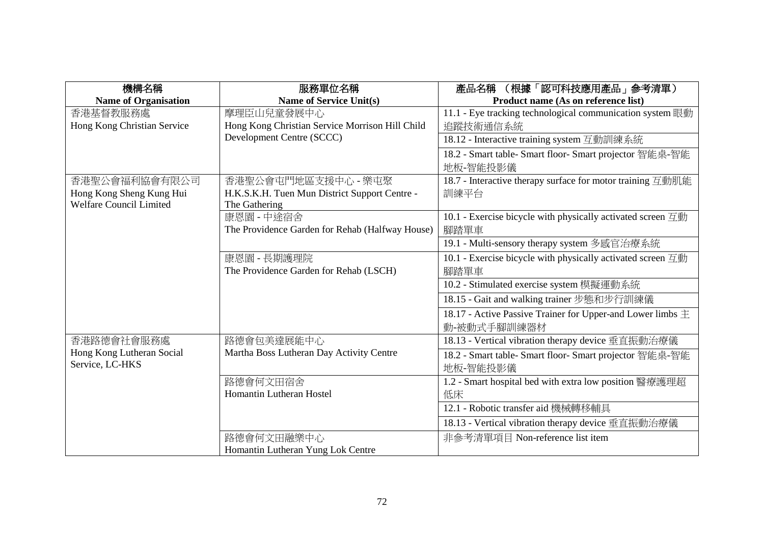| 機構名稱                        | 服務單位名稱                                          | 產品名稱 (根據「認可科技應用產品」參考清單)                                                        |
|-----------------------------|-------------------------------------------------|--------------------------------------------------------------------------------|
| <b>Name of Organisation</b> | <b>Name of Service Unit(s)</b>                  | Product name (As on reference list)                                            |
| 香港基督教服務處                    | 摩理臣山兒童發展中心                                      | 11.1 - Eye tracking technological communication system 眼動                      |
| Hong Kong Christian Service | Hong Kong Christian Service Morrison Hill Child | 追蹤技術通信系統                                                                       |
|                             | Development Centre (SCCC)                       | 18.12 - Interactive training system 互動訓練系統                                     |
|                             |                                                 | 18.2 - Smart table- Smart floor- Smart projector 智能桌-智能                        |
|                             |                                                 | 地板-智能投影儀                                                                       |
| 香港聖公會福利協會有限公司               | 香港聖公會屯門地區支援中心 - 樂屯聚                             | 18.7 - Interactive therapy surface for motor training 互動肌能                     |
| Hong Kong Sheng Kung Hui    | H.K.S.K.H. Tuen Mun District Support Centre -   | 訓練平台                                                                           |
| Welfare Council Limited     | The Gathering                                   |                                                                                |
|                             | 康恩園 - 中途宿舍                                      | 10.1 - Exercise bicycle with physically activated screen 互動                    |
|                             | The Providence Garden for Rehab (Halfway House) | 腳踏單車                                                                           |
|                             |                                                 | 19.1 - Multi-sensory therapy system 多感官治療系統                                    |
|                             | 康恩園 - 長期護理院                                     | 10.1 - Exercise bicycle with physically activated screen $\overline{\Xi}$ hym- |
|                             | The Providence Garden for Rehab (LSCH)          | 腳踏單車                                                                           |
|                             |                                                 | 10.2 - Stimulated exercise system 模擬運動系統                                       |
|                             |                                                 | 18.15 - Gait and walking trainer 步態和步行訓練儀                                      |
|                             |                                                 | 18.17 - Active Passive Trainer for Upper-and Lower limbs $\pm$                 |
|                             |                                                 | 動-被動式手腳訓練器材                                                                    |
| 香港路德會社會服務處                  | 路德會包美達展能中心                                      | 18.13 - Vertical vibration therapy device 垂直振動治療儀                              |
| Hong Kong Lutheran Social   | Martha Boss Lutheran Day Activity Centre        | 18.2 - Smart table- Smart floor- Smart projector 智能桌-智能                        |
| Service, LC-HKS             |                                                 | 地板-智能投影儀                                                                       |
|                             | 路德會何文田宿舍                                        | 1.2 - Smart hospital bed with extra low position 醫療護理超                         |
|                             | Homantin Lutheran Hostel                        | 低床                                                                             |
|                             |                                                 | 12.1 - Robotic transfer aid 機械轉移輔具                                             |
|                             |                                                 | 18.13 - Vertical vibration therapy device 垂直振動治療儀                              |
|                             | 路德會何文田融樂中心                                      | 非參考清單項目 Non-reference list item                                                |
|                             | Homantin Lutheran Yung Lok Centre               |                                                                                |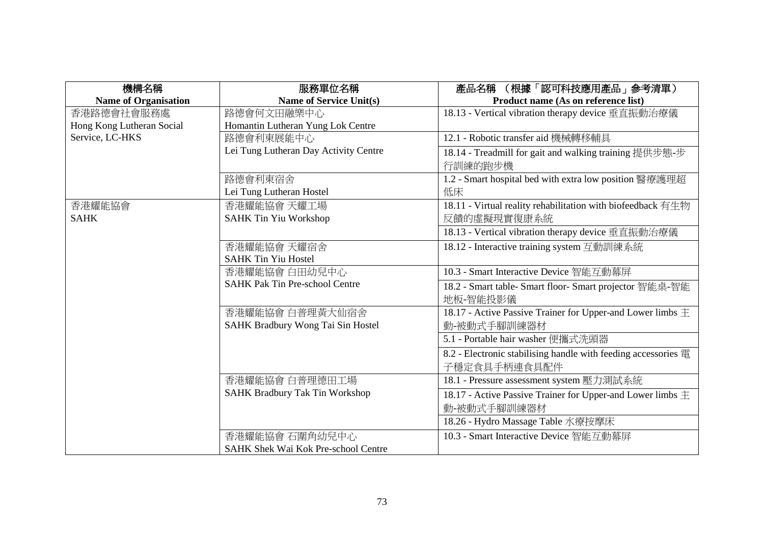| 機構名稱                        | 服務單位名稱                                     | (根據「認可科技應用產品」参考清單)<br>產品名稱                                     |
|-----------------------------|--------------------------------------------|----------------------------------------------------------------|
| <b>Name of Organisation</b> | <b>Name of Service Unit(s)</b>             | Product name (As on reference list)                            |
| 香港路德會社會服務處                  | 路德會何文田融樂中心                                 | 18.13 - Vertical vibration therapy device 垂直振動治療儀              |
| Hong Kong Lutheran Social   | Homantin Lutheran Yung Lok Centre          |                                                                |
| Service, LC-HKS             | 路德會利東展能中心                                  | 12.1 - Robotic transfer aid 機械轉移輔具                             |
|                             | Lei Tung Lutheran Day Activity Centre      | 18.14 - Treadmill for gait and walking training 提供步態-步         |
|                             |                                            | 行訓練的跑步機                                                        |
|                             | 路德會利東宿舍                                    | 1.2 - Smart hospital bed with extra low position 醫療護理超         |
|                             | Lei Tung Lutheran Hostel                   | 低床                                                             |
| 香港耀能協會                      | 香港耀能協會 天耀工場                                | 18.11 - Virtual reality rehabilitation with biofeedback 有生物    |
| <b>SAHK</b>                 | <b>SAHK Tin Yiu Workshop</b>               | 反饋的虛擬現實復康系統                                                    |
|                             |                                            | 18.13 - Vertical vibration therapy device 垂直振動治療儀              |
|                             | 香港耀能協會 天耀宿舍                                | 18.12 - Interactive training system 互動訓練系統                     |
|                             | <b>SAHK Tin Yiu Hostel</b>                 |                                                                |
|                             | 香港耀能協會 白田幼兒中心                              | 10.3 - Smart Interactive Device 智能互動幕屏                         |
|                             | <b>SAHK Pak Tin Pre-school Centre</b>      | 18.2 - Smart table- Smart floor- Smart projector 智能桌-智能        |
|                             |                                            | 地板-智能投影儀                                                       |
|                             | 香港耀能協會 白普理黃大仙宿舍                            | 18.17 - Active Passive Trainer for Upper-and Lower limbs $\pm$ |
|                             | SAHK Bradbury Wong Tai Sin Hostel          | 動-被動式手腳訓練器材                                                    |
|                             |                                            | 5.1 - Portable hair washer 便攜式洗頭器                              |
|                             |                                            | 8.2 - Electronic stabilising handle with feeding accessories 電 |
|                             |                                            | 子穩定食具手柄連食具配件                                                   |
|                             | 香港耀能協會 白普理德田工場                             | 18.1 - Pressure assessment system 壓力測試系統                       |
|                             | <b>SAHK Bradbury Tak Tin Workshop</b>      | 18.17 - Active Passive Trainer for Upper-and Lower limbs $\pm$ |
|                             |                                            | 動-被動式手腳訓練器材                                                    |
|                             |                                            | 18.26 - Hydro Massage Table 水療按摩床                              |
|                             | 香港耀能協會 石圍角幼兒中心                             | 10.3 - Smart Interactive Device 智能互動幕屏                         |
|                             | <b>SAHK Shek Wai Kok Pre-school Centre</b> |                                                                |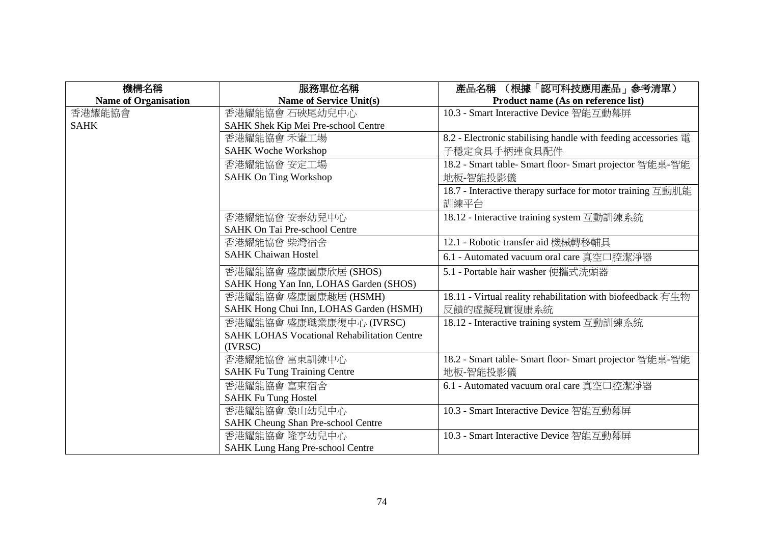| 機構名稱                        | 服務單位名稱                                             | 產品名稱 (根據「認可科技應用產品」參考清單)                                        |
|-----------------------------|----------------------------------------------------|----------------------------------------------------------------|
| <b>Name of Organisation</b> | <b>Name of Service Unit(s)</b>                     | Product name (As on reference list)                            |
| 香港耀能協會                      | 香港耀能協會 石硤尾幼兒中心                                     | 10.3 - Smart Interactive Device 智能互動幕屏                         |
| <b>SAHK</b>                 | SAHK Shek Kip Mei Pre-school Centre                |                                                                |
|                             | 香港耀能協會 禾輋工場                                        | 8.2 - Electronic stabilising handle with feeding accessories 電 |
|                             | <b>SAHK Woche Workshop</b>                         | 子穩定食具手柄連食具配件                                                   |
|                             | 香港耀能協會 安定工場                                        | 18.2 - Smart table- Smart floor- Smart projector 智能桌-智能        |
|                             | <b>SAHK On Ting Workshop</b>                       | 地板-智能投影儀                                                       |
|                             |                                                    | 18.7 - Interactive therapy surface for motor training 互動肌能     |
|                             |                                                    | 訓練平台                                                           |
|                             | 香港耀能協會 安泰幼兒中心                                      | 18.12 - Interactive training system 互動訓練系統                     |
|                             | <b>SAHK On Tai Pre-school Centre</b>               |                                                                |
|                             | 香港耀能協會 柴灣宿舍                                        | 12.1 - Robotic transfer aid 機械轉移輔具                             |
|                             | <b>SAHK Chaiwan Hostel</b>                         | 6.1 - Automated vacuum oral care 真空口腔潔淨器                       |
|                             | 香港耀能協會盛康園康欣居(SHOS)                                 | 5.1 - Portable hair washer 便攜式洗頭器                              |
|                             | SAHK Hong Yan Inn, LOHAS Garden (SHOS)             |                                                                |
|                             | 香港耀能協會 盛康園康趣居 (HSMH)                               | 18.11 - Virtual reality rehabilitation with biofeedback 有生物    |
|                             | SAHK Hong Chui Inn, LOHAS Garden (HSMH)            | 反饋的虛擬現實復康系統                                                    |
|                             | 香港耀能協會 盛康職業康復中心 (IVRSC)                            | 18.12 - Interactive training system 互動訓練系統                     |
|                             | <b>SAHK LOHAS Vocational Rehabilitation Centre</b> |                                                                |
|                             | (IVRSC)                                            |                                                                |
|                             | 香港耀能協會 富東訓練中心                                      | 18.2 - Smart table- Smart floor- Smart projector 智能桌-智能        |
|                             | <b>SAHK Fu Tung Training Centre</b>                | 地板-智能投影儀                                                       |
|                             | 香港耀能協會 富東宿舍                                        | 6.1 - Automated vacuum oral care 真空口腔潔淨器                       |
|                             | <b>SAHK Fu Tung Hostel</b>                         |                                                                |
|                             | 香港耀能協會 象山幼兒中心                                      | 10.3 - Smart Interactive Device 智能互動幕屏                         |
|                             | SAHK Cheung Shan Pre-school Centre                 |                                                                |
|                             | 香港耀能協會 隆亨幼兒中心                                      | 10.3 - Smart Interactive Device 智能互動幕屏                         |
|                             | <b>SAHK Lung Hang Pre-school Centre</b>            |                                                                |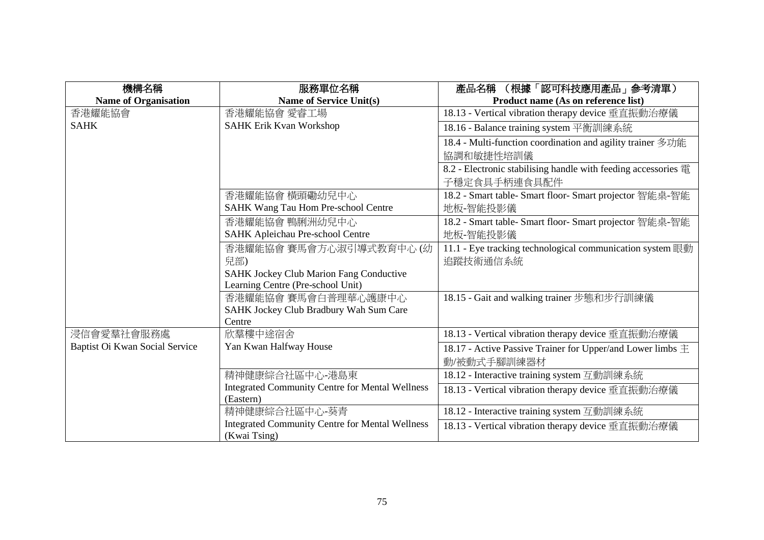| 機構名稱                           | 服務單位名稱                                                 | (根據「認可科技應用產品」参考清單)<br>產品名稱                                     |
|--------------------------------|--------------------------------------------------------|----------------------------------------------------------------|
| <b>Name of Organisation</b>    | <b>Name of Service Unit(s)</b>                         | Product name (As on reference list)                            |
| 香港耀能協會                         | 香港耀能協會 愛睿工場                                            | 18.13 - Vertical vibration therapy device 垂直振動治療儀              |
| <b>SAHK</b>                    | <b>SAHK Erik Kvan Workshop</b>                         | 18.16 - Balance training system 平衡訓練系統                         |
|                                |                                                        | 18.4 - Multi-function coordination and agility trainer 多功能     |
|                                |                                                        | 協調和敏捷性培訓儀                                                      |
|                                |                                                        | 8.2 - Electronic stabilising handle with feeding accessories 電 |
|                                |                                                        | 子穩定食具手柄連食具配件                                                   |
|                                | 香港耀能協會 横頭磡幼兒中心                                         | 18.2 - Smart table- Smart floor- Smart projector 智能桌-智能        |
|                                | SAHK Wang Tau Hom Pre-school Centre                    | 地板-智能投影儀                                                       |
|                                | 香港耀能協會 鴨脷洲幼兒中心                                         | 18.2 - Smart table- Smart floor- Smart projector 智能桌-智能        |
|                                | <b>SAHK Apleichau Pre-school Centre</b>                | 地板-智能投影儀                                                       |
|                                | 香港耀能協會 賽馬會方心淑引導式教育中心 (幼                                | 11.1 - Eye tracking technological communication system 眼動      |
|                                | 兒部)                                                    | 追蹤技術通信系統                                                       |
|                                | SAHK Jockey Club Marion Fang Conductive                |                                                                |
|                                | Learning Centre (Pre-school Unit)                      |                                                                |
|                                | 香港耀能協會 賽馬會白普理華心護康中心                                    | 18.15 - Gait and walking trainer 步態和步行訓練儀                      |
|                                | SAHK Jockey Club Bradbury Wah Sum Care                 |                                                                |
|                                | Centre                                                 |                                                                |
| 浸信會愛羣社會服務處                     | 欣羣樓中途宿舍                                                | 18.13 - Vertical vibration therapy device 垂直振動治療儀              |
| Baptist Oi Kwan Social Service | Yan Kwan Halfway House                                 | 18.17 - Active Passive Trainer for Upper/and Lower limbs $\pm$ |
|                                |                                                        | 動/被動式手腳訓練器材                                                    |
|                                | 精神健康綜合社區中心-港島東                                         | 18.12 - Interactive training system 互動訓練系統                     |
|                                | <b>Integrated Community Centre for Mental Wellness</b> | 18.13 - Vertical vibration therapy device 垂直振動治療儀              |
|                                | (Eastern)                                              |                                                                |
|                                | 精神健康綜合社區中心-葵青                                          | 18.12 - Interactive training system 互動訓練系統                     |
|                                | <b>Integrated Community Centre for Mental Wellness</b> | 18.13 - Vertical vibration therapy device 垂直振動治療儀              |
|                                | (Kwai Tsing)                                           |                                                                |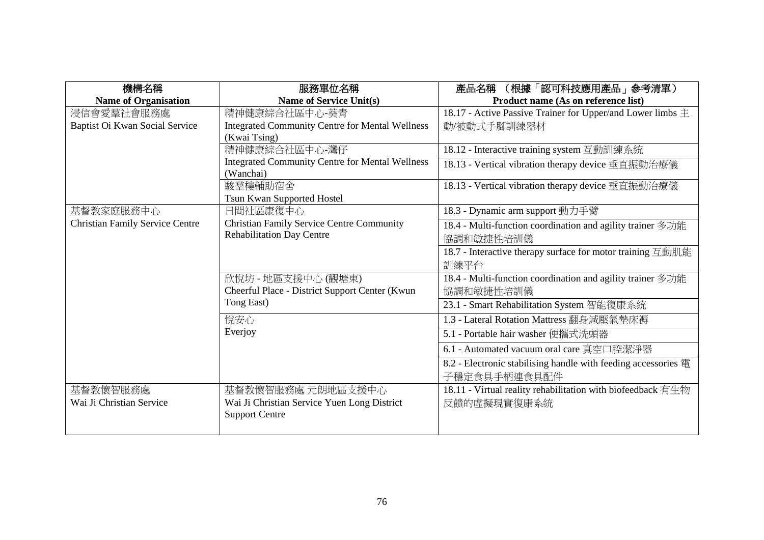| 機構名稱                                   | 服務單位名稱                                                 | (根據「認可科技應用產品」参考清單)<br>產品名稱                                     |
|----------------------------------------|--------------------------------------------------------|----------------------------------------------------------------|
| <b>Name of Organisation</b>            | Name of Service Unit(s)                                | Product name (As on reference list)                            |
| 浸信會愛羣社會服務處                             | 精神健康綜合社區中心-葵青                                          | 18.17 - Active Passive Trainer for Upper/and Lower limbs $\pm$ |
| Baptist Oi Kwan Social Service         | <b>Integrated Community Centre for Mental Wellness</b> | 動/被動式手腳訓練器材                                                    |
|                                        | (Kwai Tsing)                                           |                                                                |
|                                        | 精神健康綜合社區中心-灣仔                                          | 18.12 - Interactive training system 互動訓練系統                     |
|                                        | <b>Integrated Community Centre for Mental Wellness</b> | 18.13 - Vertical vibration therapy device 垂直振動治療儀              |
|                                        | (Wanchai)                                              |                                                                |
|                                        | 駿羣樓輔助宿舍                                                | 18.13 - Vertical vibration therapy device 垂直振動治療儀              |
|                                        | Tsun Kwan Supported Hostel                             |                                                                |
| 基督教家庭服務中心                              | 日間社區康復中心                                               | 18.3 - Dynamic arm support 動力手臂                                |
| <b>Christian Family Service Centre</b> | <b>Christian Family Service Centre Community</b>       | 18.4 - Multi-function coordination and agility trainer 多功能     |
|                                        | <b>Rehabilitation Day Centre</b>                       | 協調和敏捷性培訓儀                                                      |
|                                        |                                                        | 18.7 - Interactive therapy surface for motor training 互動肌能     |
|                                        |                                                        | 訓練平台                                                           |
|                                        | 欣悅坊 - 地區支援中心 (觀塘東)                                     | 18.4 - Multi-function coordination and agility trainer 多功能     |
|                                        | Cheerful Place - District Support Center (Kwun         | 協調和敏捷性培訓儀                                                      |
|                                        | Tong East)                                             | 23.1 - Smart Rehabilitation System 智能復康系統                      |
|                                        | 悅安心                                                    | 1.3 - Lateral Rotation Mattress 翻身減壓氣墊床褥                       |
|                                        | Everjoy                                                | 5.1 - Portable hair washer 便攜式洗頭器                              |
|                                        |                                                        | 6.1 - Automated vacuum oral care 真空口腔潔淨器                       |
|                                        |                                                        | 8.2 - Electronic stabilising handle with feeding accessories 電 |
|                                        |                                                        | 子穩定食具手柄連食具配件                                                   |
| 基督教懷智服務處                               | 基督教懷智服務處 元朗地區支援中心                                      | 18.11 - Virtual reality rehabilitation with biofeedback 有生物    |
| Wai Ji Christian Service               | Wai Ji Christian Service Yuen Long District            | 反饋的虛擬現實復康系統                                                    |
|                                        | <b>Support Centre</b>                                  |                                                                |
|                                        |                                                        |                                                                |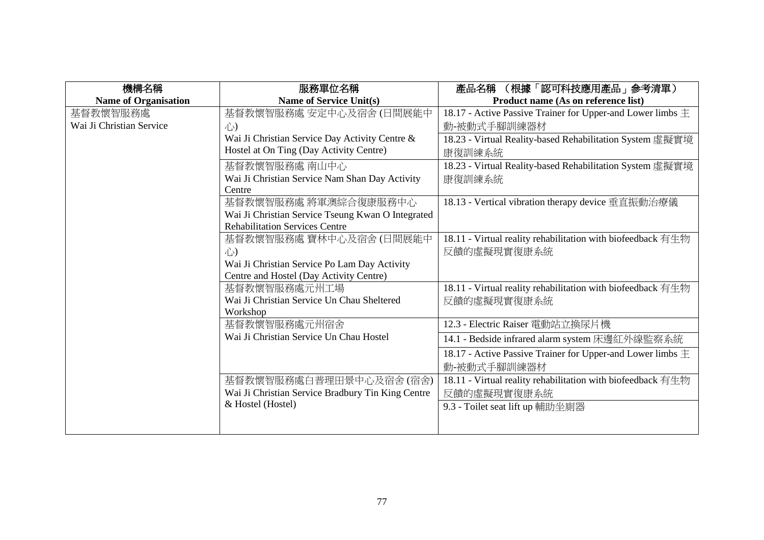| 機構名稱                        | 服務單位名稱                                            | (根據「認可科技應用產品」参考清單)<br>產品名稱                                     |
|-----------------------------|---------------------------------------------------|----------------------------------------------------------------|
| <b>Name of Organisation</b> | <b>Name of Service Unit(s)</b>                    | Product name (As on reference list)                            |
| 基督教懷智服務處                    | 基督教懷智服務處 安定中心及宿舍(日間展能中                            | 18.17 - Active Passive Trainer for Upper-and Lower limbs $\pm$ |
| Wai Ji Christian Service    | 心                                                 | 動-被動式手腳訓練器材                                                    |
|                             | Wai Ji Christian Service Day Activity Centre &    | 18.23 - Virtual Reality-based Rehabilitation System 虛擬實境       |
|                             | Hostel at On Ting (Day Activity Centre)           | 康復訓練系統                                                         |
|                             | 基督教懷智服務處 南山中心                                     | 18.23 - Virtual Reality-based Rehabilitation System 虛擬實境       |
|                             | Wai Ji Christian Service Nam Shan Day Activity    | 康復訓練系統                                                         |
|                             | Centre                                            |                                                                |
|                             | 基督教懷智服務處 將軍澳綜合復康服務中心                              | 18.13 - Vertical vibration therapy device 垂直振動治療儀              |
|                             | Wai Ji Christian Service Tseung Kwan O Integrated |                                                                |
|                             | <b>Rehabilitation Services Centre</b>             |                                                                |
|                             | 基督教懷智服務處 寶林中心及宿舍(日間展能中                            | 18.11 - Virtual reality rehabilitation with biofeedback 有生物    |
|                             | 心                                                 | 反饋的虛擬現實復康系統                                                    |
|                             | Wai Ji Christian Service Po Lam Day Activity      |                                                                |
|                             | Centre and Hostel (Day Activity Centre)           |                                                                |
|                             | 基督教懷智服務處元州工場                                      | 18.11 - Virtual reality rehabilitation with biofeedback 有生物    |
|                             | Wai Ji Christian Service Un Chau Sheltered        | 反饋的虛擬現實復康系統                                                    |
|                             | Workshop                                          |                                                                |
|                             | 基督教懷智服務處元州宿舍                                      | 12.3 - Electric Raiser 電動站立換尿片機                                |
|                             | Wai Ji Christian Service Un Chau Hostel           | 14.1 - Bedside infrared alarm system 床邊紅外線監察系統                 |
|                             |                                                   | 18.17 - Active Passive Trainer for Upper-and Lower limbs $\pm$ |
|                             |                                                   | 動-被動式手腳訓練器材                                                    |
|                             | 基督教懷智服務處白普理田景中心及宿舍(宿舍)                            | 18.11 - Virtual reality rehabilitation with biofeedback 有生物    |
|                             | Wai Ji Christian Service Bradbury Tin King Centre | 反饋的虛擬現實復康系統                                                    |
|                             | & Hostel (Hostel)                                 | 9.3 - Toilet seat lift up 輔助坐廁器                                |
|                             |                                                   |                                                                |
|                             |                                                   |                                                                |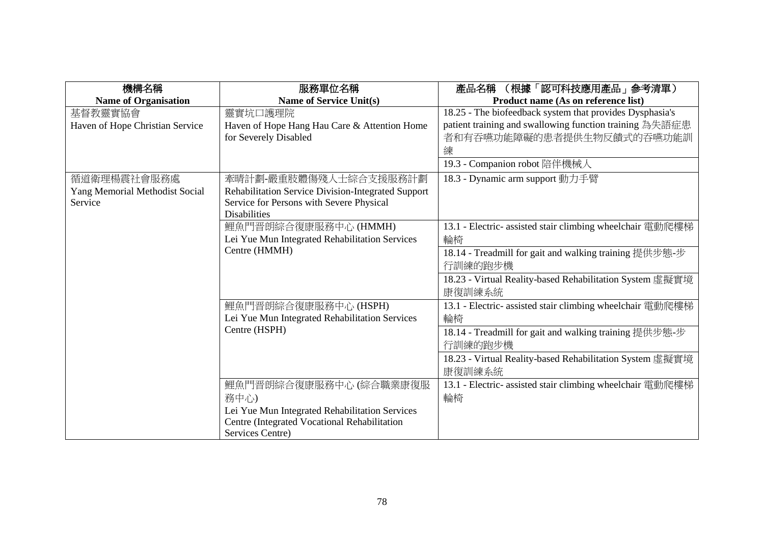| 機構名稱                            | 服務單位名稱                                             | (根據「認可科技應用產品」 参考清單)<br>產品名稱                               |
|---------------------------------|----------------------------------------------------|-----------------------------------------------------------|
| <b>Name of Organisation</b>     | <b>Name of Service Unit(s)</b>                     | Product name (As on reference list)                       |
| 基督教靈實協會                         | 靈實坑口護理院                                            | 18.25 - The biofeedback system that provides Dysphasia's  |
| Haven of Hope Christian Service | Haven of Hope Hang Hau Care & Attention Home       | patient training and swallowing function training 為失語症患   |
|                                 | for Severely Disabled                              | 者和有吞嚥功能障礙的患者提供生物反饋式的吞嚥功能訓                                 |
|                                 |                                                    | 練                                                         |
|                                 |                                                    | 19.3 - Companion robot 陪伴機械人                              |
| 循道衛理楊震社會服務處                     | 牽晴計劃-嚴重肢體傷殘人士綜合支援服務計劃                              | 18.3 - Dynamic arm support 動力手臂                           |
| Yang Memorial Methodist Social  | Rehabilitation Service Division-Integrated Support |                                                           |
| Service                         | Service for Persons with Severe Physical           |                                                           |
|                                 | <b>Disabilities</b>                                |                                                           |
|                                 | 鯉魚門晋朗綜合復康服務中心 (HMMH)                               | 13.1 - Electric- assisted stair climbing wheelchair 電動爬樓梯 |
|                                 | Lei Yue Mun Integrated Rehabilitation Services     | 輪椅                                                        |
|                                 | Centre (HMMH)                                      | 18.14 - Treadmill for gait and walking training 提供步態-步    |
|                                 |                                                    | 行訓練的跑步機                                                   |
|                                 |                                                    | 18.23 - Virtual Reality-based Rehabilitation System 虛擬實境  |
|                                 |                                                    | 康復訓練系統                                                    |
|                                 | 鯉魚門晋朗綜合復康服務中心 (HSPH)                               | 13.1 - Electric- assisted stair climbing wheelchair 電動爬樓梯 |
|                                 | Lei Yue Mun Integrated Rehabilitation Services     | 輪椅                                                        |
|                                 | Centre (HSPH)                                      | 18.14 - Treadmill for gait and walking training 提供步態-步    |
|                                 |                                                    | 行訓練的跑步機                                                   |
|                                 |                                                    | 18.23 - Virtual Reality-based Rehabilitation System 虛擬實境  |
|                                 |                                                    | 康復訓練系統                                                    |
|                                 | 鯉魚門晋朗綜合復康服務中心 (綜合職業康復服                             | 13.1 - Electric- assisted stair climbing wheelchair 電動爬樓梯 |
|                                 | 務中心)                                               | 輪椅                                                        |
|                                 | Lei Yue Mun Integrated Rehabilitation Services     |                                                           |
|                                 | Centre (Integrated Vocational Rehabilitation       |                                                           |
|                                 | Services Centre)                                   |                                                           |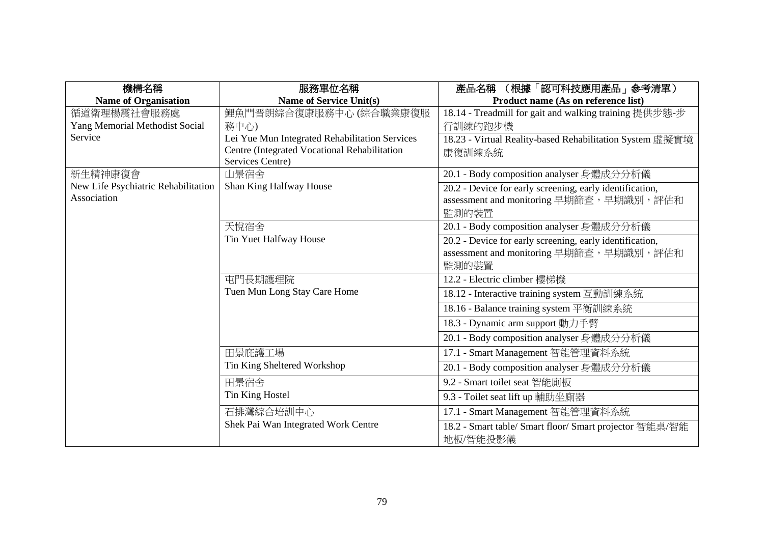| 機構名稱                                | 服務單位名稱                                         | (根據「認可科技應用產品」参考清單)<br>產品名稱                               |
|-------------------------------------|------------------------------------------------|----------------------------------------------------------|
| <b>Name of Organisation</b>         | <b>Name of Service Unit(s)</b>                 | Product name (As on reference list)                      |
| 循道衛理楊震社會服務處                         | 鯉魚門晋朗綜合復康服務中心 (綜合職業康復服                         | 18.14 - Treadmill for gait and walking training 提供步態-步   |
| Yang Memorial Methodist Social      | 務中心)                                           | 行訓練的跑步機                                                  |
| Service                             | Lei Yue Mun Integrated Rehabilitation Services | 18.23 - Virtual Reality-based Rehabilitation System 虛擬實境 |
|                                     | Centre (Integrated Vocational Rehabilitation   | 康復訓練系統                                                   |
|                                     | Services Centre)                               |                                                          |
| 新生精神康復會                             | 山景宿舍                                           | 20.1 - Body composition analyser 身體成分分析儀                 |
| New Life Psychiatric Rehabilitation | Shan King Halfway House                        | 20.2 - Device for early screening, early identification, |
| Association                         |                                                | assessment and monitoring 早期篩查, 早期識別, 評估和                |
|                                     |                                                | 監測的裝置                                                    |
|                                     | 天悅宿舍                                           | 20.1 - Body composition analyser 身體成分分析儀                 |
|                                     | Tin Yuet Halfway House                         | 20.2 - Device for early screening, early identification, |
|                                     |                                                | assessment and monitoring 早期篩查, 早期識別, 評估和                |
|                                     |                                                | 監測的裝置                                                    |
|                                     | 屯門長期護理院                                        | 12.2 - Electric climber 樓梯機                              |
|                                     | Tuen Mun Long Stay Care Home                   | 18.12 - Interactive training system 互動訓練系統               |
|                                     |                                                | 18.16 - Balance training system 平衡訓練系統                   |
|                                     |                                                | 18.3 - Dynamic arm support 動力手臂                          |
|                                     |                                                | 20.1 - Body composition analyser 身體成分分析儀                 |
|                                     | 田景庇護工場                                         | 17.1 - Smart Management 智能管理資料系統                         |
|                                     | Tin King Sheltered Workshop                    | 20.1 - Body composition analyser 身體成分分析儀                 |
|                                     | 田景宿舍                                           | 9.2 - Smart toilet seat 智能廁板                             |
|                                     | <b>Tin King Hostel</b>                         | 9.3 - Toilet seat lift up 輔助坐廁器                          |
|                                     | 石排灣綜合培訓中心                                      | 17.1 - Smart Management 智能管理資料系統                         |
|                                     | Shek Pai Wan Integrated Work Centre            | 18.2 - Smart table/ Smart floor/ Smart projector 智能桌/智能  |
|                                     |                                                | 地板/智能投影儀                                                 |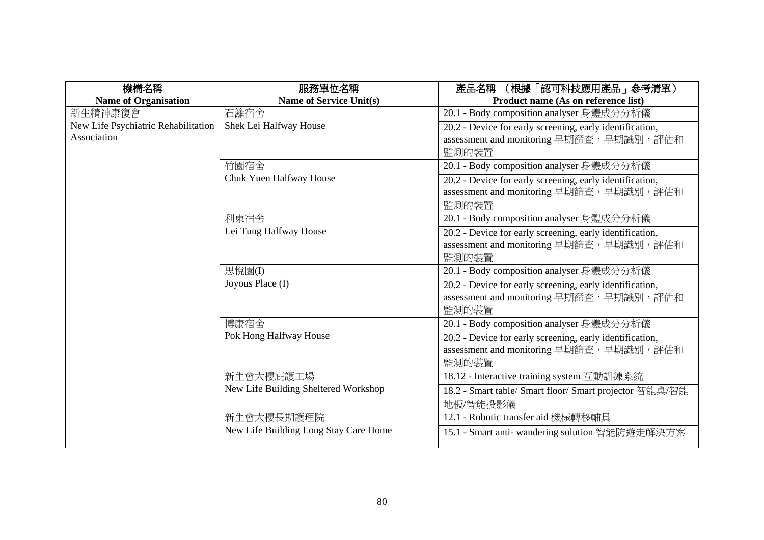| 機構名稱                                | 服務單位名稱                                | (根據「認可科技應用產品」參考清單)<br>產品名稱                               |
|-------------------------------------|---------------------------------------|----------------------------------------------------------|
| <b>Name of Organisation</b>         | <b>Name of Service Unit(s)</b>        | Product name (As on reference list)                      |
| 新生精神康復會                             | 石籬宿舍                                  | 20.1 - Body composition analyser 身體成分分析儀                 |
| New Life Psychiatric Rehabilitation | Shek Lei Halfway House                | 20.2 - Device for early screening, early identification, |
| Association                         |                                       | assessment and monitoring 早期篩查, 早期識別, 評估和                |
|                                     |                                       | 監測的裝置                                                    |
|                                     | 竹園宿舍                                  | 20.1 - Body composition analyser 身體成分分析儀                 |
|                                     | Chuk Yuen Halfway House               | 20.2 - Device for early screening, early identification, |
|                                     |                                       | assessment and monitoring 早期篩查, 早期識別, 評估和                |
|                                     |                                       | 監測的裝置                                                    |
|                                     | 利東宿舍                                  | 20.1 - Body composition analyser 身體成分分析儀                 |
|                                     | Lei Tung Halfway House                | 20.2 - Device for early screening, early identification, |
|                                     |                                       | assessment and monitoring 早期篩查, 早期識別, 評估和                |
|                                     |                                       | 監測的裝置                                                    |
|                                     | 思悅園(I)                                | 20.1 - Body composition analyser 身體成分分析儀                 |
|                                     | Joyous Place (I)                      | 20.2 - Device for early screening, early identification, |
|                                     |                                       | assessment and monitoring 早期篩查, 早期識別, 評估和                |
|                                     |                                       | 監測的裝置                                                    |
|                                     | 博康宿舍                                  | 20.1 - Body composition analyser 身體成分分析儀                 |
|                                     | Pok Hong Halfway House                | 20.2 - Device for early screening, early identification, |
|                                     |                                       | assessment and monitoring 早期篩查, 早期識別, 評估和                |
|                                     |                                       | 監測的裝置                                                    |
|                                     | 新生會大樓庇護工場                             | 18.12 - Interactive training system 互動訓練系統               |
|                                     | New Life Building Sheltered Workshop  | 18.2 - Smart table/ Smart floor/ Smart projector 智能桌/智能  |
|                                     |                                       | 地板/智能投影儀                                                 |
|                                     | 新生會大樓長期護理院                            | 12.1 - Robotic transfer aid 機械轉移輔具                       |
|                                     | New Life Building Long Stay Care Home | 15.1 - Smart anti- wandering solution 智能防遊走解決方案          |
|                                     |                                       |                                                          |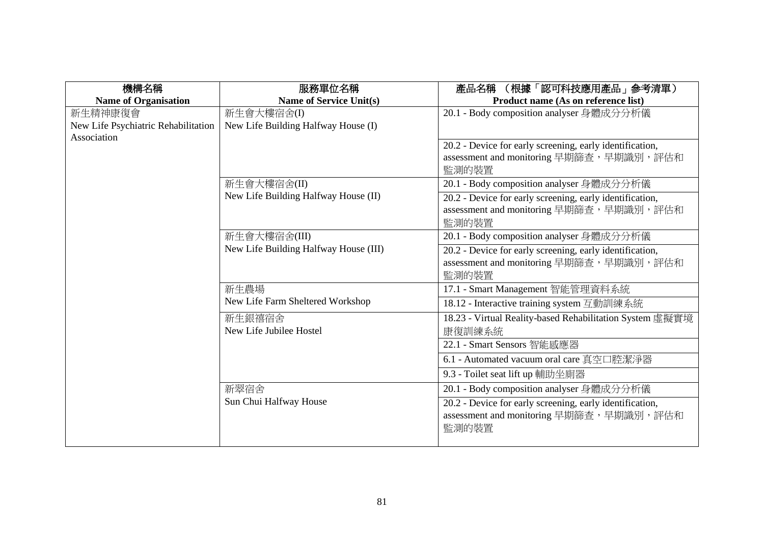| 機構名稱                                | 服務單位名稱                                | (根據「認可科技應用產品」參考清單)<br>產品名稱                                                                                     |
|-------------------------------------|---------------------------------------|----------------------------------------------------------------------------------------------------------------|
| <b>Name of Organisation</b>         | <b>Name of Service Unit(s)</b>        | Product name (As on reference list)                                                                            |
| 新生精神康復會                             | 新生會大樓宿舍(I)                            | 20.1 - Body composition analyser 身體成分分析儀                                                                       |
| New Life Psychiatric Rehabilitation | New Life Building Halfway House (I)   |                                                                                                                |
| Association                         |                                       | 20.2 - Device for early screening, early identification,<br>assessment and monitoring 早期篩查, 早期識別, 評估和<br>監測的裝置 |
|                                     | 新生會大樓宿舍(II)                           | 20.1 - Body composition analyser 身體成分分析儀                                                                       |
|                                     | New Life Building Halfway House (II)  | 20.2 - Device for early screening, early identification,<br>assessment and monitoring 早期篩查, 早期識別, 評估和<br>監測的裝置 |
|                                     | 新生會大樓宿舍(III)                          | 20.1 - Body composition analyser 身體成分分析儀                                                                       |
|                                     | New Life Building Halfway House (III) | 20.2 - Device for early screening, early identification,<br>assessment and monitoring 早期篩查, 早期識別, 評估和<br>監測的裝置 |
|                                     | 新生農場                                  | 17.1 - Smart Management 智能管理資料系統                                                                               |
|                                     | New Life Farm Sheltered Workshop      | 18.12 - Interactive training system 互動訓練系統                                                                     |
|                                     | 新生銀禧宿舍<br>New Life Jubilee Hostel     | 18.23 - Virtual Reality-based Rehabilitation System 虛擬實境<br>康復訓練系統                                             |
|                                     |                                       | 22.1 - Smart Sensors 智能感應器                                                                                     |
|                                     |                                       | 6.1 - Automated vacuum oral care 真空口腔潔淨器                                                                       |
|                                     |                                       | 9.3 - Toilet seat lift up 輔助坐廁器                                                                                |
|                                     | 新翠宿舍                                  | 20.1 - Body composition analyser 身體成分分析儀                                                                       |
|                                     | Sun Chui Halfway House                | 20.2 - Device for early screening, early identification,<br>assessment and monitoring 早期篩查, 早期識別, 評估和<br>監測的裝置 |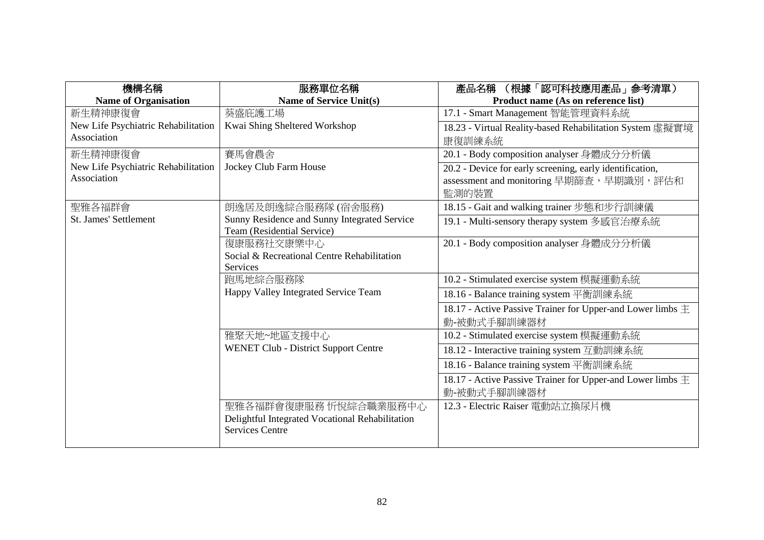| 機構名稱                                | 服務單位名稱                                                                     | (根據「認可科技應用產品」 参考清單)<br>產品名稱                                    |
|-------------------------------------|----------------------------------------------------------------------------|----------------------------------------------------------------|
| <b>Name of Organisation</b>         | <b>Name of Service Unit(s)</b>                                             | Product name (As on reference list)                            |
| 新生精神康復會                             | 葵盛庇護工場                                                                     | 17.1 - Smart Management 智能管理資料系統                               |
| New Life Psychiatric Rehabilitation | Kwai Shing Sheltered Workshop                                              | 18.23 - Virtual Reality-based Rehabilitation System 虛擬實境       |
| Association                         |                                                                            | 康復訓練系統                                                         |
| 新生精神康復會                             | 賽馬會農舍                                                                      | 20.1 - Body composition analyser 身體成分分析儀                       |
| New Life Psychiatric Rehabilitation | Jockey Club Farm House                                                     | 20.2 - Device for early screening, early identification,       |
| Association                         |                                                                            | assessment and monitoring 早期篩查, 早期識別, 評估和<br>監測的裝置             |
| 聖雅各福群會                              | 朗逸居及朗逸綜合服務隊 (宿舍服務)                                                         | 18.15 - Gait and walking trainer 步態和步行訓練儀                      |
| St. James' Settlement               | Sunny Residence and Sunny Integrated Service<br>Team (Residential Service) | 19.1 - Multi-sensory therapy system 多感官治療系統                    |
|                                     | 復康服務社交康樂中心                                                                 | 20.1 - Body composition analyser 身體成分分析儀                       |
|                                     | Social & Recreational Centre Rehabilitation                                |                                                                |
|                                     | <b>Services</b>                                                            |                                                                |
|                                     | 跑馬地綜合服務隊                                                                   | 10.2 - Stimulated exercise system 模擬運動系統                       |
|                                     | Happy Valley Integrated Service Team                                       | 18.16 - Balance training system 平衡訓練系統                         |
|                                     |                                                                            | 18.17 - Active Passive Trainer for Upper-and Lower limbs $\pm$ |
|                                     |                                                                            | 動-被動式手腳訓練器材                                                    |
|                                     | 雅聚天地~地區支援中心                                                                | 10.2 - Stimulated exercise system 模擬運動系統                       |
|                                     | <b>WENET Club - District Support Centre</b>                                | 18.12 - Interactive training system 互動訓練系統                     |
|                                     |                                                                            | 18.16 - Balance training system 平衡訓練系統                         |
|                                     |                                                                            | 18.17 - Active Passive Trainer for Upper-and Lower limbs $\pm$ |
|                                     |                                                                            | 動-被動式手腳訓練器材                                                    |
|                                     | 聖雅各福群會復康服務 忻悅綜合職業服務中心                                                      | 12.3 - Electric Raiser 電動站立換尿片機                                |
|                                     | Delightful Integrated Vocational Rehabilitation                            |                                                                |
|                                     | <b>Services Centre</b>                                                     |                                                                |
|                                     |                                                                            |                                                                |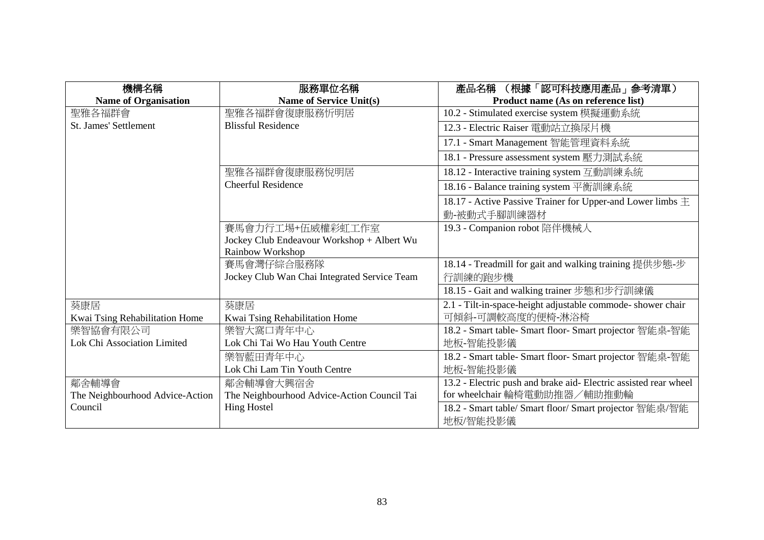| 機構名稱                            | 服務單位名稱                                       | (根據「認可科技應用產品」 参考清單)<br>產品名稱                                      |
|---------------------------------|----------------------------------------------|------------------------------------------------------------------|
| <b>Name of Organisation</b>     | Name of Service Unit(s)                      | Product name (As on reference list)                              |
| 聖雅各福群會                          | 聖雅各福群會復康服務忻明居                                | 10.2 - Stimulated exercise system 模擬運動系統                         |
| St. James' Settlement           | <b>Blissful Residence</b>                    | 12.3 - Electric Raiser 電動站立換尿片機                                  |
|                                 |                                              | 17.1 - Smart Management 智能管理資料系統                                 |
|                                 |                                              | 18.1 - Pressure assessment system 壓力測試系統                         |
|                                 | 聖雅各福群會復康服務悅明居                                | 18.12 - Interactive training system 互動訓練系統                       |
|                                 | <b>Cheerful Residence</b>                    | 18.16 - Balance training system 平衡訓練系統                           |
|                                 |                                              | 18.17 - Active Passive Trainer for Upper-and Lower limbs $\pm$   |
|                                 |                                              | 動-被動式手腳訓練器材                                                      |
|                                 | 賽馬會力行工場+伍威權彩虹工作室                             | 19.3 - Companion robot 陪伴機械人                                     |
|                                 | Jockey Club Endeavour Workshop + Albert Wu   |                                                                  |
|                                 | Rainbow Workshop                             |                                                                  |
|                                 | 賽馬會灣仔綜合服務隊                                   | 18.14 - Treadmill for gait and walking training 提供步態-步           |
|                                 | Jockey Club Wan Chai Integrated Service Team | 行訓練的跑步機                                                          |
|                                 |                                              | 18.15 - Gait and walking trainer 步態和步行訓練儀                        |
| 葵康居                             | 葵康居                                          | 2.1 - Tilt-in-space-height adjustable commode- shower chair      |
| Kwai Tsing Rehabilitation Home  | Kwai Tsing Rehabilitation Home               | 可傾斜-可調較高度的便椅-淋浴椅                                                 |
| 樂智協會有限公司                        | 樂智大窩口青年中心                                    | 18.2 - Smart table- Smart floor- Smart projector 智能桌-智能          |
| Lok Chi Association Limited     | Lok Chi Tai Wo Hau Youth Centre              | 地板-智能投影儀                                                         |
|                                 | 樂智藍田青年中心                                     | 18.2 - Smart table- Smart floor- Smart projector 智能桌-智能          |
|                                 | Lok Chi Lam Tin Youth Centre                 | 地板-智能投影儀                                                         |
| 鄰舍輔導會                           | 鄰舍輔導會大興宿舍                                    | 13.2 - Electric push and brake aid- Electric assisted rear wheel |
| The Neighbourhood Advice-Action | The Neighbourhood Advice-Action Council Tai  | for wheelchair 輪椅電動助推器/輔助推動輪                                     |
| Council                         | <b>Hing Hostel</b>                           | 18.2 - Smart table/ Smart floor/ Smart projector 智能桌/智能          |
|                                 |                                              | 地板/智能投影儀                                                         |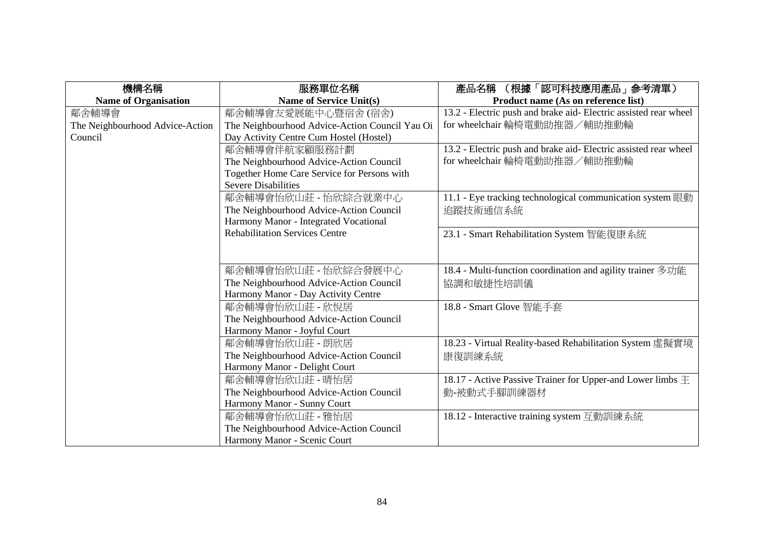| 機構名稱                            | 服務單位名稱                                         | (根據「認可科技應用產品」参考清單)<br>產品名稱                                       |
|---------------------------------|------------------------------------------------|------------------------------------------------------------------|
| <b>Name of Organisation</b>     | <b>Name of Service Unit(s)</b>                 | Product name (As on reference list)                              |
| 鄰舍輔導會                           | 鄰舍輔導會友愛展能中心暨宿舍(宿舍)                             | 13.2 - Electric push and brake aid- Electric assisted rear wheel |
| The Neighbourhood Advice-Action | The Neighbourhood Advice-Action Council Yau Oi | for wheelchair 輪椅電動助推器/輔助推動輪                                     |
| Council                         | Day Activity Centre Cum Hostel (Hostel)        |                                                                  |
|                                 | 鄰舍輔導會伴航家顧服務計劃                                  | 13.2 - Electric push and brake aid- Electric assisted rear wheel |
|                                 | The Neighbourhood Advice-Action Council        | for wheelchair 輪椅電動助推器/輔助推動輪                                     |
|                                 | Together Home Care Service for Persons with    |                                                                  |
|                                 | <b>Severe Disabilities</b>                     |                                                                  |
|                                 | 鄰舍輔導會怡欣山莊 - 怡欣綜合就業中心                           | 11.1 - Eye tracking technological communication system 眼動        |
|                                 | The Neighbourhood Advice-Action Council        | 追蹤技術通信系統                                                         |
|                                 | Harmony Manor - Integrated Vocational          |                                                                  |
|                                 | <b>Rehabilitation Services Centre</b>          | 23.1 - Smart Rehabilitation System 智能復康系統                        |
|                                 |                                                |                                                                  |
|                                 |                                                |                                                                  |
|                                 | 鄰舍輔導會怡欣山莊 - 怡欣綜合發展中心                           | 18.4 - Multi-function coordination and agility trainer 多功能       |
|                                 | The Neighbourhood Advice-Action Council        | 協調和敏捷性培訓儀                                                        |
|                                 | Harmony Manor - Day Activity Centre            |                                                                  |
|                                 | 鄰舍輔導會怡欣山莊 - 欣悅居                                | 18.8 - Smart Glove 智能手套                                          |
|                                 | The Neighbourhood Advice-Action Council        |                                                                  |
|                                 | Harmony Manor - Joyful Court                   |                                                                  |
|                                 | 鄰舍輔導會怡欣山莊 - 朗欣居                                | 18.23 - Virtual Reality-based Rehabilitation System 虛擬實境         |
|                                 | The Neighbourhood Advice-Action Council        | 康復訓練系統                                                           |
|                                 | Harmony Manor - Delight Court                  |                                                                  |
|                                 | 鄰舍輔導會怡欣山莊 - 晴怡居                                | 18.17 - Active Passive Trainer for Upper-and Lower limbs $\pm$   |
|                                 | The Neighbourhood Advice-Action Council        | 動-被動式手腳訓練器材                                                      |
|                                 | Harmony Manor - Sunny Court                    |                                                                  |
|                                 | 鄰舍輔導會怡欣山莊 - 雅怡居                                | 18.12 - Interactive training system 互動訓練系統                       |
|                                 | The Neighbourhood Advice-Action Council        |                                                                  |
|                                 | Harmony Manor - Scenic Court                   |                                                                  |